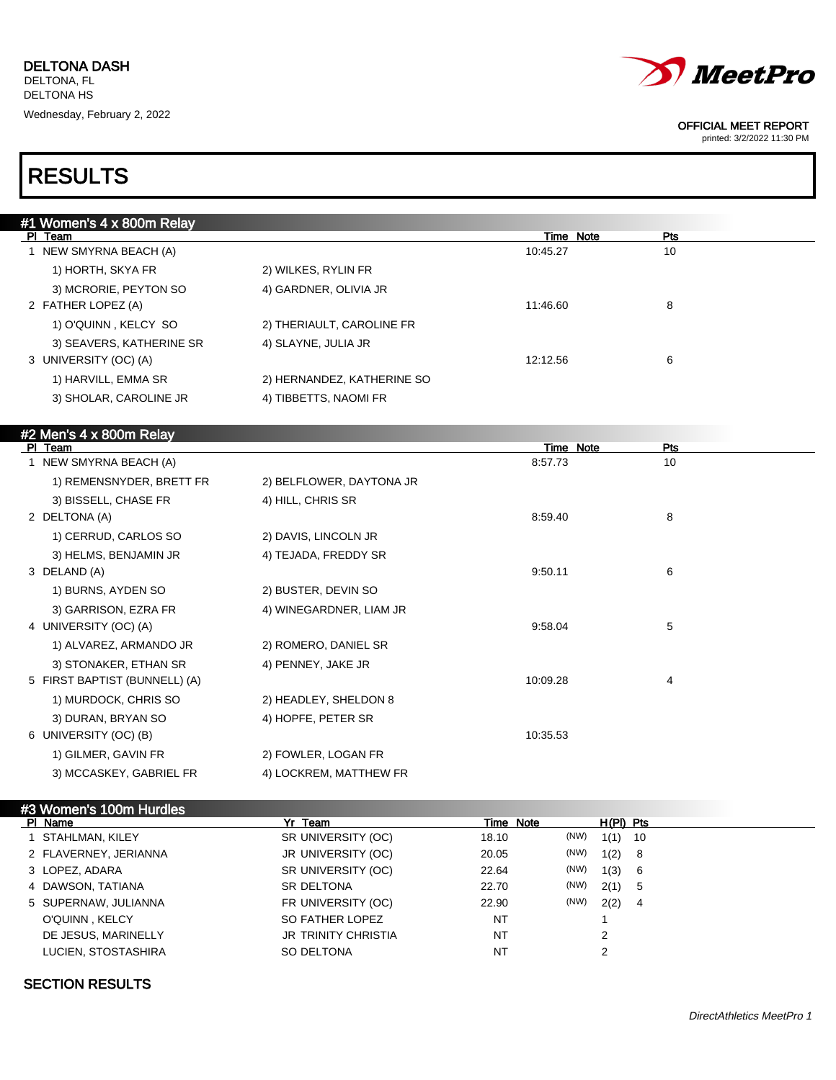

printed: 3/2/2022 11:30 PM

## RESULTS

| #1 Women's 4 x 800m Relay     |                            |                  |            |
|-------------------------------|----------------------------|------------------|------------|
| PI Team                       |                            | Time Note        | Pts        |
| 1 NEW SMYRNA BEACH (A)        |                            | 10:45.27         | 10         |
| 1) HORTH, SKYA FR             | 2) WILKES, RYLIN FR        |                  |            |
| 3) MCRORIE, PEYTON SO         | 4) GARDNER, OLIVIA JR      |                  |            |
| 2 FATHER LOPEZ (A)            |                            | 11:46.60         | 8          |
| 1) O'QUINN, KELCY SO          | 2) THERIAULT, CAROLINE FR  |                  |            |
| 3) SEAVERS, KATHERINE SR      | 4) SLAYNE, JULIA JR        |                  |            |
| 3 UNIVERSITY (OC) (A)         |                            | 12:12.56         | 6          |
| 1) HARVILL, EMMA SR           | 2) HERNANDEZ, KATHERINE SO |                  |            |
| 3) SHOLAR, CAROLINE JR        | 4) TIBBETTS, NAOMI FR      |                  |            |
|                               |                            |                  |            |
| #2 Men's 4 x 800m Relay       |                            |                  |            |
| PI Team                       |                            | <b>Time Note</b> | <b>Pts</b> |
| 1 NEW SMYRNA BEACH (A)        |                            | 8:57.73          | 10         |
| 1) REMENSNYDER, BRETT FR      | 2) BELFLOWER, DAYTONA JR   |                  |            |
| 3) BISSELL, CHASE FR          | 4) HILL, CHRIS SR          |                  |            |
| 2 DELTONA (A)                 |                            | 8:59.40          | 8          |
| 1) CERRUD, CARLOS SO          | 2) DAVIS, LINCOLN JR       |                  |            |
| 3) HELMS, BENJAMIN JR         | 4) TEJADA, FREDDY SR       |                  |            |
| 3 DELAND (A)                  |                            | 9:50.11          | 6          |
| 1) BURNS, AYDEN SO            | 2) BUSTER, DEVIN SO        |                  |            |
| 3) GARRISON, EZRA FR          | 4) WINEGARDNER, LIAM JR    |                  |            |
| 4 UNIVERSITY (OC) (A)         |                            | 9:58.04          | 5          |
| 1) ALVAREZ, ARMANDO JR        | 2) ROMERO, DANIEL SR       |                  |            |
| 3) STONAKER, ETHAN SR         | 4) PENNEY, JAKE JR         |                  |            |
| 5 FIRST BAPTIST (BUNNELL) (A) |                            | 10:09.28         | 4          |
| 1) MURDOCK, CHRIS SO          | 2) HEADLEY, SHELDON 8      |                  |            |
| 3) DURAN, BRYAN SO            | 4) HOPFE, PETER SR         |                  |            |
| 6 UNIVERSITY (OC) (B)         |                            | 10:35.53         |            |
| 1) GILMER, GAVIN FR           | 2) FOWLER, LOGAN FR        |                  |            |

### #3 Women's 100m Hurdles

3) MCCASKEY, GABRIEL FR 4) LOCKREM, MATTHEW FR

| PI Name               | Yr Team                    | Time Note |      | $H(PI)$ Pts |     |
|-----------------------|----------------------------|-----------|------|-------------|-----|
| 1 STAHLMAN, KILEY     | SR UNIVERSITY (OC)         | 18.10     | (NW) | $1(1)$ 10   |     |
| 2 FLAVERNEY, JERIANNA | JR UNIVERSITY (OC)         | 20.05     | (NW) | 1(2)        | - 8 |
| 3 LOPEZ, ADARA        | SR UNIVERSITY (OC)         | 22.64     | (NW) | 1(3)        | - 6 |
| 4 DAWSON, TATIANA     | SR DELTONA                 | 22.70     | (NW) | 2(1)        | - 5 |
| 5 SUPERNAW, JULIANNA  | FR UNIVERSITY (OC)         | 22.90     | (NW) | 2(2)        | - 4 |
| O'QUINN, KELCY        | SO FATHER LOPEZ            | <b>NT</b> |      |             |     |
| DE JESUS, MARINELLY   | <b>JR TRINITY CHRISTIA</b> | NT        |      | 2           |     |
| LUCIEN, STOSTASHIRA   | SO DELTONA                 | NT        |      |             |     |

### SECTION RESULTS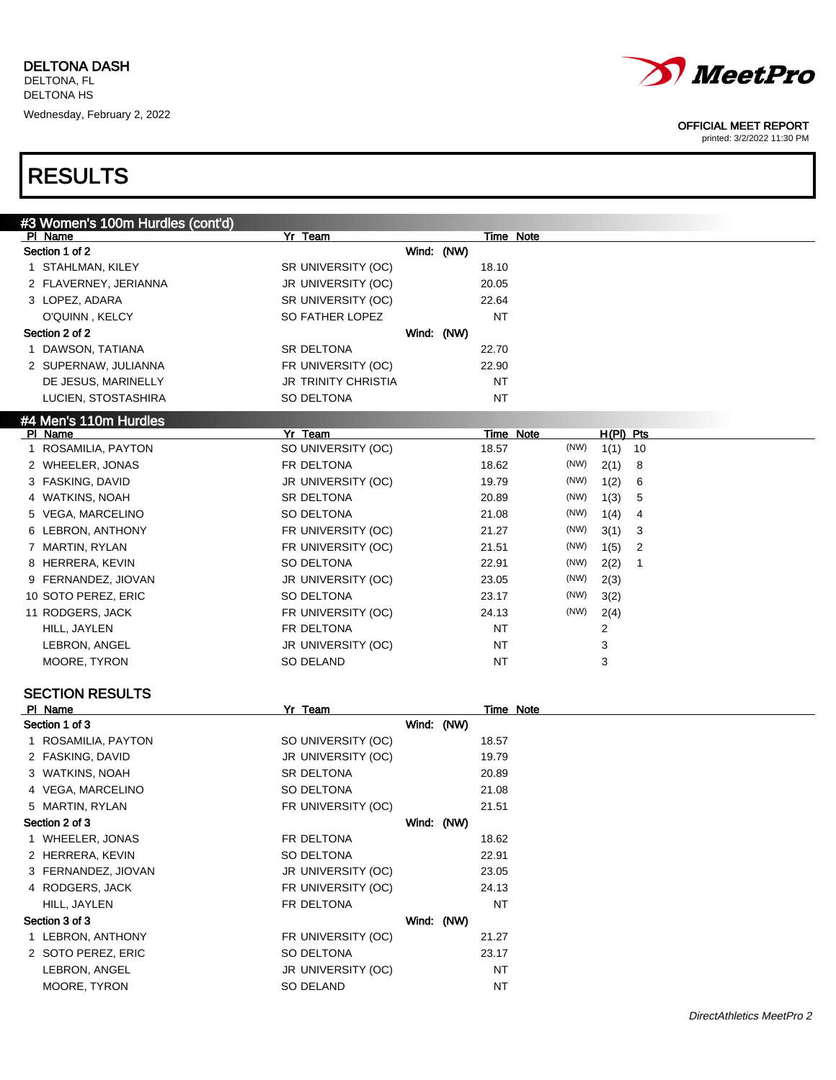

printed: 3/2/2022 11:30 PM

| #3 Women's 100m Hurdles (cont'd) |                            |            |            |           |      |             |                |
|----------------------------------|----------------------------|------------|------------|-----------|------|-------------|----------------|
| PI Name                          | Yr Team                    |            |            | Time Note |      |             |                |
| Section 1 of 2                   |                            |            | Wind: (NW) |           |      |             |                |
| 1 STAHLMAN, KILEY                | SR UNIVERSITY (OC)         |            |            | 18.10     |      |             |                |
| 2 FLAVERNEY, JERIANNA            | JR UNIVERSITY (OC)         |            |            | 20.05     |      |             |                |
| 3 LOPEZ, ADARA                   | SR UNIVERSITY (OC)         |            |            | 22.64     |      |             |                |
| O'QUINN, KELCY                   | SO FATHER LOPEZ            |            |            | <b>NT</b> |      |             |                |
| Section 2 of 2                   |                            | Wind: (NW) |            |           |      |             |                |
| 1 DAWSON, TATIANA                | SR DELTONA                 |            |            | 22.70     |      |             |                |
| 2 SUPERNAW, JULIANNA             | FR UNIVERSITY (OC)         |            |            | 22.90     |      |             |                |
| DE JESUS, MARINELLY              | <b>JR TRINITY CHRISTIA</b> |            |            | <b>NT</b> |      |             |                |
| LUCIEN, STOSTASHIRA              | SO DELTONA                 |            |            | <b>NT</b> |      |             |                |
| #4 Men's 110m Hurdles            |                            |            |            |           |      |             |                |
| PI Name                          | Yr Team                    |            |            | Time Note |      | $H(PI)$ Pts |                |
| 1 ROSAMILIA, PAYTON              | SO UNIVERSITY (OC)         |            |            | 18.57     | (NW) | 1(1)        | 10             |
| 2 WHEELER, JONAS                 | FR DELTONA                 |            |            | 18.62     | (NW) | 2(1)        | 8              |
| 3 FASKING, DAVID                 | JR UNIVERSITY (OC)         |            |            | 19.79     | (NW) | 1(2)        | 6              |
| 4 WATKINS, NOAH                  | SR DELTONA                 |            |            | 20.89     | (NW) | 1(3)        | 5              |
| 5 VEGA, MARCELINO                | SO DELTONA                 |            |            | 21.08     | (NW) | 1(4)        | 4              |
| 6 LEBRON, ANTHONY                | FR UNIVERSITY (OC)         |            |            | 21.27     | (NW) | 3(1)        | 3              |
| 7 MARTIN, RYLAN                  | FR UNIVERSITY (OC)         |            |            | 21.51     | (NW) | 1(5)        | $\overline{2}$ |
| 8 HERRERA, KEVIN                 | SO DELTONA                 |            |            | 22.91     | (NW) | 2(2)        | 1              |
| 9 FERNANDEZ, JIOVAN              | JR UNIVERSITY (OC)         |            |            | 23.05     | (NW) | 2(3)        |                |
| 10 SOTO PEREZ, ERIC              | SO DELTONA                 |            |            | 23.17     | (NW) | 3(2)        |                |
| 11 RODGERS, JACK                 | FR UNIVERSITY (OC)         |            |            | 24.13     | (NW) | 2(4)        |                |
| HILL, JAYLEN                     | FR DELTONA                 |            |            | NT        |      | 2           |                |
| LEBRON, ANGEL                    | JR UNIVERSITY (OC)         |            |            | NT        |      | 3           |                |
| MOORE, TYRON                     | SO DELAND                  |            |            | NT        |      | 3           |                |
|                                  |                            |            |            |           |      |             |                |
| <b>SECTION RESULTS</b>           |                            |            |            |           |      |             |                |
| PI Name                          | Yr Team                    |            |            | Time Note |      |             |                |
| Section 1 of 3                   |                            | Wind: (NW) |            |           |      |             |                |
| 1 ROSAMILIA, PAYTON              | SO UNIVERSITY (OC)         |            |            | 18.57     |      |             |                |
| 2 FASKING, DAVID                 | JR UNIVERSITY (OC)         |            |            | 19.79     |      |             |                |
| 3 WATKINS, NOAH                  | SR DELTONA                 |            |            | 20.89     |      |             |                |
| 4 VEGA, MARCELINO                | SO DELTONA                 |            |            | 21.08     |      |             |                |
| 5 MARTIN, RYLAN                  | FR UNIVERSITY (OC)         |            |            | 21.51     |      |             |                |
| Section 2 of 3                   |                            | Wind: (NW) |            |           |      |             |                |
| 1 WHEELER, JONAS                 | FR DELTONA                 |            |            | 18.62     |      |             |                |
| 2 HERRERA, KEVIN                 | SO DELTONA                 |            |            | 22.91     |      |             |                |
| 3 FERNANDEZ, JIOVAN              | JR UNIVERSITY (OC)         |            |            | 23.05     |      |             |                |
| 4 RODGERS, JACK                  | FR UNIVERSITY (OC)         |            |            | 24.13     |      |             |                |
| HILL, JAYLEN                     | FR DELTONA                 |            |            | <b>NT</b> |      |             |                |
| Section 3 of 3                   |                            | Wind: (NW) |            |           |      |             |                |
| 1 LEBRON, ANTHONY                | FR UNIVERSITY (OC)         |            |            | 21.27     |      |             |                |
| 2 SOTO PEREZ, ERIC               | SO DELTONA                 |            |            | 23.17     |      |             |                |
| LEBRON, ANGEL                    | JR UNIVERSITY (OC)         |            |            | NT        |      |             |                |
| MOORE, TYRON                     | SO DELAND                  |            |            | <b>NT</b> |      |             |                |
|                                  |                            |            |            |           |      |             |                |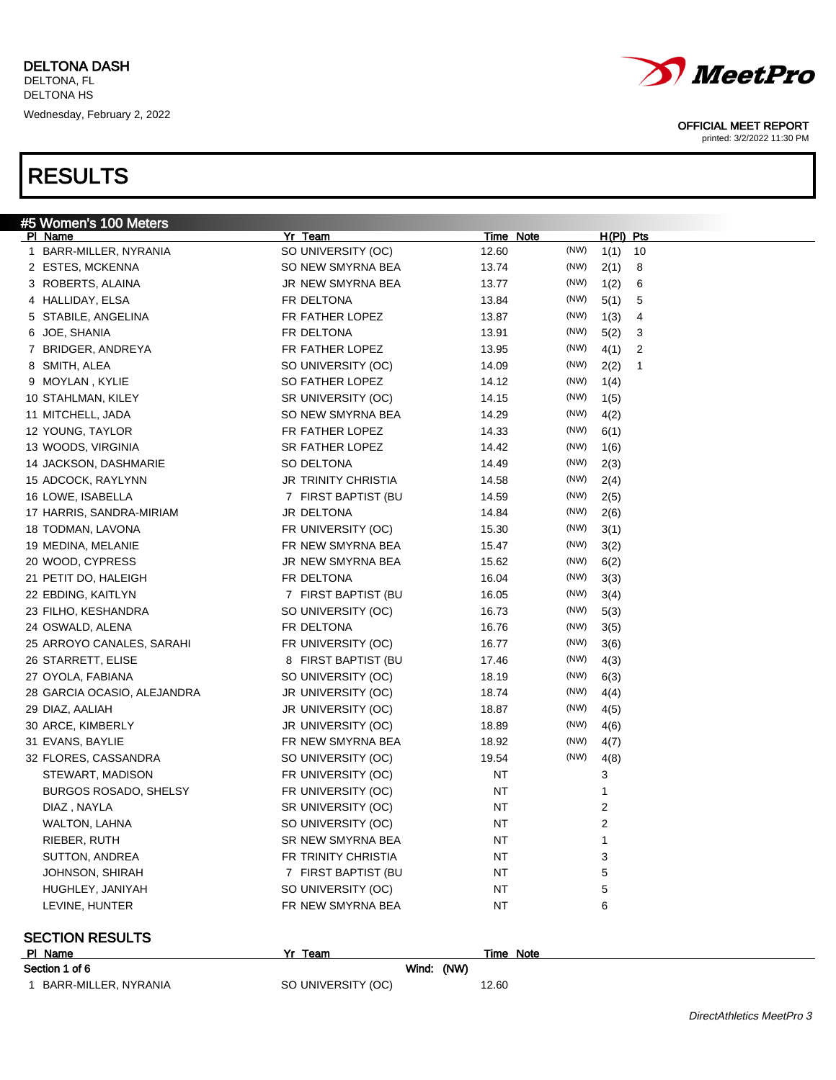| <u>#5 Women's</u> 100 Meters |                            |           |      |                  |    |
|------------------------------|----------------------------|-----------|------|------------------|----|
| <u>PI Name</u>               | Yr Team                    | Time Note |      | <u>H(PI) Pts</u> |    |
| 1 BARR-MILLER, NYRANIA       | SO UNIVERSITY (OC)         | 12.60     | (NW) | 1(1)             | 10 |
| 2 ESTES, MCKENNA             | SO NEW SMYRNA BEA          | 13.74     | (NW) | 2(1)             | 8  |
| 3 ROBERTS, ALAINA            | JR NEW SMYRNA BEA          | 13.77     | (NW) | 1(2)             | 6  |
| 4 HALLIDAY, ELSA             | FR DELTONA                 | 13.84     | (NW) | 5(1)             | 5  |
| 5 STABILE, ANGELINA          | FR FATHER LOPEZ            | 13.87     | (NW) | 1(3)             | 4  |
| 6 JOE, SHANIA                | FR DELTONA                 | 13.91     | (NW) | 5(2)             | 3  |
| 7 BRIDGER, ANDREYA           | FR FATHER LOPEZ            | 13.95     | (NW) | 4(1)             | 2  |
| 8 SMITH, ALEA                | SO UNIVERSITY (OC)         | 14.09     | (NW) | 2(2)             | 1  |
| 9 MOYLAN, KYLIE              | SO FATHER LOPEZ            | 14.12     | (NW) | 1(4)             |    |
| 10 STAHLMAN, KILEY           | SR UNIVERSITY (OC)         | 14.15     | (NW) | 1(5)             |    |
| 11 MITCHELL, JADA            | SO NEW SMYRNA BEA          | 14.29     | (NW) | 4(2)             |    |
| 12 YOUNG, TAYLOR             | FR FATHER LOPEZ            | 14.33     | (NW) | 6(1)             |    |
| 13 WOODS, VIRGINIA           | SR FATHER LOPEZ            | 14.42     | (NW) | 1(6)             |    |
| 14 JACKSON, DASHMARIE        | SO DELTONA                 | 14.49     | (NW) | 2(3)             |    |
| 15 ADCOCK, RAYLYNN           | <b>JR TRINITY CHRISTIA</b> | 14.58     | (NW) | 2(4)             |    |
| 16 LOWE, ISABELLA            | 7 FIRST BAPTIST (BU        | 14.59     | (NW) | 2(5)             |    |
| 17 HARRIS, SANDRA-MIRIAM     | JR DELTONA                 | 14.84     | (NW) | 2(6)             |    |
| 18 TODMAN, LAVONA            | FR UNIVERSITY (OC)         | 15.30     | (NW) | 3(1)             |    |
| 19 MEDINA, MELANIE           | FR NEW SMYRNA BEA          | 15.47     | (NW) | 3(2)             |    |
| 20 WOOD, CYPRESS             | JR NEW SMYRNA BEA          | 15.62     | (NW) | 6(2)             |    |
| 21 PETIT DO, HALEIGH         | FR DELTONA                 | 16.04     | (NW) | 3(3)             |    |
| 22 EBDING, KAITLYN           | 7 FIRST BAPTIST (BU        | 16.05     | (NW) | 3(4)             |    |
| 23 FILHO, KESHANDRA          | SO UNIVERSITY (OC)         | 16.73     | (NW) | 5(3)             |    |
| 24 OSWALD, ALENA             | FR DELTONA                 | 16.76     | (NW) | 3(5)             |    |
| 25 ARROYO CANALES, SARAHI    | FR UNIVERSITY (OC)         | 16.77     | (NW) | 3(6)             |    |
| 26 STARRETT, ELISE           | 8 FIRST BAPTIST (BU        | 17.46     | (NW) | 4(3)             |    |
| 27 OYOLA, FABIANA            | SO UNIVERSITY (OC)         | 18.19     | (NW) | 6(3)             |    |
| 28 GARCIA OCASIO, ALEJANDRA  | JR UNIVERSITY (OC)         | 18.74     | (NW) | 4(4)             |    |
| 29 DIAZ, AALIAH              | JR UNIVERSITY (OC)         | 18.87     | (NW) | 4(5)             |    |
| 30 ARCE, KIMBERLY            | JR UNIVERSITY (OC)         | 18.89     | (NW) | 4(6)             |    |
| 31 EVANS, BAYLIE             | FR NEW SMYRNA BEA          | 18.92     | (NW) | 4(7)             |    |
| 32 FLORES, CASSANDRA         | SO UNIVERSITY (OC)         | 19.54     | (NW) | 4(8)             |    |
| STEWART, MADISON             | FR UNIVERSITY (OC)         | <b>NT</b> |      | 3                |    |
| <b>BURGOS ROSADO, SHELSY</b> | FR UNIVERSITY (OC)         | ΝT        |      | 1                |    |
| DIAZ, NAYLA                  | SR UNIVERSITY (OC)         | ΝT        |      | 2                |    |
| WALTON, LAHNA                | SO UNIVERSITY (OC)         | ΝT        |      | $\overline{2}$   |    |
| RIEBER, RUTH                 | SR NEW SMYRNA BEA          | <b>NT</b> |      | 1                |    |
| SUTTON, ANDREA               | FR TRINITY CHRISTIA        | <b>NT</b> |      | 3                |    |
| JOHNSON, SHIRAH              | 7 FIRST BAPTIST (BU        | <b>NT</b> |      | 5                |    |
| HUGHLEY, JANIYAH             | SO UNIVERSITY (OC)         | <b>NT</b> |      | 5                |    |
| LEVINE, HUNTER               | FR NEW SMYRNA BEA          | <b>NT</b> |      | 6                |    |
|                              |                            |           |      |                  |    |
| <b>SECTION RESULTS</b>       |                            |           |      |                  |    |
| PI Name                      | Yr Team                    | Time Note |      |                  |    |
|                              |                            |           |      |                  |    |

| Section 1 of 6         |                    | Wind: (NW) |       |  |
|------------------------|--------------------|------------|-------|--|
| 1 BARR-MILLER, NYRANIA | SO UNIVERSITY (OC) |            | 12.60 |  |



### OFFICIAL MEET REPORT

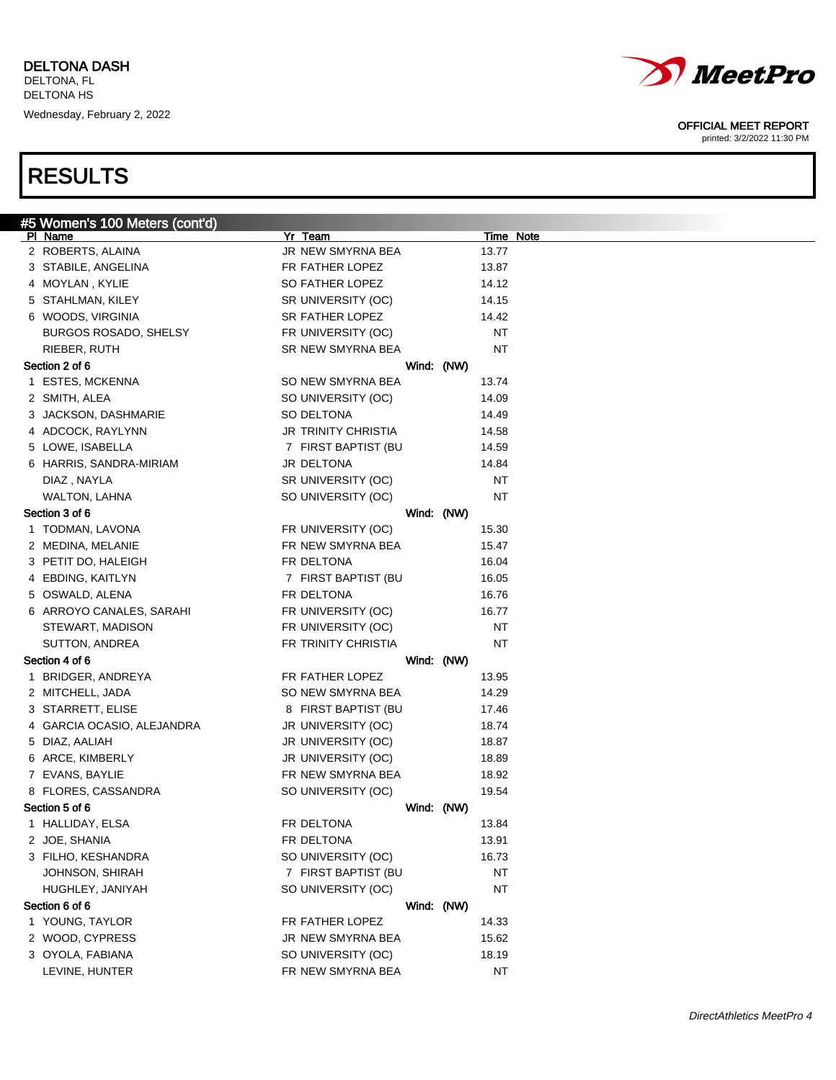

printed: 3/2/2022 11:30 PM

| #5 Women's 100 Meters (cont'd) |                     |            |           |           |
|--------------------------------|---------------------|------------|-----------|-----------|
| PI Name                        | Yr Team             |            |           | Time Note |
| 2 ROBERTS, ALAINA              | JR NEW SMYRNA BEA   |            | 13.77     |           |
| 3 STABILE, ANGELINA            | FR FATHER LOPEZ     |            | 13.87     |           |
| 4 MOYLAN, KYLIE                | SO FATHER LOPEZ     |            | 14.12     |           |
| 5 STAHLMAN, KILEY              | SR UNIVERSITY (OC)  |            | 14.15     |           |
| 6 WOODS, VIRGINIA              | SR FATHER LOPEZ     |            | 14.42     |           |
| <b>BURGOS ROSADO, SHELSY</b>   | FR UNIVERSITY (OC)  |            | <b>NT</b> |           |
| RIEBER, RUTH                   | SR NEW SMYRNA BEA   |            | NT        |           |
| Section 2 of 6                 |                     | Wind: (NW) |           |           |
| 1 ESTES, MCKENNA               | SO NEW SMYRNA BEA   |            | 13.74     |           |
| 2 SMITH, ALEA                  | SO UNIVERSITY (OC)  |            | 14.09     |           |
| 3 JACKSON, DASHMARIE           | SO DELTONA          |            | 14.49     |           |
| 4 ADCOCK, RAYLYNN              | JR TRINITY CHRISTIA |            | 14.58     |           |
| 5 LOWE, ISABELLA               | 7 FIRST BAPTIST (BU |            | 14.59     |           |
| 6 HARRIS, SANDRA-MIRIAM        | JR DELTONA          |            | 14.84     |           |
| DIAZ, NAYLA                    | SR UNIVERSITY (OC)  |            | <b>NT</b> |           |
| <b>WALTON, LAHNA</b>           | SO UNIVERSITY (OC)  |            | NT        |           |
| Section 3 of 6                 |                     | Wind: (NW) |           |           |
| 1 TODMAN, LAVONA               | FR UNIVERSITY (OC)  |            | 15.30     |           |
| 2 MEDINA, MELANIE              | FR NEW SMYRNA BEA   |            | 15.47     |           |
| 3 PETIT DO, HALEIGH            | FR DELTONA          |            | 16.04     |           |
| 4 EBDING, KAITLYN              | 7 FIRST BAPTIST (BU |            | 16.05     |           |
| 5 OSWALD, ALENA                | FR DELTONA          |            | 16.76     |           |
| 6 ARROYO CANALES, SARAHI       | FR UNIVERSITY (OC)  |            | 16.77     |           |
| STEWART, MADISON               | FR UNIVERSITY (OC)  |            | <b>NT</b> |           |
| SUTTON, ANDREA                 | FR TRINITY CHRISTIA |            | <b>NT</b> |           |
| Section 4 of 6                 |                     | Wind: (NW) |           |           |
| 1 BRIDGER, ANDREYA             | FR FATHER LOPEZ     |            | 13.95     |           |
| 2 MITCHELL, JADA               | SO NEW SMYRNA BEA   |            | 14.29     |           |
| 3 STARRETT, ELISE              | 8 FIRST BAPTIST (BU |            | 17.46     |           |
| 4 GARCIA OCASIO, ALEJANDRA     | JR UNIVERSITY (OC)  |            | 18.74     |           |
| 5 DIAZ, AALIAH                 | JR UNIVERSITY (OC)  |            | 18.87     |           |
| 6 ARCE, KIMBERLY               | JR UNIVERSITY (OC)  |            | 18.89     |           |
| 7 EVANS, BAYLIE                | FR NEW SMYRNA BEA   |            | 18.92     |           |
| 8 FLORES, CASSANDRA            | SO UNIVERSITY (OC)  |            | 19.54     |           |
| Section 5 of 6                 |                     | Wind: (NW) |           |           |
| 1 HALLIDAY, ELSA               | FR DELTONA          |            | 13.84     |           |
| 2 JOE, SHANIA                  | FR DELTONA          |            | 13.91     |           |
| 3 FILHO, KESHANDRA             | SO UNIVERSITY (OC)  |            | 16.73     |           |
| JOHNSON, SHIRAH                | 7 FIRST BAPTIST (BU |            | <b>NT</b> |           |
| HUGHLEY, JANIYAH               | SO UNIVERSITY (OC)  |            | <b>NT</b> |           |
| Section 6 of 6                 |                     | Wind: (NW) |           |           |
| 1 YOUNG, TAYLOR                | FR FATHER LOPEZ     |            | 14.33     |           |
| 2 WOOD, CYPRESS                | JR NEW SMYRNA BEA   |            | 15.62     |           |
| 3 OYOLA, FABIANA               | SO UNIVERSITY (OC)  |            | 18.19     |           |
|                                | FR NEW SMYRNA BEA   |            | <b>NT</b> |           |
| LEVINE, HUNTER                 |                     |            |           |           |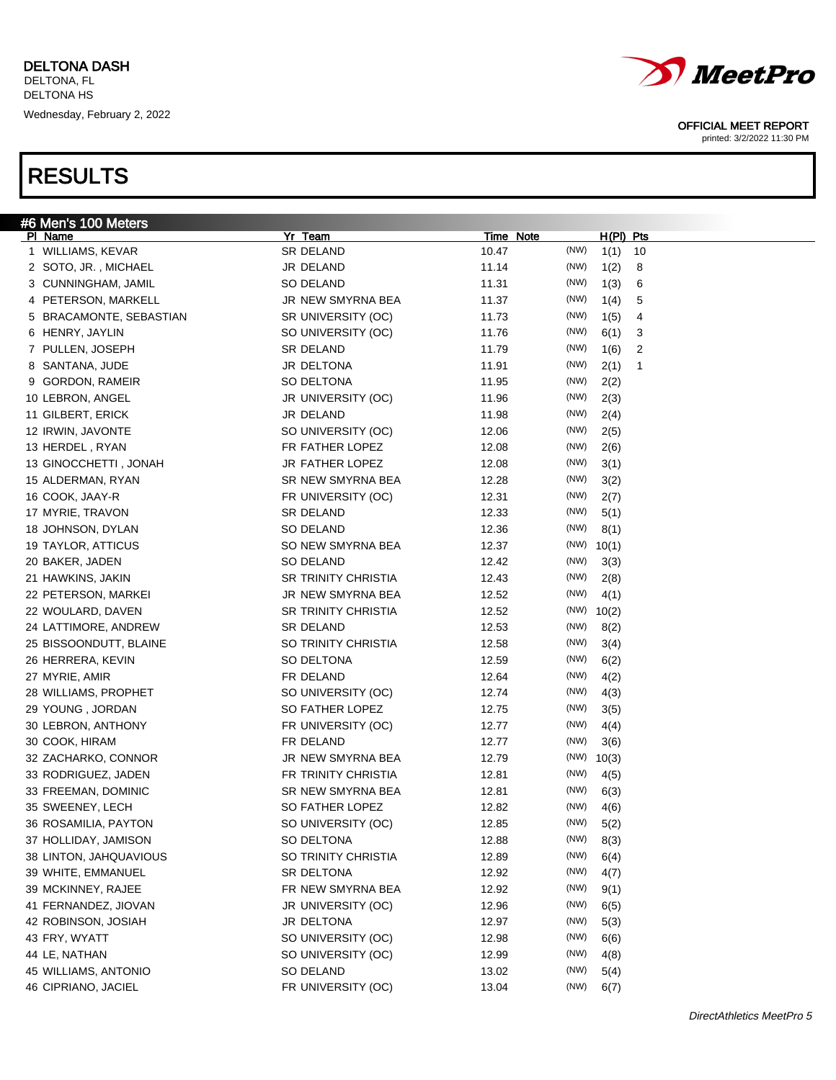|   | #6 Men's 100 Meters     |                            |       |           |           |    |
|---|-------------------------|----------------------------|-------|-----------|-----------|----|
|   | PI Name                 | Yr Team                    |       | Time Note | H(PI) Pts |    |
|   | 1 WILLIAMS, KEVAR       | SR DELAND                  | 10.47 | (NW)      | 1(1)      | 10 |
|   | 2 SOTO, JR., MICHAEL    | JR DELAND                  | 11.14 | (NW)      | 1(2)      | 8  |
|   | 3 CUNNINGHAM, JAMIL     | SO DELAND                  | 11.31 | (NW)      | 1(3)      | 6  |
|   | 4 PETERSON, MARKELL     | JR NEW SMYRNA BEA          | 11.37 | (NW)      | 1(4)      | 5  |
|   | 5 BRACAMONTE, SEBASTIAN | SR UNIVERSITY (OC)         | 11.73 | (NW)      | 1(5)      | 4  |
|   | 6 HENRY, JAYLIN         | SO UNIVERSITY (OC)         | 11.76 | (NW)      | 6(1)      | 3  |
|   | 7 PULLEN, JOSEPH        | SR DELAND                  | 11.79 | (NW)      | 1(6)      | 2  |
|   | 8 SANTANA, JUDE         | JR DELTONA                 | 11.91 | (NW)      | 2(1)      | 1  |
| 9 | <b>GORDON, RAMEIR</b>   | SO DELTONA                 | 11.95 | (NW)      | 2(2)      |    |
|   | 10 LEBRON, ANGEL        | JR UNIVERSITY (OC)         | 11.96 | (NW)      | 2(3)      |    |
|   | 11 GILBERT, ERICK       | JR DELAND                  | 11.98 | (NW)      | 2(4)      |    |
|   | 12 IRWIN, JAVONTE       | SO UNIVERSITY (OC)         | 12.06 | (NW)      | 2(5)      |    |
|   | 13 HERDEL, RYAN         | FR FATHER LOPEZ            | 12.08 | (NW)      | 2(6)      |    |
|   | 13 GINOCCHETTI, JONAH   | JR FATHER LOPEZ            | 12.08 | (NW)      | 3(1)      |    |
|   | 15 ALDERMAN, RYAN       | SR NEW SMYRNA BEA          | 12.28 | (NW)      | 3(2)      |    |
|   | 16 COOK, JAAY-R         | FR UNIVERSITY (OC)         | 12.31 | (NW)      | 2(7)      |    |
|   | 17 MYRIE, TRAVON        | SR DELAND                  | 12.33 | (NW)      | 5(1)      |    |
|   | 18 JOHNSON, DYLAN       | <b>SO DELAND</b>           | 12.36 | (NW)      | 8(1)      |    |
|   | 19 TAYLOR, ATTICUS      | SO NEW SMYRNA BEA          | 12.37 | (NW)      | 10(1)     |    |
|   | 20 BAKER, JADEN         | SO DELAND                  | 12.42 | (NW)      | 3(3)      |    |
|   | 21 HAWKINS, JAKIN       | <b>SR TRINITY CHRISTIA</b> | 12.43 | (NW)      | 2(8)      |    |
|   | 22 PETERSON, MARKEI     | JR NEW SMYRNA BEA          | 12.52 | (NW)      | 4(1)      |    |
|   | 22 WOULARD, DAVEN       | <b>SR TRINITY CHRISTIA</b> | 12.52 | (NW)      | 10(2)     |    |
|   | 24 LATTIMORE, ANDREW    | SR DELAND                  | 12.53 | (NW)      | 8(2)      |    |
|   | 25 BISSOONDUTT, BLAINE  | SO TRINITY CHRISTIA        | 12.58 | (NW)      | 3(4)      |    |
|   | 26 HERRERA, KEVIN       | SO DELTONA                 | 12.59 | (NW)      | 6(2)      |    |
|   | 27 MYRIE, AMIR          | FR DELAND                  | 12.64 | (NW)      | 4(2)      |    |
|   | 28 WILLIAMS, PROPHET    | SO UNIVERSITY (OC)         | 12.74 | (NW)      | 4(3)      |    |
|   | 29 YOUNG, JORDAN        | SO FATHER LOPEZ            | 12.75 | (NW)      | 3(5)      |    |
|   | 30 LEBRON, ANTHONY      | FR UNIVERSITY (OC)         | 12.77 | (NW)      | 4(4)      |    |
|   | 30 COOK, HIRAM          | FR DELAND                  | 12.77 | (NW)      | 3(6)      |    |
|   | 32 ZACHARKO, CONNOR     | JR NEW SMYRNA BEA          | 12.79 | (NW)      | 10(3)     |    |
|   | 33 RODRIGUEZ, JADEN     | FR TRINITY CHRISTIA        | 12.81 | (NW)      | 4(5)      |    |
|   | 33 FREEMAN, DOMINIC     | SR NEW SMYRNA BEA          | 12.81 | (NW)      | 6(3)      |    |
|   | 35 SWEENEY, LECH        | SO FATHER LOPEZ            | 12.82 | (NW)      | 4(6)      |    |
|   | 36 ROSAMILIA, PAYTON    | SO UNIVERSITY (OC)         | 12.85 | (NW)      | 5(2)      |    |
|   | 37 HOLLIDAY, JAMISON    | SO DELTONA                 | 12.88 | (NW)      | 8(3)      |    |
|   | 38 LINTON, JAHQUAVIOUS  | SO TRINITY CHRISTIA        | 12.89 | (NW)      | 6(4)      |    |
|   | 39 WHITE, EMMANUEL      | SR DELTONA                 | 12.92 | (NW)      | 4(7)      |    |
|   | 39 MCKINNEY, RAJEE      | FR NEW SMYRNA BEA          | 12.92 | (NW)      |           |    |
|   | 41 FERNANDEZ, JIOVAN    |                            |       | (NW)      | 9(1)      |    |
|   |                         | JR UNIVERSITY (OC)         | 12.96 |           | 6(5)      |    |
|   | 42 ROBINSON, JOSIAH     | JR DELTONA                 | 12.97 | (NW)      | 5(3)      |    |
|   | 43 FRY, WYATT           | SO UNIVERSITY (OC)         | 12.98 | (NW)      | 6(6)      |    |
|   | 44 LE, NATHAN           | SO UNIVERSITY (OC)         | 12.99 | (NW)      | 4(8)      |    |
|   | 45 WILLIAMS, ANTONIO    | SO DELAND                  | 13.02 | (NW)      | 5(4)      |    |
|   | 46 CIPRIANO, JACIEL     | FR UNIVERSITY (OC)         | 13.04 | (NW)      | 6(7)      |    |



OFFICIAL MEET REPORT printed: 3/2/2022 11:30 PM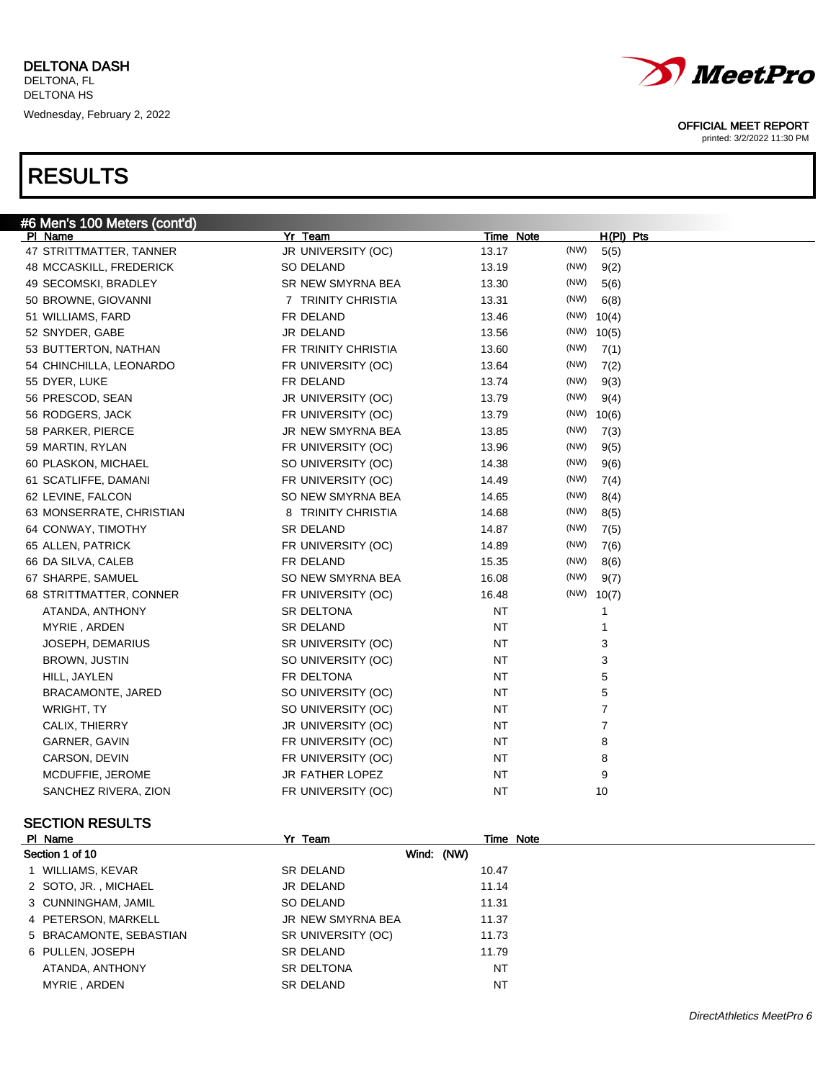| #6 Men's 100 Meters (cont'd) |                     |                  |              |  |
|------------------------------|---------------------|------------------|--------------|--|
| PI Name                      | Yr Team             | <b>Time Note</b> | $H(PI)$ Pts  |  |
| 47 STRITTMATTER, TANNER      | JR UNIVERSITY (OC)  | 13.17            | (NW)<br>5(5) |  |
| 48 MCCASKILL, FREDERICK      | SO DELAND           | 13.19            | (NW)<br>9(2) |  |
| 49 SECOMSKI, BRADLEY         | SR NEW SMYRNA BEA   | 13.30            | (NW)<br>5(6) |  |
| 50 BROWNE, GIOVANNI          | 7 TRINITY CHRISTIA  | 13.31            | (NW)<br>6(8) |  |
| 51 WILLIAMS, FARD            | FR DELAND           | 13.46            | $(NW)$ 10(4) |  |
| 52 SNYDER, GABE              | JR DELAND           | 13.56            | $(NW)$ 10(5) |  |
| 53 BUTTERTON, NATHAN         | FR TRINITY CHRISTIA | 13.60            | (NW)<br>7(1) |  |
| 54 CHINCHILLA, LEONARDO      | FR UNIVERSITY (OC)  | 13.64            | (NW)<br>7(2) |  |
| 55 DYER, LUKE                | FR DELAND           | 13.74            | (NW)<br>9(3) |  |
| 56 PRESCOD, SEAN             | JR UNIVERSITY (OC)  | 13.79            | (NW)<br>9(4) |  |
| 56 RODGERS, JACK             | FR UNIVERSITY (OC)  | 13.79            | $(NW)$ 10(6) |  |
| 58 PARKER, PIERCE            | JR NEW SMYRNA BEA   | 13.85            | (NW)<br>7(3) |  |
| 59 MARTIN, RYLAN             | FR UNIVERSITY (OC)  | 13.96            | (NW)<br>9(5) |  |
| 60 PLASKON, MICHAEL          | SO UNIVERSITY (OC)  | 14.38            | (NW)<br>9(6) |  |
| 61 SCATLIFFE, DAMANI         | FR UNIVERSITY (OC)  | 14.49            | (NW)<br>7(4) |  |
| 62 LEVINE, FALCON            | SO NEW SMYRNA BEA   | 14.65            | (NW)<br>8(4) |  |
| 63 MONSERRATE, CHRISTIAN     | 8 TRINITY CHRISTIA  | 14.68            | (NW)<br>8(5) |  |
| 64 CONWAY, TIMOTHY           | <b>SR DELAND</b>    | 14.87            | (NW)<br>7(5) |  |
| 65 ALLEN, PATRICK            | FR UNIVERSITY (OC)  | 14.89            | (NW)<br>7(6) |  |
| 66 DA SILVA, CALEB           | FR DELAND           | 15.35            | (NW)<br>8(6) |  |
| 67 SHARPE, SAMUEL            | SO NEW SMYRNA BEA   | 16.08            | (NW)<br>9(7) |  |
| 68 STRITTMATTER, CONNER      | FR UNIVERSITY (OC)  | 16.48            | $(NW)$ 10(7) |  |
| ATANDA, ANTHONY              | SR DELTONA          | <b>NT</b>        | 1            |  |
| MYRIE, ARDEN                 | <b>SR DELAND</b>    | <b>NT</b>        | 1            |  |
| <b>JOSEPH, DEMARIUS</b>      | SR UNIVERSITY (OC)  | <b>NT</b>        | 3            |  |
| <b>BROWN, JUSTIN</b>         | SO UNIVERSITY (OC)  | <b>NT</b>        | 3            |  |
| HILL, JAYLEN                 | FR DELTONA          | <b>NT</b>        | 5            |  |
| <b>BRACAMONTE, JARED</b>     | SO UNIVERSITY (OC)  | <b>NT</b>        | 5            |  |
| WRIGHT, TY                   | SO UNIVERSITY (OC)  | <b>NT</b>        | 7            |  |
| CALIX, THIERRY               | JR UNIVERSITY (OC)  | <b>NT</b>        | 7            |  |
| GARNER, GAVIN                | FR UNIVERSITY (OC)  | <b>NT</b>        | 8            |  |
| CARSON, DEVIN                | FR UNIVERSITY (OC)  | NT               | 8            |  |
| MCDUFFIE, JEROME             | JR FATHER LOPEZ     | <b>NT</b>        | 9            |  |
| SANCHEZ RIVERA, ZION         | FR UNIVERSITY (OC)  | <b>NT</b>        | 10           |  |

### SECTION RESULTS

| PI Name                 | Yr Team            | Time Note |  |
|-------------------------|--------------------|-----------|--|
| Section 1 of 10         | Wind: (NW)         |           |  |
| 1 WILLIAMS, KEVAR       | SR DELAND          | 10.47     |  |
| 2 SOTO, JR., MICHAEL    | JR DELAND          | 11.14     |  |
| 3 CUNNINGHAM, JAMIL     | SO DELAND          | 11.31     |  |
| 4 PETERSON, MARKELL     | JR NEW SMYRNA BEA  | 11.37     |  |
| 5 BRACAMONTE, SEBASTIAN | SR UNIVERSITY (OC) | 11.73     |  |
| 6 PULLEN, JOSEPH        | SR DELAND          | 11.79     |  |
| ATANDA, ANTHONY         | <b>SR DELTONA</b>  | NT        |  |
| MYRIE, ARDEN            | SR DELAND          | <b>NT</b> |  |
|                         |                    |           |  |



### OFFICIAL MEET REPORT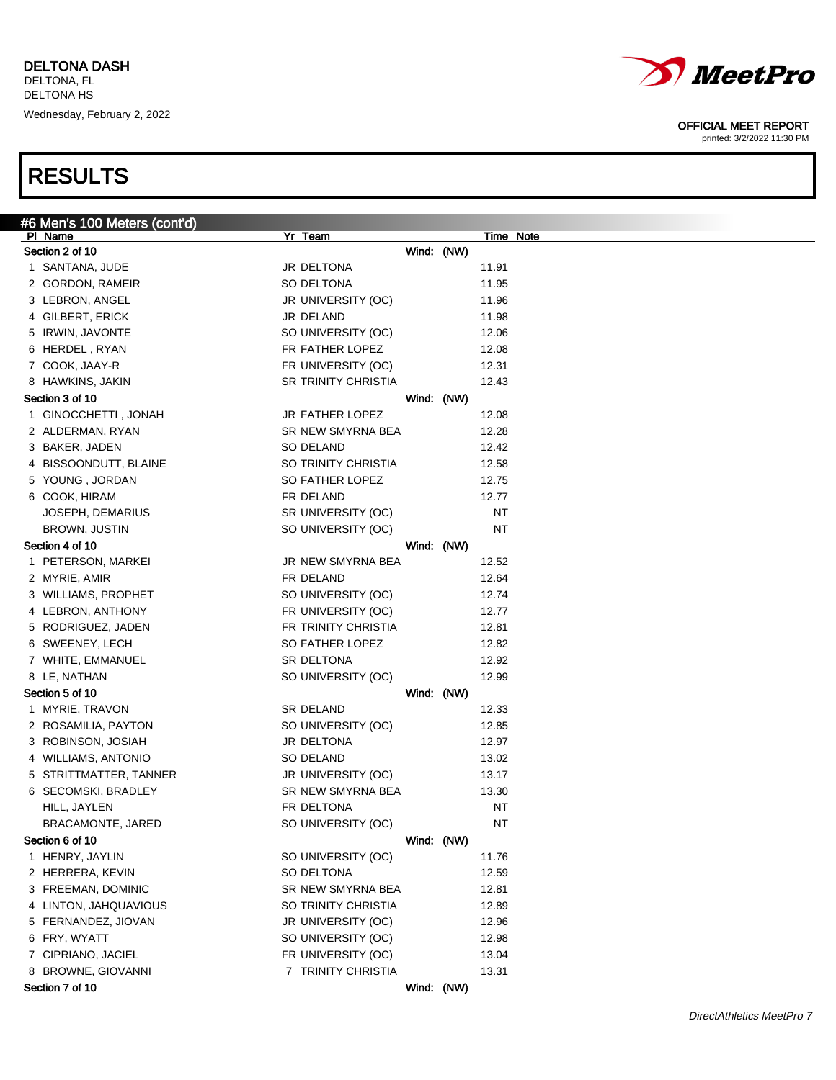

printed: 3/2/2022 11:30 PM

| #6 Men's 100 Meters (cont'd) |                        |            |           |           |
|------------------------------|------------------------|------------|-----------|-----------|
| PI Name                      | Yr Team                |            |           | Time Note |
| Section 2 of 10              |                        | Wind: (NW) |           |           |
| 1 SANTANA, JUDE              | JR DELTONA             |            | 11.91     |           |
| 2 GORDON, RAMEIR             | SO DELTONA             |            | 11.95     |           |
| 3 LEBRON, ANGEL              | JR UNIVERSITY (OC)     |            | 11.96     |           |
| 4 GILBERT, ERICK             | JR DELAND              |            | 11.98     |           |
| 5 IRWIN, JAVONTE             | SO UNIVERSITY (OC)     |            | 12.06     |           |
| 6 HERDEL, RYAN               | FR FATHER LOPEZ        |            | 12.08     |           |
| 7 COOK, JAAY-R               | FR UNIVERSITY (OC)     |            | 12.31     |           |
| 8 HAWKINS, JAKIN             | SR TRINITY CHRISTIA    |            | 12.43     |           |
| Section 3 of 10              |                        | Wind: (NW) |           |           |
| 1 GINOCCHETTI, JONAH         | <b>JR FATHER LOPEZ</b> |            | 12.08     |           |
| 2 ALDERMAN, RYAN             | SR NEW SMYRNA BEA      |            | 12.28     |           |
| 3 BAKER, JADEN               | SO DELAND              |            | 12.42     |           |
| 4 BISSOONDUTT, BLAINE        | SO TRINITY CHRISTIA    |            | 12.58     |           |
| 5 YOUNG, JORDAN              | SO FATHER LOPEZ        |            | 12.75     |           |
| 6 COOK, HIRAM                | FR DELAND              |            | 12.77     |           |
| JOSEPH, DEMARIUS             | SR UNIVERSITY (OC)     |            | <b>NT</b> |           |
| BROWN, JUSTIN                | SO UNIVERSITY (OC)     |            | <b>NT</b> |           |
| Section 4 of 10              |                        | Wind: (NW) |           |           |
| 1 PETERSON, MARKEI           | JR NEW SMYRNA BEA      |            | 12.52     |           |
| 2 MYRIE, AMIR                | FR DELAND              |            | 12.64     |           |
| 3 WILLIAMS, PROPHET          | SO UNIVERSITY (OC)     |            | 12.74     |           |
| 4 LEBRON, ANTHONY            | FR UNIVERSITY (OC)     |            | 12.77     |           |
| 5 RODRIGUEZ, JADEN           | FR TRINITY CHRISTIA    |            | 12.81     |           |
| 6 SWEENEY, LECH              | SO FATHER LOPEZ        |            | 12.82     |           |
| 7 WHITE, EMMANUEL            | SR DELTONA             |            | 12.92     |           |
| 8 LE, NATHAN                 | SO UNIVERSITY (OC)     |            | 12.99     |           |
| Section 5 of 10              |                        | Wind: (NW) |           |           |
| 1 MYRIE, TRAVON              | SR DELAND              |            | 12.33     |           |
| 2 ROSAMILIA, PAYTON          | SO UNIVERSITY (OC)     |            | 12.85     |           |
| 3 ROBINSON, JOSIAH           | JR DELTONA             |            | 12.97     |           |
| 4 WILLIAMS, ANTONIO          | SO DELAND              |            | 13.02     |           |
| 5 STRITTMATTER, TANNER       | JR UNIVERSITY (OC)     |            | 13.17     |           |
| 6 SECOMSKI, BRADLEY          | SR NEW SMYRNA BEA      |            | 13.30     |           |
| HILL, JAYLEN                 | FR DELTONA             |            | <b>NT</b> |           |
| BRACAMONTE, JARED            | SO UNIVERSITY (OC)     |            | <b>NT</b> |           |
| Section 6 of 10              |                        | Wind: (NW) |           |           |
| 1 HENRY, JAYLIN              | SO UNIVERSITY (OC)     |            | 11.76     |           |
| 2 HERRERA, KEVIN             | SO DELTONA             |            | 12.59     |           |
| 3 FREEMAN, DOMINIC           | SR NEW SMYRNA BEA      |            | 12.81     |           |
| 4 LINTON, JAHQUAVIOUS        | SO TRINITY CHRISTIA    |            | 12.89     |           |
| 5 FERNANDEZ, JIOVAN          |                        |            |           |           |
|                              | JR UNIVERSITY (OC)     |            | 12.96     |           |
| 6 FRY, WYATT                 | SO UNIVERSITY (OC)     |            | 12.98     |           |
| 7 CIPRIANO, JACIEL           | FR UNIVERSITY (OC)     |            | 13.04     |           |
| 8 BROWNE, GIOVANNI           | 7 TRINITY CHRISTIA     |            | 13.31     |           |
| Section 7 of 10              |                        | Wind: (NW) |           |           |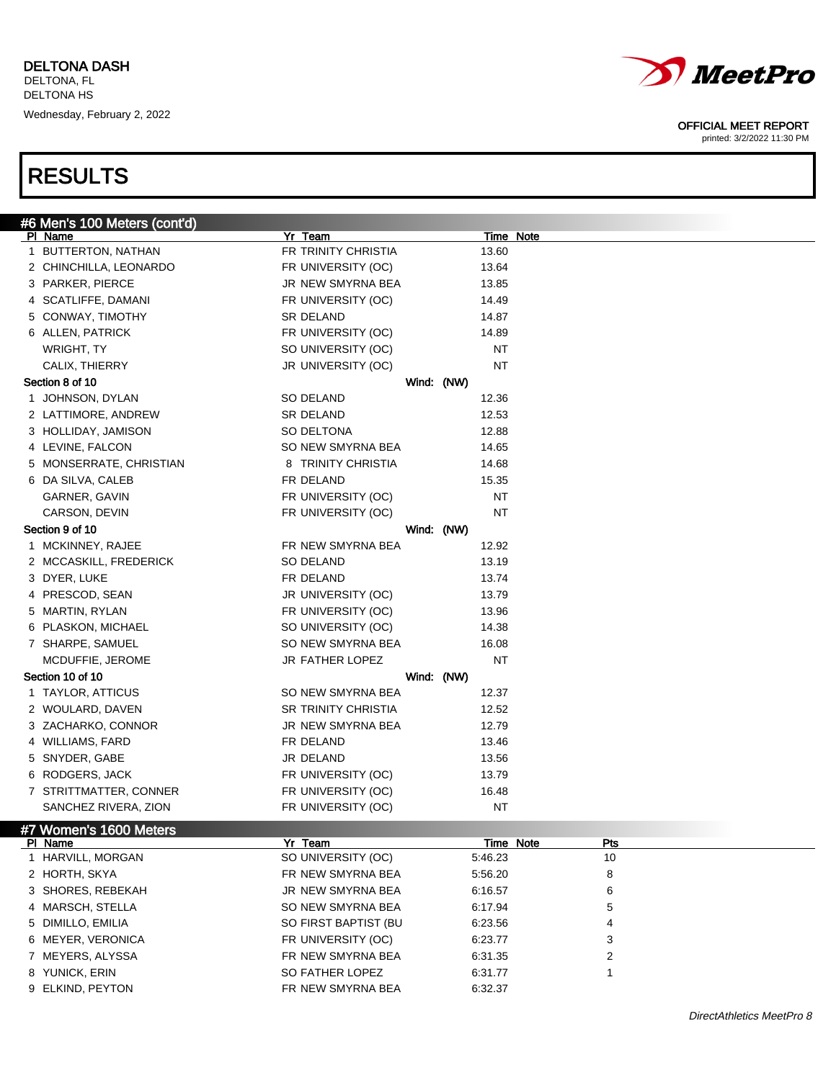

printed: 3/2/2022 11:30 PM

| PI Name<br><u>Time Note</u><br>1 BUTTERTON, NATHAN<br>FR TRINITY CHRISTIA<br>13.60<br>2 CHINCHILLA, LEONARDO<br>FR UNIVERSITY (OC)<br>13.64<br>3 PARKER, PIERCE<br>JR NEW SMYRNA BEA<br>13.85<br>4 SCATLIFFE, DAMANI<br>FR UNIVERSITY (OC)<br>14.49<br>5 CONWAY, TIMOTHY<br>SR DELAND<br>14.87<br>6 ALLEN, PATRICK<br>FR UNIVERSITY (OC)<br>14.89<br>WRIGHT, TY<br>SO UNIVERSITY (OC)<br>ΝT<br>CALIX, THIERRY<br>JR UNIVERSITY (OC)<br>ΝT<br>Section 8 of 10<br>Wind: (NW)<br>1 JOHNSON, DYLAN<br>SO DELAND<br>12.36<br>2 LATTIMORE, ANDREW<br>SR DELAND<br>12.53<br>3 HOLLIDAY, JAMISON<br>SO DELTONA<br>12.88<br>4 LEVINE, FALCON<br>SO NEW SMYRNA BEA<br>14.65<br>5 MONSERRATE, CHRISTIAN<br>8 TRINITY CHRISTIA<br>14.68<br>6 DA SILVA, CALEB<br>FR DELAND<br>15.35<br>GARNER, GAVIN<br>FR UNIVERSITY (OC)<br>ΝT<br>NT<br>CARSON, DEVIN<br>FR UNIVERSITY (OC)<br>Section 9 of 10<br>Wind: (NW)<br>1 MCKINNEY, RAJEE<br>FR NEW SMYRNA BEA<br>12.92<br>2 MCCASKILL, FREDERICK<br>SO DELAND<br>13.19<br>3 DYER, LUKE<br>FR DELAND<br>13.74<br>4 PRESCOD, SEAN<br>JR UNIVERSITY (OC)<br>13.79<br>5 MARTIN, RYLAN<br>FR UNIVERSITY (OC)<br>13.96<br>6 PLASKON, MICHAEL<br>SO UNIVERSITY (OC)<br>14.38<br>7 SHARPE, SAMUEL<br>SO NEW SMYRNA BEA<br>16.08<br>NT<br>MCDUFFIE, JEROME<br>JR FATHER LOPEZ<br>Section 10 of 10<br>Wind: (NW)<br>1 TAYLOR, ATTICUS<br>SO NEW SMYRNA BEA<br>12.37<br>2 WOULARD, DAVEN<br><b>SR TRINITY CHRISTIA</b><br>12.52<br>3 ZACHARKO, CONNOR<br>JR NEW SMYRNA BEA<br>12.79<br>4 WILLIAMS, FARD<br>FR DELAND<br>13.46<br>5 SNYDER, GABE<br>JR DELAND<br>13.56<br>6 RODGERS, JACK<br>FR UNIVERSITY (OC)<br>13.79<br>7 STRITTMATTER, CONNER<br>FR UNIVERSITY (OC)<br>16.48<br>SANCHEZ RIVERA, ZION<br>FR UNIVERSITY (OC)<br>ΝT<br>#7 Women's 1600 Meters<br>Yr Team<br>Time Note<br>PI Name<br>Pts<br>SO UNIVERSITY (OC)<br>1 HARVILL, MORGAN<br>10<br>5:46.23<br>2 HORTH, SKYA<br>FR NEW SMYRNA BEA<br>8<br>5:56.20 | #6 Men's 100 Meters (cont'd) |                 |         |  |
|-----------------------------------------------------------------------------------------------------------------------------------------------------------------------------------------------------------------------------------------------------------------------------------------------------------------------------------------------------------------------------------------------------------------------------------------------------------------------------------------------------------------------------------------------------------------------------------------------------------------------------------------------------------------------------------------------------------------------------------------------------------------------------------------------------------------------------------------------------------------------------------------------------------------------------------------------------------------------------------------------------------------------------------------------------------------------------------------------------------------------------------------------------------------------------------------------------------------------------------------------------------------------------------------------------------------------------------------------------------------------------------------------------------------------------------------------------------------------------------------------------------------------------------------------------------------------------------------------------------------------------------------------------------------------------------------------------------------------------------------------------------------------------------------------------------------------------------------------------------------------------------------------------------------------------------------------|------------------------------|-----------------|---------|--|
|                                                                                                                                                                                                                                                                                                                                                                                                                                                                                                                                                                                                                                                                                                                                                                                                                                                                                                                                                                                                                                                                                                                                                                                                                                                                                                                                                                                                                                                                                                                                                                                                                                                                                                                                                                                                                                                                                                                                               |                              | Yr Team         |         |  |
|                                                                                                                                                                                                                                                                                                                                                                                                                                                                                                                                                                                                                                                                                                                                                                                                                                                                                                                                                                                                                                                                                                                                                                                                                                                                                                                                                                                                                                                                                                                                                                                                                                                                                                                                                                                                                                                                                                                                               |                              |                 |         |  |
|                                                                                                                                                                                                                                                                                                                                                                                                                                                                                                                                                                                                                                                                                                                                                                                                                                                                                                                                                                                                                                                                                                                                                                                                                                                                                                                                                                                                                                                                                                                                                                                                                                                                                                                                                                                                                                                                                                                                               |                              |                 |         |  |
|                                                                                                                                                                                                                                                                                                                                                                                                                                                                                                                                                                                                                                                                                                                                                                                                                                                                                                                                                                                                                                                                                                                                                                                                                                                                                                                                                                                                                                                                                                                                                                                                                                                                                                                                                                                                                                                                                                                                               |                              |                 |         |  |
|                                                                                                                                                                                                                                                                                                                                                                                                                                                                                                                                                                                                                                                                                                                                                                                                                                                                                                                                                                                                                                                                                                                                                                                                                                                                                                                                                                                                                                                                                                                                                                                                                                                                                                                                                                                                                                                                                                                                               |                              |                 |         |  |
|                                                                                                                                                                                                                                                                                                                                                                                                                                                                                                                                                                                                                                                                                                                                                                                                                                                                                                                                                                                                                                                                                                                                                                                                                                                                                                                                                                                                                                                                                                                                                                                                                                                                                                                                                                                                                                                                                                                                               |                              |                 |         |  |
|                                                                                                                                                                                                                                                                                                                                                                                                                                                                                                                                                                                                                                                                                                                                                                                                                                                                                                                                                                                                                                                                                                                                                                                                                                                                                                                                                                                                                                                                                                                                                                                                                                                                                                                                                                                                                                                                                                                                               |                              |                 |         |  |
|                                                                                                                                                                                                                                                                                                                                                                                                                                                                                                                                                                                                                                                                                                                                                                                                                                                                                                                                                                                                                                                                                                                                                                                                                                                                                                                                                                                                                                                                                                                                                                                                                                                                                                                                                                                                                                                                                                                                               |                              |                 |         |  |
|                                                                                                                                                                                                                                                                                                                                                                                                                                                                                                                                                                                                                                                                                                                                                                                                                                                                                                                                                                                                                                                                                                                                                                                                                                                                                                                                                                                                                                                                                                                                                                                                                                                                                                                                                                                                                                                                                                                                               |                              |                 |         |  |
|                                                                                                                                                                                                                                                                                                                                                                                                                                                                                                                                                                                                                                                                                                                                                                                                                                                                                                                                                                                                                                                                                                                                                                                                                                                                                                                                                                                                                                                                                                                                                                                                                                                                                                                                                                                                                                                                                                                                               |                              |                 |         |  |
|                                                                                                                                                                                                                                                                                                                                                                                                                                                                                                                                                                                                                                                                                                                                                                                                                                                                                                                                                                                                                                                                                                                                                                                                                                                                                                                                                                                                                                                                                                                                                                                                                                                                                                                                                                                                                                                                                                                                               |                              |                 |         |  |
|                                                                                                                                                                                                                                                                                                                                                                                                                                                                                                                                                                                                                                                                                                                                                                                                                                                                                                                                                                                                                                                                                                                                                                                                                                                                                                                                                                                                                                                                                                                                                                                                                                                                                                                                                                                                                                                                                                                                               |                              |                 |         |  |
|                                                                                                                                                                                                                                                                                                                                                                                                                                                                                                                                                                                                                                                                                                                                                                                                                                                                                                                                                                                                                                                                                                                                                                                                                                                                                                                                                                                                                                                                                                                                                                                                                                                                                                                                                                                                                                                                                                                                               |                              |                 |         |  |
|                                                                                                                                                                                                                                                                                                                                                                                                                                                                                                                                                                                                                                                                                                                                                                                                                                                                                                                                                                                                                                                                                                                                                                                                                                                                                                                                                                                                                                                                                                                                                                                                                                                                                                                                                                                                                                                                                                                                               |                              |                 |         |  |
|                                                                                                                                                                                                                                                                                                                                                                                                                                                                                                                                                                                                                                                                                                                                                                                                                                                                                                                                                                                                                                                                                                                                                                                                                                                                                                                                                                                                                                                                                                                                                                                                                                                                                                                                                                                                                                                                                                                                               |                              |                 |         |  |
|                                                                                                                                                                                                                                                                                                                                                                                                                                                                                                                                                                                                                                                                                                                                                                                                                                                                                                                                                                                                                                                                                                                                                                                                                                                                                                                                                                                                                                                                                                                                                                                                                                                                                                                                                                                                                                                                                                                                               |                              |                 |         |  |
|                                                                                                                                                                                                                                                                                                                                                                                                                                                                                                                                                                                                                                                                                                                                                                                                                                                                                                                                                                                                                                                                                                                                                                                                                                                                                                                                                                                                                                                                                                                                                                                                                                                                                                                                                                                                                                                                                                                                               |                              |                 |         |  |
|                                                                                                                                                                                                                                                                                                                                                                                                                                                                                                                                                                                                                                                                                                                                                                                                                                                                                                                                                                                                                                                                                                                                                                                                                                                                                                                                                                                                                                                                                                                                                                                                                                                                                                                                                                                                                                                                                                                                               |                              |                 |         |  |
|                                                                                                                                                                                                                                                                                                                                                                                                                                                                                                                                                                                                                                                                                                                                                                                                                                                                                                                                                                                                                                                                                                                                                                                                                                                                                                                                                                                                                                                                                                                                                                                                                                                                                                                                                                                                                                                                                                                                               |                              |                 |         |  |
|                                                                                                                                                                                                                                                                                                                                                                                                                                                                                                                                                                                                                                                                                                                                                                                                                                                                                                                                                                                                                                                                                                                                                                                                                                                                                                                                                                                                                                                                                                                                                                                                                                                                                                                                                                                                                                                                                                                                               |                              |                 |         |  |
|                                                                                                                                                                                                                                                                                                                                                                                                                                                                                                                                                                                                                                                                                                                                                                                                                                                                                                                                                                                                                                                                                                                                                                                                                                                                                                                                                                                                                                                                                                                                                                                                                                                                                                                                                                                                                                                                                                                                               |                              |                 |         |  |
|                                                                                                                                                                                                                                                                                                                                                                                                                                                                                                                                                                                                                                                                                                                                                                                                                                                                                                                                                                                                                                                                                                                                                                                                                                                                                                                                                                                                                                                                                                                                                                                                                                                                                                                                                                                                                                                                                                                                               |                              |                 |         |  |
|                                                                                                                                                                                                                                                                                                                                                                                                                                                                                                                                                                                                                                                                                                                                                                                                                                                                                                                                                                                                                                                                                                                                                                                                                                                                                                                                                                                                                                                                                                                                                                                                                                                                                                                                                                                                                                                                                                                                               |                              |                 |         |  |
|                                                                                                                                                                                                                                                                                                                                                                                                                                                                                                                                                                                                                                                                                                                                                                                                                                                                                                                                                                                                                                                                                                                                                                                                                                                                                                                                                                                                                                                                                                                                                                                                                                                                                                                                                                                                                                                                                                                                               |                              |                 |         |  |
|                                                                                                                                                                                                                                                                                                                                                                                                                                                                                                                                                                                                                                                                                                                                                                                                                                                                                                                                                                                                                                                                                                                                                                                                                                                                                                                                                                                                                                                                                                                                                                                                                                                                                                                                                                                                                                                                                                                                               |                              |                 |         |  |
|                                                                                                                                                                                                                                                                                                                                                                                                                                                                                                                                                                                                                                                                                                                                                                                                                                                                                                                                                                                                                                                                                                                                                                                                                                                                                                                                                                                                                                                                                                                                                                                                                                                                                                                                                                                                                                                                                                                                               |                              |                 |         |  |
|                                                                                                                                                                                                                                                                                                                                                                                                                                                                                                                                                                                                                                                                                                                                                                                                                                                                                                                                                                                                                                                                                                                                                                                                                                                                                                                                                                                                                                                                                                                                                                                                                                                                                                                                                                                                                                                                                                                                               |                              |                 |         |  |
|                                                                                                                                                                                                                                                                                                                                                                                                                                                                                                                                                                                                                                                                                                                                                                                                                                                                                                                                                                                                                                                                                                                                                                                                                                                                                                                                                                                                                                                                                                                                                                                                                                                                                                                                                                                                                                                                                                                                               |                              |                 |         |  |
|                                                                                                                                                                                                                                                                                                                                                                                                                                                                                                                                                                                                                                                                                                                                                                                                                                                                                                                                                                                                                                                                                                                                                                                                                                                                                                                                                                                                                                                                                                                                                                                                                                                                                                                                                                                                                                                                                                                                               |                              |                 |         |  |
|                                                                                                                                                                                                                                                                                                                                                                                                                                                                                                                                                                                                                                                                                                                                                                                                                                                                                                                                                                                                                                                                                                                                                                                                                                                                                                                                                                                                                                                                                                                                                                                                                                                                                                                                                                                                                                                                                                                                               |                              |                 |         |  |
|                                                                                                                                                                                                                                                                                                                                                                                                                                                                                                                                                                                                                                                                                                                                                                                                                                                                                                                                                                                                                                                                                                                                                                                                                                                                                                                                                                                                                                                                                                                                                                                                                                                                                                                                                                                                                                                                                                                                               |                              |                 |         |  |
|                                                                                                                                                                                                                                                                                                                                                                                                                                                                                                                                                                                                                                                                                                                                                                                                                                                                                                                                                                                                                                                                                                                                                                                                                                                                                                                                                                                                                                                                                                                                                                                                                                                                                                                                                                                                                                                                                                                                               |                              |                 |         |  |
|                                                                                                                                                                                                                                                                                                                                                                                                                                                                                                                                                                                                                                                                                                                                                                                                                                                                                                                                                                                                                                                                                                                                                                                                                                                                                                                                                                                                                                                                                                                                                                                                                                                                                                                                                                                                                                                                                                                                               |                              |                 |         |  |
|                                                                                                                                                                                                                                                                                                                                                                                                                                                                                                                                                                                                                                                                                                                                                                                                                                                                                                                                                                                                                                                                                                                                                                                                                                                                                                                                                                                                                                                                                                                                                                                                                                                                                                                                                                                                                                                                                                                                               |                              |                 |         |  |
|                                                                                                                                                                                                                                                                                                                                                                                                                                                                                                                                                                                                                                                                                                                                                                                                                                                                                                                                                                                                                                                                                                                                                                                                                                                                                                                                                                                                                                                                                                                                                                                                                                                                                                                                                                                                                                                                                                                                               |                              |                 |         |  |
|                                                                                                                                                                                                                                                                                                                                                                                                                                                                                                                                                                                                                                                                                                                                                                                                                                                                                                                                                                                                                                                                                                                                                                                                                                                                                                                                                                                                                                                                                                                                                                                                                                                                                                                                                                                                                                                                                                                                               |                              |                 |         |  |
|                                                                                                                                                                                                                                                                                                                                                                                                                                                                                                                                                                                                                                                                                                                                                                                                                                                                                                                                                                                                                                                                                                                                                                                                                                                                                                                                                                                                                                                                                                                                                                                                                                                                                                                                                                                                                                                                                                                                               |                              |                 |         |  |
|                                                                                                                                                                                                                                                                                                                                                                                                                                                                                                                                                                                                                                                                                                                                                                                                                                                                                                                                                                                                                                                                                                                                                                                                                                                                                                                                                                                                                                                                                                                                                                                                                                                                                                                                                                                                                                                                                                                                               |                              |                 |         |  |
|                                                                                                                                                                                                                                                                                                                                                                                                                                                                                                                                                                                                                                                                                                                                                                                                                                                                                                                                                                                                                                                                                                                                                                                                                                                                                                                                                                                                                                                                                                                                                                                                                                                                                                                                                                                                                                                                                                                                               |                              |                 |         |  |
|                                                                                                                                                                                                                                                                                                                                                                                                                                                                                                                                                                                                                                                                                                                                                                                                                                                                                                                                                                                                                                                                                                                                                                                                                                                                                                                                                                                                                                                                                                                                                                                                                                                                                                                                                                                                                                                                                                                                               |                              |                 |         |  |
| 3 SHORES, REBEKAH<br>JR NEW SMYRNA BEA<br>6<br>6:16.57                                                                                                                                                                                                                                                                                                                                                                                                                                                                                                                                                                                                                                                                                                                                                                                                                                                                                                                                                                                                                                                                                                                                                                                                                                                                                                                                                                                                                                                                                                                                                                                                                                                                                                                                                                                                                                                                                        |                              |                 |         |  |
| SO NEW SMYRNA BEA<br>4 MARSCH, STELLA<br>6:17.94<br>5                                                                                                                                                                                                                                                                                                                                                                                                                                                                                                                                                                                                                                                                                                                                                                                                                                                                                                                                                                                                                                                                                                                                                                                                                                                                                                                                                                                                                                                                                                                                                                                                                                                                                                                                                                                                                                                                                         |                              |                 |         |  |
| 5 DIMILLO, EMILIA<br>SO FIRST BAPTIST (BU<br>6:23.56<br>4                                                                                                                                                                                                                                                                                                                                                                                                                                                                                                                                                                                                                                                                                                                                                                                                                                                                                                                                                                                                                                                                                                                                                                                                                                                                                                                                                                                                                                                                                                                                                                                                                                                                                                                                                                                                                                                                                     |                              |                 |         |  |
| 6 MEYER, VERONICA<br>FR UNIVERSITY (OC)<br>3<br>6:23.77                                                                                                                                                                                                                                                                                                                                                                                                                                                                                                                                                                                                                                                                                                                                                                                                                                                                                                                                                                                                                                                                                                                                                                                                                                                                                                                                                                                                                                                                                                                                                                                                                                                                                                                                                                                                                                                                                       |                              |                 |         |  |
| FR NEW SMYRNA BEA<br>7 MEYERS, ALYSSA<br>2<br>6:31.35                                                                                                                                                                                                                                                                                                                                                                                                                                                                                                                                                                                                                                                                                                                                                                                                                                                                                                                                                                                                                                                                                                                                                                                                                                                                                                                                                                                                                                                                                                                                                                                                                                                                                                                                                                                                                                                                                         |                              |                 |         |  |
| 8 YUNICK, ERIN                                                                                                                                                                                                                                                                                                                                                                                                                                                                                                                                                                                                                                                                                                                                                                                                                                                                                                                                                                                                                                                                                                                                                                                                                                                                                                                                                                                                                                                                                                                                                                                                                                                                                                                                                                                                                                                                                                                                |                              |                 |         |  |
| 9 ELKIND, PEYTON<br>FR NEW SMYRNA BEA<br>6:32.37                                                                                                                                                                                                                                                                                                                                                                                                                                                                                                                                                                                                                                                                                                                                                                                                                                                                                                                                                                                                                                                                                                                                                                                                                                                                                                                                                                                                                                                                                                                                                                                                                                                                                                                                                                                                                                                                                              |                              | SO FATHER LOPEZ | 6:31.77 |  |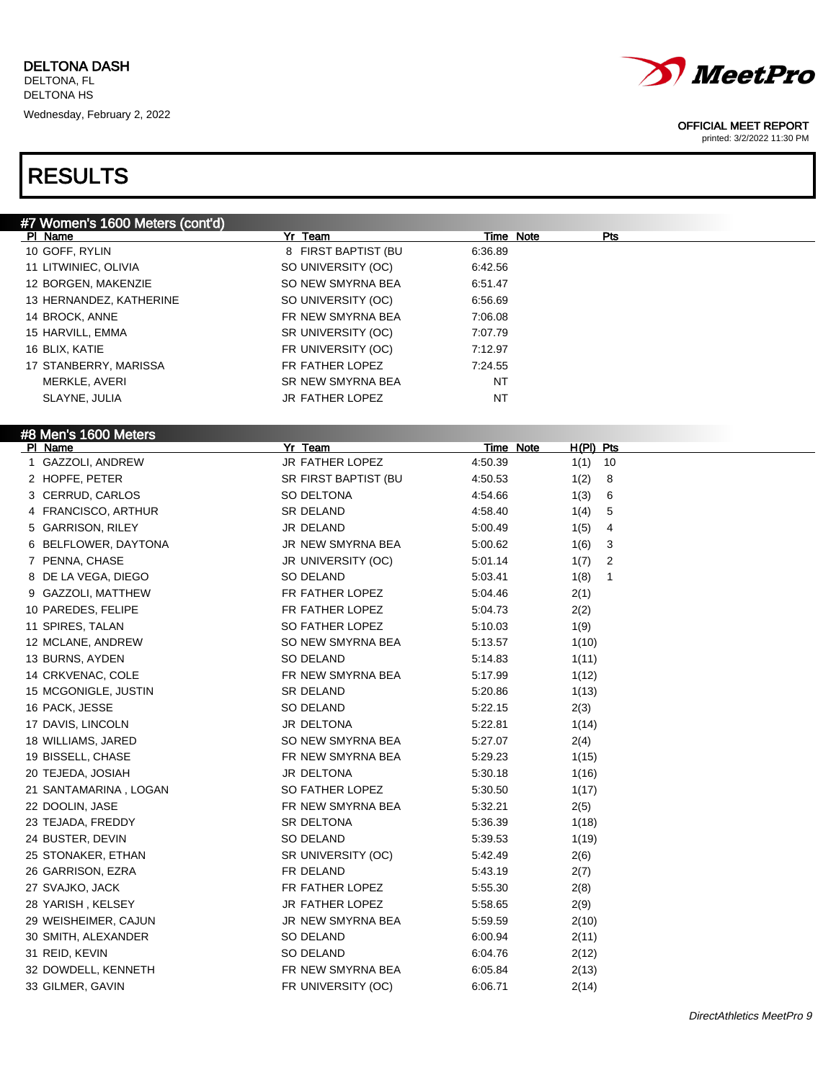

printed: 3/2/2022 11:30 PM

| #7 Women's 1600 Meters (cont'd) |                                    |                  |             |  |
|---------------------------------|------------------------------------|------------------|-------------|--|
| PI Name                         | Yr Team                            | <b>Time Note</b> | <b>Pts</b>  |  |
| 10 GOFF, RYLIN                  | 8 FIRST BAPTIST (BU                | 6:36.89          |             |  |
| 11 LITWINIEC, OLIVIA            | SO UNIVERSITY (OC)                 | 6:42.56          |             |  |
| 12 BORGEN, MAKENZIE             | SO NEW SMYRNA BEA                  | 6:51.47          |             |  |
| 13 HERNANDEZ, KATHERINE         | SO UNIVERSITY (OC)                 | 6:56.69          |             |  |
| 14 BROCK, ANNE                  | FR NEW SMYRNA BEA                  | 7:06.08          |             |  |
| 15 HARVILL, EMMA                | SR UNIVERSITY (OC)                 | 7:07.79          |             |  |
| 16 BLIX, KATIE                  | FR UNIVERSITY (OC)                 | 7:12.97          |             |  |
| 17 STANBERRY, MARISSA           | FR FATHER LOPEZ                    | 7:24.55          |             |  |
| MERKLE, AVERI                   | SR NEW SMYRNA BEA                  | NT               |             |  |
| SLAYNE, JULIA                   | JR FATHER LOPEZ                    | NT               |             |  |
|                                 |                                    |                  |             |  |
| #8 Men's 1600 Meters<br>PI Name | Yr Team                            | <b>Time Note</b> | $H(PI)$ Pts |  |
| 1 GAZZOLI, ANDREW               | JR FATHER LOPEZ                    | 4:50.39          | 10<br>1(1)  |  |
| 2 HOPFE, PETER                  | SR FIRST BAPTIST (BU               | 4:50.53          | 1(2)<br>8   |  |
| 3 CERRUD, CARLOS                | SO DELTONA                         | 4:54.66          | 6<br>1(3)   |  |
| 4 FRANCISCO, ARTHUR             | SR DELAND                          | 4:58.40          | 5<br>1(4)   |  |
| 5 GARRISON, RILEY               | JR DELAND                          | 5:00.49          | 1(5)<br>4   |  |
| 6 BELFLOWER, DAYTONA            | JR NEW SMYRNA BEA                  | 5:00.62          | 1(6)<br>3   |  |
| 7 PENNA, CHASE                  | JR UNIVERSITY (OC)                 | 5:01.14          | 1(7)<br>2   |  |
| 8 DE LA VEGA, DIEGO             | SO DELAND                          | 5:03.41          | 1(8)<br>1   |  |
| 9 GAZZOLI, MATTHEW              | FR FATHER LOPEZ                    | 5:04.46          | 2(1)        |  |
| 10 PAREDES, FELIPE              | FR FATHER LOPEZ                    | 5:04.73          | 2(2)        |  |
| 11 SPIRES, TALAN                | SO FATHER LOPEZ                    | 5:10.03          | 1(9)        |  |
| 12 MCLANE, ANDREW               | SO NEW SMYRNA BEA                  | 5:13.57          | 1(10)       |  |
| 13 BURNS, AYDEN                 | SO DELAND                          | 5:14.83          | 1(11)       |  |
| 14 CRKVENAC, COLE               | FR NEW SMYRNA BEA                  | 5:17.99          | 1(12)       |  |
| 15 MCGONIGLE, JUSTIN            | SR DELAND                          | 5:20.86          | 1(13)       |  |
| 16 PACK, JESSE                  | SO DELAND                          | 5:22.15          | 2(3)        |  |
| 17 DAVIS, LINCOLN               | JR DELTONA                         | 5:22.81          | 1(14)       |  |
| 18 WILLIAMS, JARED              | SO NEW SMYRNA BEA                  | 5:27.07          | 2(4)        |  |
| 19 BISSELL, CHASE               | FR NEW SMYRNA BEA                  | 5:29.23          | 1(15)       |  |
| 20 TEJEDA, JOSIAH               | JR DELTONA                         | 5:30.18          | 1(16)       |  |
| 21 SANTAMARINA, LOGAN           | SO FATHER LOPEZ                    | 5:30.50          | 1(17)       |  |
| 22 DOOLIN, JASE                 | FR NEW SMYRNA BEA                  | 5:32.21          | 2(5)        |  |
| 23 TEJADA, FREDDY               | SR DELTONA                         | 5:36.39          | 1(18)       |  |
| 24 BUSTER, DEVIN                | SO DELAND                          | 5:39.53          | 1(19)       |  |
| 25 STONAKER, ETHAN              | SR UNIVERSITY (OC)                 | 5:42.49          | 2(6)        |  |
| 26 GARRISON, EZRA               | FR DELAND                          | 5:43.19          |             |  |
|                                 |                                    |                  | 2(7)        |  |
| 27 SVAJKO, JACK                 | FR FATHER LOPEZ<br>JR FATHER LOPEZ | 5:55.30          | 2(8)        |  |
| 28 YARISH, KELSEY               | JR NEW SMYRNA BEA                  | 5:58.65          | 2(9)        |  |
| 29 WEISHEIMER, CAJUN            |                                    | 5:59.59          | 2(10)       |  |
| 30 SMITH, ALEXANDER             | SO DELAND                          | 6:00.94          | 2(11)       |  |
| 31 REID, KEVIN                  | SO DELAND                          | 6:04.76          | 2(12)       |  |
| 32 DOWDELL, KENNETH             | FR NEW SMYRNA BEA                  | 6:05.84          | 2(13)       |  |
| 33 GILMER, GAVIN                | FR UNIVERSITY (OC)                 | 6:06.71          | 2(14)       |  |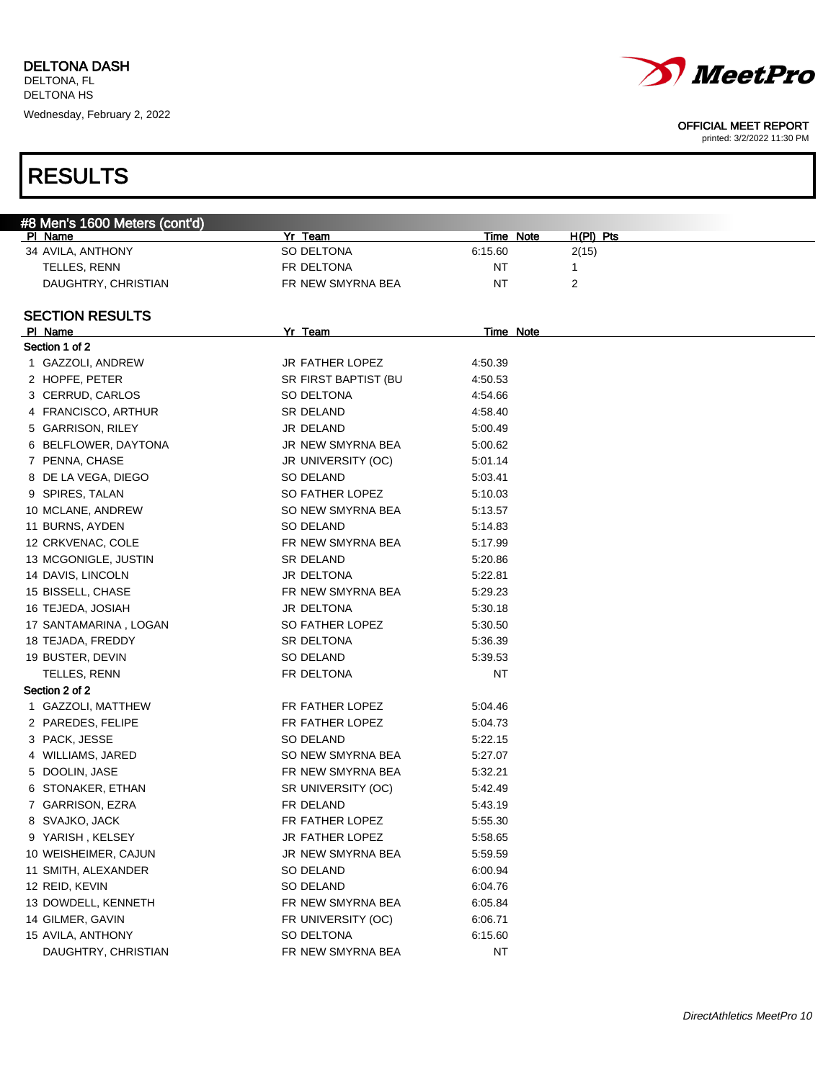

printed: 3/2/2022 11:30 PM

| #8 Men's 1600 Meters (cont'd) |                      |         |                  |             |
|-------------------------------|----------------------|---------|------------------|-------------|
| PI Name                       | Yr Team              |         | Time Note        | $H(PI)$ Pts |
| 34 AVILA, ANTHONY             | SO DELTONA           | 6:15.60 | 2(15)            |             |
| TELLES, RENN                  | FR DELTONA           | NT      | 1                |             |
| DAUGHTRY, CHRISTIAN           | FR NEW SMYRNA BEA    | NT      | 2                |             |
|                               |                      |         |                  |             |
| <b>SECTION RESULTS</b>        |                      |         |                  |             |
| PI Name                       | Yr Team              |         | <b>Time Note</b> |             |
| Section 1 of 2                |                      |         |                  |             |
| 1 GAZZOLI, ANDREW             | JR FATHER LOPEZ      | 4:50.39 |                  |             |
| 2 HOPFE, PETER                | SR FIRST BAPTIST (BU | 4:50.53 |                  |             |
| 3 CERRUD, CARLOS              | SO DELTONA           | 4:54.66 |                  |             |
| 4 FRANCISCO, ARTHUR           | SR DELAND            | 4:58.40 |                  |             |
| 5 GARRISON, RILEY             | JR DELAND            | 5:00.49 |                  |             |
| 6 BELFLOWER, DAYTONA          | JR NEW SMYRNA BEA    | 5:00.62 |                  |             |
| 7 PENNA, CHASE                | JR UNIVERSITY (OC)   | 5:01.14 |                  |             |
| 8 DE LA VEGA, DIEGO           | SO DELAND            | 5:03.41 |                  |             |
| 9 SPIRES, TALAN               | SO FATHER LOPEZ      | 5:10.03 |                  |             |
| 10 MCLANE, ANDREW             | SO NEW SMYRNA BEA    | 5:13.57 |                  |             |
| 11 BURNS, AYDEN               | SO DELAND            | 5:14.83 |                  |             |
| 12 CRKVENAC, COLE             | FR NEW SMYRNA BEA    | 5:17.99 |                  |             |
| 13 MCGONIGLE, JUSTIN          | SR DELAND            | 5:20.86 |                  |             |
| 14 DAVIS, LINCOLN             | JR DELTONA           | 5:22.81 |                  |             |
| 15 BISSELL, CHASE             | FR NEW SMYRNA BEA    | 5:29.23 |                  |             |
| 16 TEJEDA, JOSIAH             | JR DELTONA           | 5:30.18 |                  |             |
| 17 SANTAMARINA, LOGAN         | SO FATHER LOPEZ      | 5:30.50 |                  |             |
| 18 TEJADA, FREDDY             | SR DELTONA           | 5:36.39 |                  |             |
| 19 BUSTER, DEVIN              | SO DELAND            | 5:39.53 |                  |             |
| TELLES, RENN                  | FR DELTONA           | NT      |                  |             |
| Section 2 of 2                |                      |         |                  |             |
| 1 GAZZOLI, MATTHEW            | FR FATHER LOPEZ      | 5:04.46 |                  |             |
| 2 PAREDES, FELIPE             | FR FATHER LOPEZ      | 5:04.73 |                  |             |
| 3 PACK, JESSE                 | SO DELAND            | 5:22.15 |                  |             |
| 4 WILLIAMS, JARED             | SO NEW SMYRNA BEA    | 5:27.07 |                  |             |
| 5 DOOLIN, JASE                | FR NEW SMYRNA BEA    | 5:32.21 |                  |             |
| 6 STONAKER, ETHAN             | SR UNIVERSITY (OC)   | 5:42.49 |                  |             |
| 7 GARRISON, EZRA              | FR DELAND            | 5:43.19 |                  |             |
| 8 SVAJKO, JACK                | FR FATHER LOPEZ      | 5:55.30 |                  |             |
| 9 YARISH, KELSEY              | JR FATHER LOPEZ      | 5:58.65 |                  |             |
| 10 WEISHEIMER, CAJUN          | JR NEW SMYRNA BEA    | 5:59.59 |                  |             |
| 11 SMITH, ALEXANDER           | SO DELAND            | 6:00.94 |                  |             |
| 12 REID, KEVIN                | SO DELAND            | 6:04.76 |                  |             |
| 13 DOWDELL, KENNETH           | FR NEW SMYRNA BEA    | 6:05.84 |                  |             |
| 14 GILMER, GAVIN              | FR UNIVERSITY (OC)   | 6:06.71 |                  |             |
| 15 AVILA, ANTHONY             | SO DELTONA           | 6:15.60 |                  |             |
| DAUGHTRY, CHRISTIAN           | FR NEW SMYRNA BEA    | NT      |                  |             |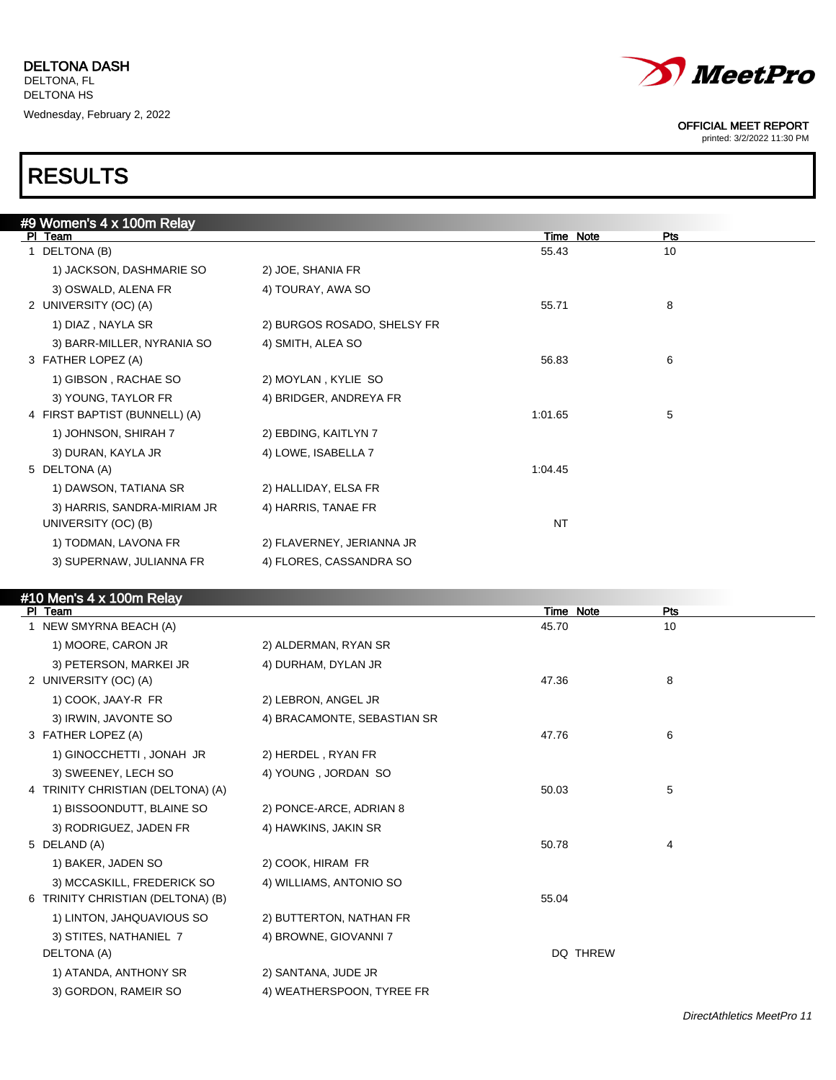

printed: 3/2/2022 11:30 PM

## RESULTS

| #9 Women's 4 x 100m Relay     |                             |           |     |  |
|-------------------------------|-----------------------------|-----------|-----|--|
| PI Team                       |                             | Time Note | Pts |  |
| 1 DELTONA (B)                 |                             | 55.43     | 10  |  |
| 1) JACKSON, DASHMARIE SO      | 2) JOE, SHANIA FR           |           |     |  |
| 3) OSWALD, ALENA FR           | 4) TOURAY, AWA SO           |           |     |  |
| 2 UNIVERSITY (OC) (A)         |                             | 55.71     | 8   |  |
| 1) DIAZ, NAYLA SR             | 2) BURGOS ROSADO, SHELSY FR |           |     |  |
| 3) BARR-MILLER, NYRANIA SO    | 4) SMITH, ALEA SO           |           |     |  |
| 3 FATHER LOPEZ (A)            |                             | 56.83     | 6   |  |
| 1) GIBSON, RACHAE SO          | 2) MOYLAN, KYLIE SO         |           |     |  |
| 3) YOUNG, TAYLOR FR           | 4) BRIDGER, ANDREYA FR      |           |     |  |
| 4 FIRST BAPTIST (BUNNELL) (A) |                             | 1:01.65   | 5   |  |
| 1) JOHNSON, SHIRAH 7          | 2) EBDING, KAITLYN 7        |           |     |  |
| 3) DURAN, KAYLA JR            | 4) LOWE, ISABELLA 7         |           |     |  |
| 5 DELTONA (A)                 |                             | 1:04.45   |     |  |
| 1) DAWSON, TATIANA SR         | 2) HALLIDAY, ELSA FR        |           |     |  |
| 3) HARRIS, SANDRA-MIRIAM JR   | 4) HARRIS, TANAE FR         |           |     |  |
| UNIVERSITY (OC) (B)           |                             | <b>NT</b> |     |  |
| 1) TODMAN, LAVONA FR          | 2) FLAVERNEY, JERIANNA JR   |           |     |  |
| 3) SUPERNAW, JULIANNA FR      | 4) FLORES, CASSANDRA SO     |           |     |  |
|                               |                             |           |     |  |

## #10 Men's 4 x 100m Relay

| $110110 + X + 90111 + 00100$<br>PI Team |                             | Time Note       | Pts |
|-----------------------------------------|-----------------------------|-----------------|-----|
| 1 NEW SMYRNA BEACH (A)                  |                             | 45.70           | 10  |
| 1) MOORE, CARON JR                      | 2) ALDERMAN, RYAN SR        |                 |     |
| 3) PETERSON, MARKEI JR                  | 4) DURHAM, DYLAN JR         |                 |     |
| 2 UNIVERSITY (OC) (A)                   |                             | 47.36           | 8   |
| 1) COOK, JAAY-R FR                      | 2) LEBRON, ANGEL JR         |                 |     |
| 3) IRWIN, JAVONTE SO                    | 4) BRACAMONTE, SEBASTIAN SR |                 |     |
| 3 FATHER LOPEZ (A)                      |                             | 47.76           | 6   |
| 1) GINOCCHETTI, JONAH JR                | 2) HERDEL, RYAN FR          |                 |     |
| 3) SWEENEY, LECH SO                     | 4) YOUNG, JORDAN SO         |                 |     |
| 4 TRINITY CHRISTIAN (DELTONA) (A)       |                             | 50.03           | 5   |
| 1) BISSOONDUTT, BLAINE SO               | 2) PONCE-ARCE, ADRIAN 8     |                 |     |
| 3) RODRIGUEZ, JADEN FR                  | 4) HAWKINS, JAKIN SR        |                 |     |
| 5 DELAND (A)                            |                             | 50.78           | 4   |
| 1) BAKER, JADEN SO                      | 2) COOK, HIRAM FR           |                 |     |
| 3) MCCASKILL, FREDERICK SO              | 4) WILLIAMS, ANTONIO SO     |                 |     |
| 6 TRINITY CHRISTIAN (DELTONA) (B)       |                             | 55.04           |     |
| 1) LINTON, JAHQUAVIOUS SO               | 2) BUTTERTON, NATHAN FR     |                 |     |
| 3) STITES, NATHANIEL 7                  | 4) BROWNE, GIOVANNI 7       |                 |     |
| DELTONA (A)                             |                             | <b>DQ THREW</b> |     |
| 1) ATANDA, ANTHONY SR                   | 2) SANTANA, JUDE JR         |                 |     |
| 3) GORDON, RAMEIR SO                    | 4) WEATHERSPOON, TYREE FR   |                 |     |
|                                         |                             |                 |     |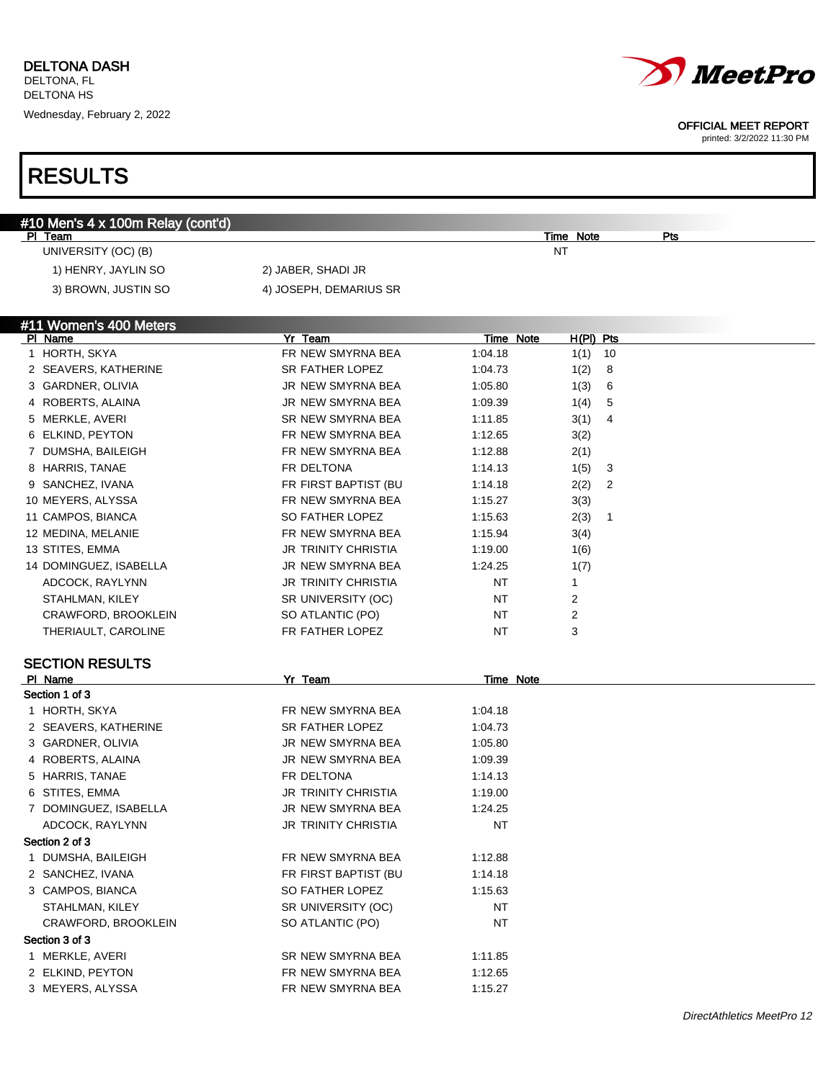

#### OFFICIAL MEET REPORT

printed: 3/2/2022 11:30 PM

### #10 Men's 4 x 100m Relay (cont'd) Pl Team Time Note Pts UNIVERSITY (OC) (B) NT 1) HENRY, JAYLIN SO 2) JABER, SHADI JR 3) BROWN, JUSTIN SO 4) JOSEPH, DEMARIUS SR #11 Women's 400 Meters Pl Name Yr Team Time Note H(Pl) Pts 1 HORTH, SKYA FR NEW SMYRNA BEA 1:04.18 1(1) 10 2 SEAVERS, KATHERINE SR FATHER LOPEZ 1:04.73 1(2) 8 3 GARDNER, OLIVIA 1:05.80 1:05.80 1:05.80 1:05.80 1:05.80 1:05.80 1:05.80 1:05.80 1:05.80 1:05.80 1:05.80 1:05 4 ROBERTS, ALAINA 1:09.39 1/4) 5 5 MERKLE, AVERI SR NEW SMYRNA BEA 1:11.85 3(1) 4 6 ELKIND, PEYTON FR NEW SMYRNA BEA 1:12.65 3(2) 7 DUMSHA, BAILEIGH FR NEW SMYRNA BEA 1:12.88 2(1) 8 HARRIS, TANAE FR DELTONA 1:14.13 1(5) 3 9 SANCHEZ, IVANA 1988 1991 11:14.18 11:14.18 12(2) 2 10 MEYERS, ALYSSA FR NEW SMYRNA BEA 1:15.27 3(3) 11 CAMPOS, BIANCA SO FATHER LOPEZ 1:15.63 2(3) 1 12 MEDINA, MELANIE **FR NEW SMYRNA BEA** 1:15.94 3(4) 13 STITES, EMMA 160 110 110 JR TRINITY CHRISTIA 1:19.00 160 14 DOMINGUEZ, ISABELLA JR NEW SMYRNA BEA 1:24.25 1(7) ADCOCK, RAYLYNN 1 1 JR TRINITY CHRISTIA NT 1 STAHLMAN, KILEY SR UNIVERSITY (OC) NT 2 CRAWFORD, BROOKLEIN SO ATLANTIC (PO) NT 2 THERIAULT, CAROLINE **FREATHER LOPEZ** NT 3 SECTION RESULTS PI Name **Note 2018** Yr Team **Time Note** 2019 Section 1 of 3 1 HORTH, SKYA FR NEW SMYRNA BEA 1:04.18 2 SEAVERS, KATHERINE SR FATHER LOPEZ 1:04.73 3 GARDNER, OLIVIA 1:05.80 4 ROBERTS, ALAINA **JR NEW SMYRNA BEA** 1:09.39 5 HARRIS, TANAE FR DELTONA 1:14.13 6 STITES, EMMA JR TRINITY CHRISTIA 1:19.00 7 DOMINGUEZ, ISABELLA JR NEW SMYRNA BEA 1:24.25 ADCOCK, RAYLYNN **IR TRINITY CHRISTIA** NT Section 2 of 3 1 DUMSHA, BAILEIGH FR NEW SMYRNA BEA 1:12.88 2 SANCHEZ, IVANA **FR FIRST BAPTIST (BU 1:14.18** 3 CAMPOS, BIANCA SO FATHER LOPEZ 1:15.63 STAHLMAN, KILEY **SR UNIVERSITY (OC)** NT CRAWFORD, BROOKLEIN SO ATLANTIC (PO) NT Section 3 of 3 1 MERKLE, AVERI SR NEW SMYRNA BEA 1:11.85 2 ELKIND, PEYTON FR NEW SMYRNA BEA 1:12.65

DirectAthletics MeetPro 12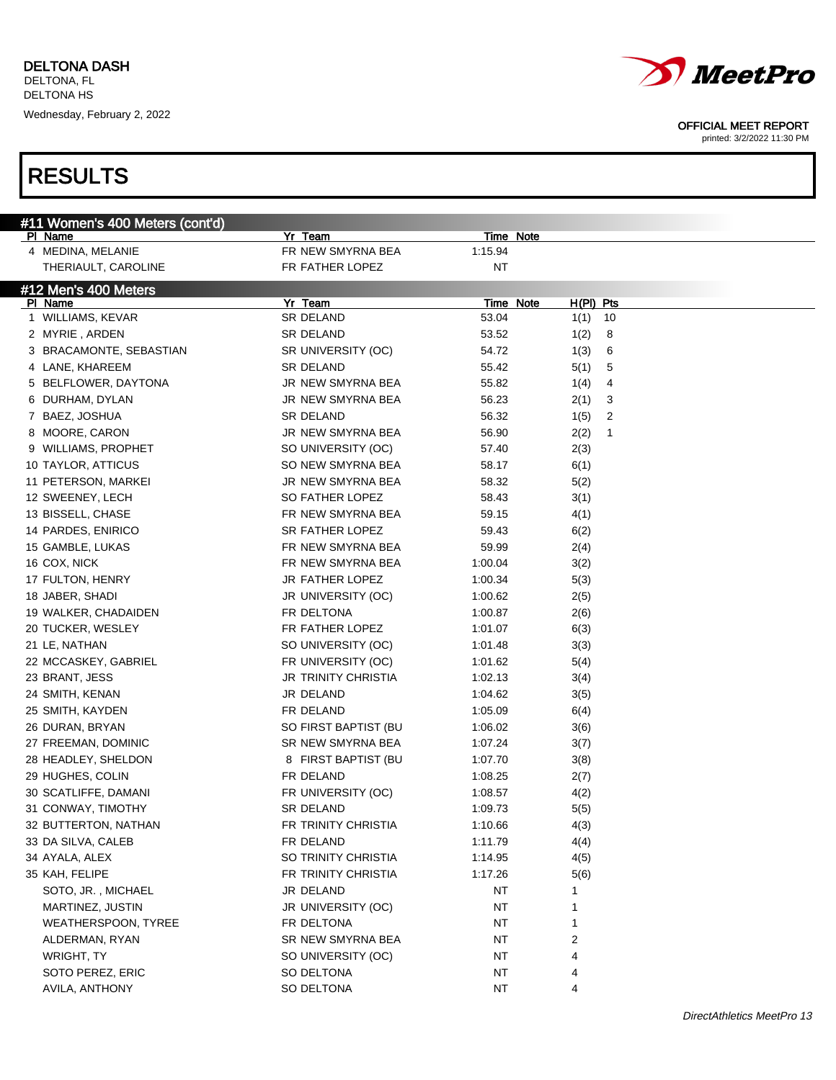

Wednesday, February 2, 2022

# RESULTS

OFFICIAL MEET REPORT

| #11 Women's 400 Meters (cont'd)      | Yr Team                |                  |            |  |
|--------------------------------------|------------------------|------------------|------------|--|
| PI Name                              | FR NEW SMYRNA BEA      | <b>Time Note</b> |            |  |
| 4 MEDINA, MELANIE                    |                        | 1:15.94          |            |  |
| THERIAULT, CAROLINE                  | FR FATHER LOPEZ        | NT               |            |  |
| $\#12$ Men's $\overline{400}$ Meters |                        |                  |            |  |
| PI Name                              | Yr Team                | <b>Time Note</b> | H(PI) Pts  |  |
| 1 WILLIAMS, KEVAR                    | SR DELAND              | 53.04            | 10<br>1(1) |  |
| 2 MYRIE, ARDEN                       | SR DELAND              | 53.52            | 1(2)<br>8  |  |
| 3 BRACAMONTE, SEBASTIAN              | SR UNIVERSITY (OC)     | 54.72            | 1(3)<br>6  |  |
| 4 LANE, KHAREEM                      | <b>SR DELAND</b>       | 55.42            | 5(1)<br>5  |  |
| 5 BELFLOWER, DAYTONA                 | JR NEW SMYRNA BEA      | 55.82            | 1(4)<br>4  |  |
| 6 DURHAM, DYLAN                      | JR NEW SMYRNA BEA      | 56.23            | 2(1)<br>3  |  |
| 7 BAEZ, JOSHUA                       | SR DELAND              | 56.32            | 1(5)<br>2  |  |
| 8 MOORE, CARON                       | JR NEW SMYRNA BEA      | 56.90            | 2(2)<br>1  |  |
| 9 WILLIAMS, PROPHET                  | SO UNIVERSITY (OC)     | 57.40            | 2(3)       |  |
| 10 TAYLOR, ATTICUS                   | SO NEW SMYRNA BEA      | 58.17            | 6(1)       |  |
| 11 PETERSON, MARKEI                  | JR NEW SMYRNA BEA      | 58.32            | 5(2)       |  |
| 12 SWEENEY, LECH                     | SO FATHER LOPEZ        | 58.43            | 3(1)       |  |
| 13 BISSELL, CHASE                    | FR NEW SMYRNA BEA      | 59.15            | 4(1)       |  |
| 14 PARDES, ENIRICO                   | <b>SR FATHER LOPEZ</b> | 59.43            | 6(2)       |  |
| 15 GAMBLE, LUKAS                     | FR NEW SMYRNA BEA      | 59.99            | 2(4)       |  |
| 16 COX, NICK                         | FR NEW SMYRNA BEA      | 1:00.04          | 3(2)       |  |
| 17 FULTON, HENRY                     | JR FATHER LOPEZ        | 1:00.34          | 5(3)       |  |
| 18 JABER, SHADI                      | JR UNIVERSITY (OC)     | 1:00.62          | 2(5)       |  |
| 19 WALKER, CHADAIDEN                 | FR DELTONA             | 1:00.87          | 2(6)       |  |
| 20 TUCKER, WESLEY                    | FR FATHER LOPEZ        | 1:01.07          | 6(3)       |  |
| 21 LE, NATHAN                        | SO UNIVERSITY (OC)     | 1:01.48          | 3(3)       |  |
| 22 MCCASKEY, GABRIEL                 | FR UNIVERSITY (OC)     | 1:01.62          |            |  |
|                                      |                        |                  | 5(4)       |  |
| 23 BRANT, JESS                       | JR TRINITY CHRISTIA    | 1:02.13          | 3(4)       |  |
| 24 SMITH, KENAN                      | JR DELAND              | 1:04.62          | 3(5)       |  |
| 25 SMITH, KAYDEN                     | FR DELAND              | 1:05.09          | 6(4)       |  |
| 26 DURAN, BRYAN                      | SO FIRST BAPTIST (BU   | 1:06.02          | 3(6)       |  |
| 27 FREEMAN, DOMINIC                  | SR NEW SMYRNA BEA      | 1:07.24          | 3(7)       |  |
| 28 HEADLEY, SHELDON                  | 8 FIRST BAPTIST (BU    | 1:07.70          | 3(8)       |  |
| 29 HUGHES, COLIN                     | FR DELAND              | 1:08.25          | 2(7)       |  |
| 30 SCATLIFFE, DAMANI                 | FR UNIVERSITY (OC)     | 1:08.57          | 4(2)       |  |
| 31 CONWAY, TIMOTHY                   | <b>SR DELAND</b>       | 1:09.73          | 5(5)       |  |
| 32 BUTTERTON, NATHAN                 | FR TRINITY CHRISTIA    | 1:10.66          | 4(3)       |  |
| 33 DA SILVA, CALEB                   | FR DELAND              | 1:11.79          | 4(4)       |  |
| 34 AYALA, ALEX                       | SO TRINITY CHRISTIA    | 1:14.95          | 4(5)       |  |
| 35 KAH, FELIPE                       | FR TRINITY CHRISTIA    | 1:17.26          | 5(6)       |  |
| SOTO, JR., MICHAEL                   | JR DELAND              | NT               |            |  |
| MARTINEZ, JUSTIN                     | JR UNIVERSITY (OC)     | NT               |            |  |
| WEATHERSPOON, TYREE                  | FR DELTONA             | NT               |            |  |
| ALDERMAN, RYAN                       | SR NEW SMYRNA BEA      | NT               | 2          |  |
| WRIGHT, TY                           | SO UNIVERSITY (OC)     | NT               | 4          |  |
| SOTO PEREZ, ERIC                     | SO DELTONA             | NT               | 4          |  |
| AVILA, ANTHONY                       | SO DELTONA             | NT               | 4          |  |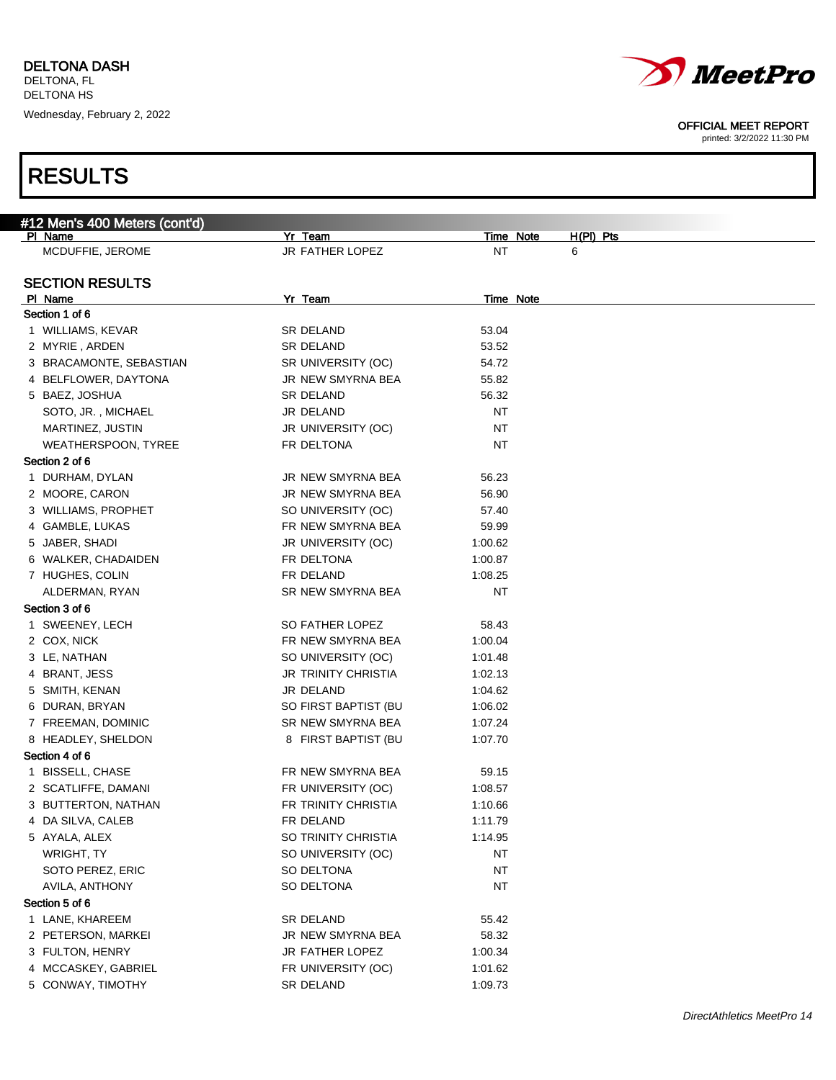



printed: 3/2/2022 11:30 PM

| #12 Men's 400 Meters (cont'd) |                            |                          |  |
|-------------------------------|----------------------------|--------------------------|--|
| PI Name                       | Yr Team                    | Time Note<br>$H(PI)$ Pts |  |
| MCDUFFIE, JEROME              | JR FATHER LOPEZ            | NT<br>6                  |  |
|                               |                            |                          |  |
| <b>SECTION RESULTS</b>        |                            |                          |  |
| PI Name                       | Yr Team                    | <b>Time Note</b>         |  |
| Section 1 of 6                |                            |                          |  |
| 1 WILLIAMS, KEVAR             | SR DELAND                  | 53.04                    |  |
| 2 MYRIE, ARDEN                | SR DELAND                  | 53.52                    |  |
| 3 BRACAMONTE, SEBASTIAN       | SR UNIVERSITY (OC)         | 54.72                    |  |
| 4 BELFLOWER, DAYTONA          | JR NEW SMYRNA BEA          | 55.82                    |  |
| 5 BAEZ, JOSHUA                | SR DELAND                  | 56.32                    |  |
| SOTO, JR., MICHAEL            | JR DELAND                  | NT                       |  |
| MARTINEZ, JUSTIN              | JR UNIVERSITY (OC)         | <b>NT</b>                |  |
| WEATHERSPOON, TYREE           | FR DELTONA                 | NT                       |  |
| Section 2 of 6                |                            |                          |  |
| 1 DURHAM, DYLAN               | JR NEW SMYRNA BEA          | 56.23                    |  |
| 2 MOORE, CARON                | JR NEW SMYRNA BEA          | 56.90                    |  |
| 3 WILLIAMS, PROPHET           | SO UNIVERSITY (OC)         | 57.40                    |  |
| 4 GAMBLE, LUKAS               | FR NEW SMYRNA BEA          | 59.99                    |  |
| 5 JABER, SHADI                | JR UNIVERSITY (OC)         | 1:00.62                  |  |
| 6 WALKER, CHADAIDEN           | FR DELTONA                 | 1:00.87                  |  |
| 7 HUGHES, COLIN               | FR DELAND                  | 1:08.25                  |  |
| ALDERMAN, RYAN                | SR NEW SMYRNA BEA          | NT                       |  |
| Section 3 of 6                |                            |                          |  |
| 1 SWEENEY, LECH               | SO FATHER LOPEZ            | 58.43                    |  |
| 2 COX, NICK                   | FR NEW SMYRNA BEA          | 1:00.04                  |  |
| 3 LE, NATHAN                  | SO UNIVERSITY (OC)         | 1:01.48                  |  |
| 4 BRANT, JESS                 | <b>JR TRINITY CHRISTIA</b> | 1:02.13                  |  |
| 5 SMITH, KENAN                | JR DELAND                  | 1:04.62                  |  |
| 6 DURAN, BRYAN                | SO FIRST BAPTIST (BU       | 1:06.02                  |  |
|                               | SR NEW SMYRNA BEA          |                          |  |
| 7 FREEMAN, DOMINIC            |                            | 1:07.24                  |  |
| 8 HEADLEY, SHELDON            | 8 FIRST BAPTIST (BU        | 1:07.70                  |  |
| Section 4 of 6                |                            |                          |  |
| 1 BISSELL, CHASE              | FR NEW SMYRNA BEA          | 59.15                    |  |
| 2 SCATLIFFE, DAMANI           | FR UNIVERSITY (OC)         | 1:08.57                  |  |
| 3 BUTTERTON, NATHAN           | FR TRINITY CHRISTIA        | 1:10.66                  |  |
| 4 DA SILVA, CALEB             | FR DELAND                  | 1:11.79                  |  |
| 5 AYALA, ALEX                 | SO TRINITY CHRISTIA        | 1:14.95                  |  |
| WRIGHT, TY                    | SO UNIVERSITY (OC)         | <b>NT</b>                |  |
| SOTO PEREZ, ERIC              | SO DELTONA                 | <b>NT</b>                |  |
| AVILA, ANTHONY                | SO DELTONA                 | <b>NT</b>                |  |
| Section 5 of 6                |                            |                          |  |
| 1 LANE, KHAREEM               | SR DELAND                  | 55.42                    |  |
| 2 PETERSON, MARKEI            | JR NEW SMYRNA BEA          | 58.32                    |  |
| 3 FULTON, HENRY               | JR FATHER LOPEZ            | 1:00.34                  |  |
| 4 MCCASKEY, GABRIEL           | FR UNIVERSITY (OC)         | 1:01.62                  |  |
| 5 CONWAY, TIMOTHY             | SR DELAND                  | 1:09.73                  |  |
|                               |                            |                          |  |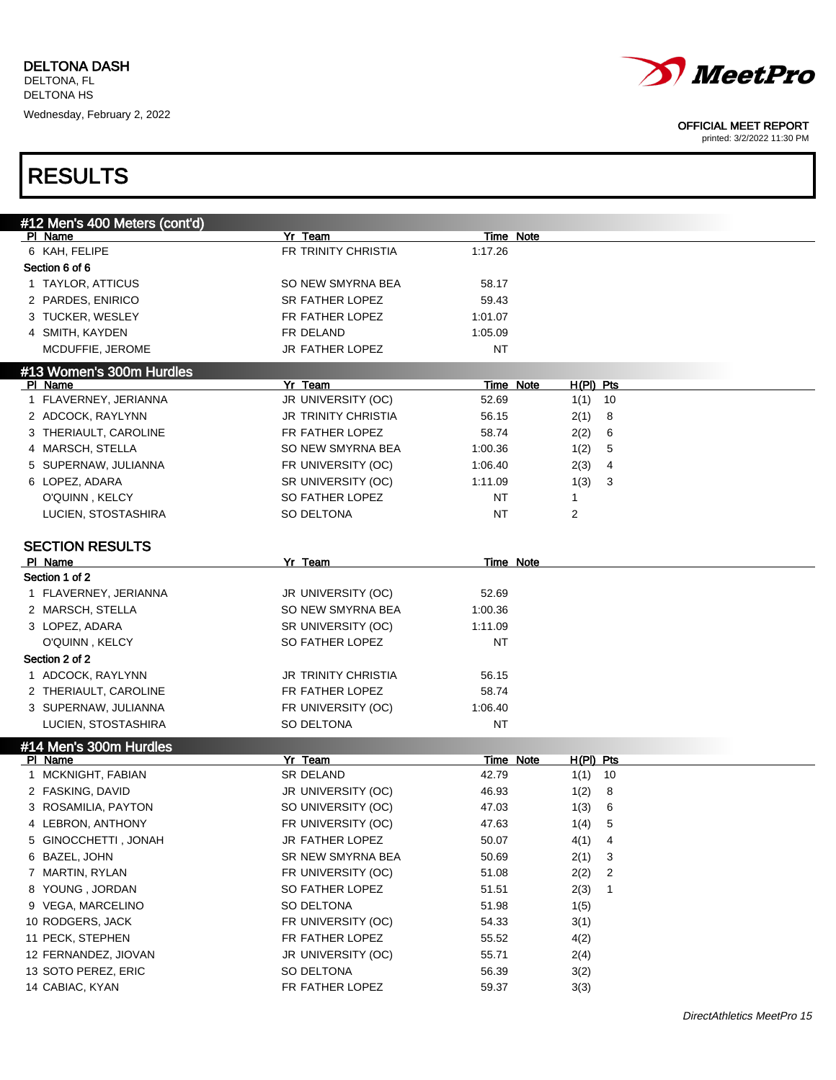



printed: 3/2/2022 11:30 PM

|                 | #12 Men's 400 Meters (cont'd) |                        |           |             |    |
|-----------------|-------------------------------|------------------------|-----------|-------------|----|
| <b>PI Name</b>  |                               | Yr Team                | Time Note |             |    |
| 6 KAH, FELIPE   |                               | FR TRINITY CHRISTIA    | 1:17.26   |             |    |
| Section 6 of 6  |                               |                        |           |             |    |
|                 | 1 TAYLOR, ATTICUS             | SO NEW SMYRNA BEA      | 58.17     |             |    |
|                 | 2 PARDES, ENIRICO             | <b>SR FATHER LOPEZ</b> | 59.43     |             |    |
|                 | 3 TUCKER, WESLEY              | FR FATHER LOPEZ        | 1:01.07   |             |    |
|                 | 4 SMITH, KAYDEN               | FR DELAND              | 1:05.09   |             |    |
|                 | MCDUFFIE, JEROME              | JR FATHER LOPEZ        | NT        |             |    |
|                 | #13 Women's 300m Hurdles      |                        |           |             |    |
| PI Name         |                               | Yr Team                | Time Note | $H(PI)$ Pts |    |
|                 | 1 FLAVERNEY, JERIANNA         | JR UNIVERSITY (OC)     | 52.69     | 1(1)        | 10 |
|                 | 2 ADCOCK, RAYLYNN             | JR TRINITY CHRISTIA    | 56.15     | 2(1)        | 8  |
|                 | 3 THERIAULT, CAROLINE         | FR FATHER LOPEZ        | 58.74     | 2(2)        | 6  |
|                 | 4 MARSCH, STELLA              | SO NEW SMYRNA BEA      | 1:00.36   | 1(2)        | 5  |
|                 | 5 SUPERNAW, JULIANNA          | FR UNIVERSITY (OC)     | 1:06.40   | 2(3)        | 4  |
| 6 LOPEZ, ADARA  |                               | SR UNIVERSITY (OC)     | 1:11.09   | 1(3)        | 3  |
|                 | O'QUINN, KELCY                | SO FATHER LOPEZ        | NT        | 1           |    |
|                 | LUCIEN, STOSTASHIRA           | SO DELTONA             | NT        | 2           |    |
|                 |                               |                        |           |             |    |
|                 | <b>SECTION RESULTS</b>        |                        |           |             |    |
| PI Name         |                               | Yr Team                | Time Note |             |    |
| Section 1 of 2  |                               |                        |           |             |    |
|                 | 1 FLAVERNEY, JERIANNA         | JR UNIVERSITY (OC)     | 52.69     |             |    |
|                 | 2 MARSCH, STELLA              | SO NEW SMYRNA BEA      | 1:00.36   |             |    |
| 3 LOPEZ, ADARA  |                               | SR UNIVERSITY (OC)     | 1:11.09   |             |    |
|                 | O'QUINN, KELCY                | SO FATHER LOPEZ        | NT        |             |    |
| Section 2 of 2  |                               |                        |           |             |    |
|                 | 1 ADCOCK, RAYLYNN             | JR TRINITY CHRISTIA    | 56.15     |             |    |
|                 | 2 THERIAULT, CAROLINE         | FR FATHER LOPEZ        | 58.74     |             |    |
|                 | 3 SUPERNAW, JULIANNA          | FR UNIVERSITY (OC)     | 1:06.40   |             |    |
|                 | LUCIEN, STOSTASHIRA           | SO DELTONA             | NT        |             |    |
|                 | #14 Men's 300m Hurdles        |                        |           |             |    |
| PI Name         |                               | Yr Team                | Time Note | $H(PI)$ Pts |    |
|                 | 1 MCKNIGHT, FABIAN            | <b>SR DELAND</b>       | 42.79     | $1(1)$ 10   |    |
|                 | 2 FASKING, DAVID              | JR UNIVERSITY (OC)     | 46.93     | 1(2)        | 8  |
|                 | 3 ROSAMILIA, PAYTON           | SO UNIVERSITY (OC)     | 47.03     | 1(3)        | 6  |
|                 | 4 LEBRON, ANTHONY             | FR UNIVERSITY (OC)     | 47.63     | 1(4)        | 5  |
|                 | 5 GINOCCHETTI, JONAH          | JR FATHER LOPEZ        | 50.07     | 4(1)        | 4  |
| 6 BAZEL, JOHN   |                               | SR NEW SMYRNA BEA      | 50.69     | 2(1)        | 3  |
|                 | 7 MARTIN, RYLAN               | FR UNIVERSITY (OC)     | 51.08     | 2(2)        | 2  |
|                 | 8 YOUNG, JORDAN               | SO FATHER LOPEZ        | 51.51     | 2(3)        | 1  |
|                 | 9 VEGA, MARCELINO             | SO DELTONA             | 51.98     | 1(5)        |    |
|                 | 10 RODGERS, JACK              | FR UNIVERSITY (OC)     | 54.33     | 3(1)        |    |
|                 | 11 PECK, STEPHEN              | FR FATHER LOPEZ        | 55.52     | 4(2)        |    |
|                 | 12 FERNANDEZ, JIOVAN          | JR UNIVERSITY (OC)     | 55.71     | 2(4)        |    |
|                 | 13 SOTO PEREZ, ERIC           | SO DELTONA             | 56.39     | 3(2)        |    |
| 14 CABIAC, KYAN |                               | FR FATHER LOPEZ        | 59.37     | 3(3)        |    |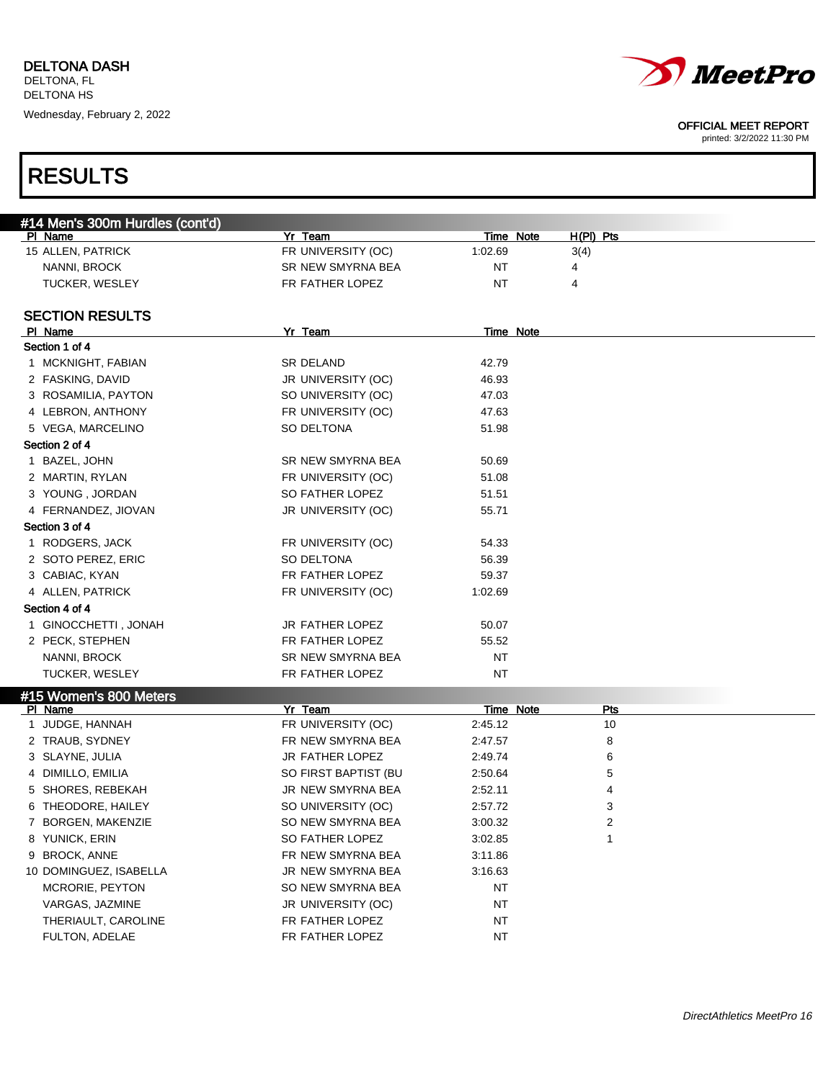

printed: 3/2/2022 11:30 PM

| #14 Men's 300m Hurdles (cont'd) |                      |           |             |  |
|---------------------------------|----------------------|-----------|-------------|--|
| PI Name                         | Yr Team              | Time Note | $H(PI)$ Pts |  |
| 15 ALLEN, PATRICK               | FR UNIVERSITY (OC)   | 1:02.69   | 3(4)        |  |
| NANNI, BROCK                    | SR NEW SMYRNA BEA    | <b>NT</b> | 4           |  |
| <b>TUCKER, WESLEY</b>           | FR FATHER LOPEZ      | NT        | 4           |  |
|                                 |                      |           |             |  |
| <b>SECTION RESULTS</b>          |                      |           |             |  |
| PI Name                         | Yr Team              | Time Note |             |  |
| Section 1 of 4                  |                      |           |             |  |
| 1 MCKNIGHT, FABIAN              | SR DELAND            | 42.79     |             |  |
| 2 FASKING, DAVID                | JR UNIVERSITY (OC)   | 46.93     |             |  |
| 3 ROSAMILIA, PAYTON             | SO UNIVERSITY (OC)   | 47.03     |             |  |
| 4 LEBRON, ANTHONY               | FR UNIVERSITY (OC)   | 47.63     |             |  |
| 5 VEGA, MARCELINO               | SO DELTONA           | 51.98     |             |  |
| Section 2 of 4                  |                      |           |             |  |
| 1 BAZEL, JOHN                   | SR NEW SMYRNA BEA    | 50.69     |             |  |
| 2 MARTIN, RYLAN                 | FR UNIVERSITY (OC)   | 51.08     |             |  |
| 3 YOUNG, JORDAN                 | SO FATHER LOPEZ      | 51.51     |             |  |
| 4 FERNANDEZ, JIOVAN             | JR UNIVERSITY (OC)   | 55.71     |             |  |
| Section 3 of 4                  |                      |           |             |  |
| 1 RODGERS, JACK                 | FR UNIVERSITY (OC)   | 54.33     |             |  |
| 2 SOTO PEREZ, ERIC              | SO DELTONA           | 56.39     |             |  |
| 3 CABIAC, KYAN                  | FR FATHER LOPEZ      | 59.37     |             |  |
| 4 ALLEN, PATRICK                | FR UNIVERSITY (OC)   | 1:02.69   |             |  |
| Section 4 of 4                  |                      |           |             |  |
| 1 GINOCCHETTI, JONAH            | JR FATHER LOPEZ      | 50.07     |             |  |
| 2 PECK, STEPHEN                 | FR FATHER LOPEZ      | 55.52     |             |  |
| NANNI, BROCK                    | SR NEW SMYRNA BEA    | NT        |             |  |
| <b>TUCKER, WESLEY</b>           | FR FATHER LOPEZ      | NT        |             |  |
| #15 Women's 800 Meters          |                      |           |             |  |
| PI Name                         | Yr Team              | Time Note | <b>Pts</b>  |  |
| 1 JUDGE, HANNAH                 | FR UNIVERSITY (OC)   | 2:45.12   | 10          |  |
| 2 TRAUB, SYDNEY                 | FR NEW SMYRNA BEA    | 2:47.57   | 8           |  |
| 3 SLAYNE, JULIA                 | JR FATHER LOPEZ      | 2:49.74   | 6           |  |
| 4 DIMILLO, EMILIA               | SO FIRST BAPTIST (BU | 2:50.64   | 5           |  |
| 5 SHORES, REBEKAH               | JR NEW SMYRNA BEA    | 2:52.11   | 4           |  |
| 6 THEODORE, HAILEY              | SO UNIVERSITY (OC)   | 2:57.72   | 3           |  |
| 7 BORGEN, MAKENZIE              | SO NEW SMYRNA BEA    | 3:00.32   | 2           |  |
| 8 YUNICK, ERIN                  | SO FATHER LOPEZ      | 3:02.85   | 1           |  |
| 9 BROCK, ANNE                   | FR NEW SMYRNA BEA    | 3:11.86   |             |  |
| 10 DOMINGUEZ, ISABELLA          | JR NEW SMYRNA BEA    | 3:16.63   |             |  |
| MCRORIE, PEYTON                 | SO NEW SMYRNA BEA    | NT        |             |  |
| VARGAS, JAZMINE                 | JR UNIVERSITY (OC)   | NT        |             |  |
| THERIAULT, CAROLINE             | FR FATHER LOPEZ      | NT        |             |  |
| FULTON, ADELAE                  | FR FATHER LOPEZ      | NT        |             |  |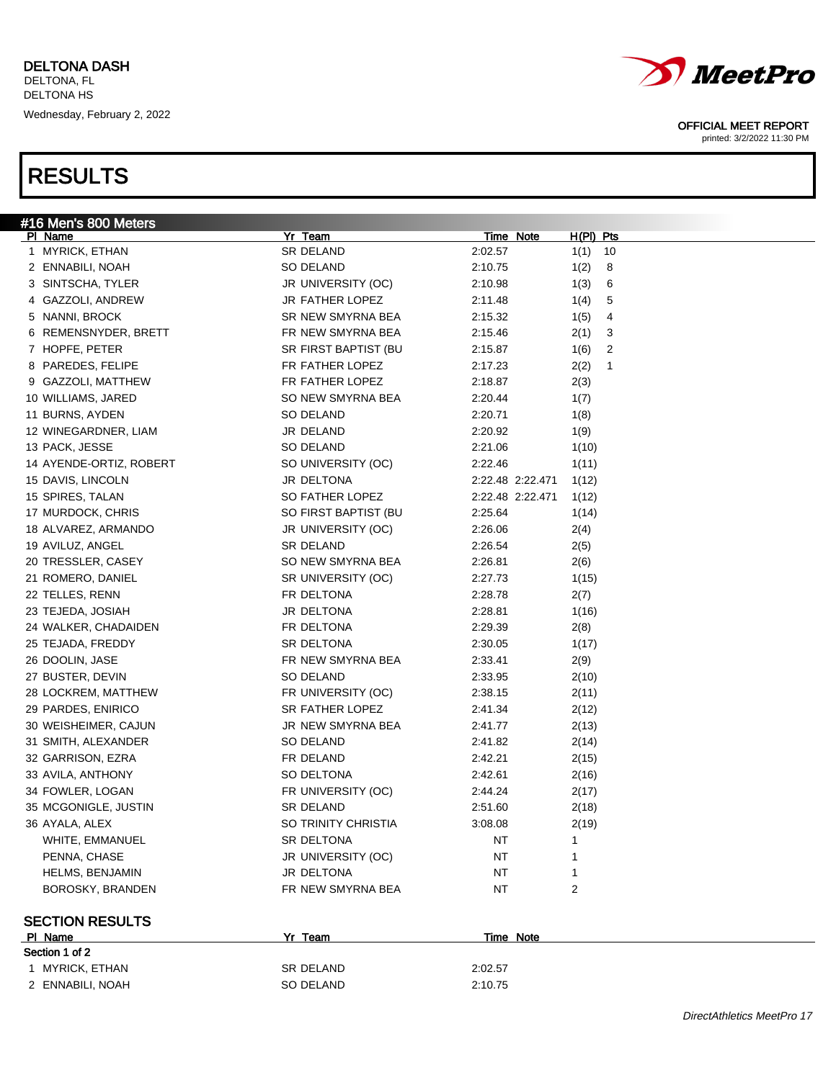|                 | #16 Men's 800 Meters    |                      |                  |             |
|-----------------|-------------------------|----------------------|------------------|-------------|
| PI Name         |                         | Yr Team              | <u>Time Note</u> | $H(PI)$ Pts |
|                 | 1 MYRICK, ETHAN         | SR DELAND            | 2:02.57          | 1(1)<br>10  |
|                 | 2 ENNABILI, NOAH        | SO DELAND            | 2:10.75          | 1(2)<br>8   |
|                 | 3 SINTSCHA, TYLER       | JR UNIVERSITY (OC)   | 2:10.98          | 1(3)<br>6   |
|                 | 4 GAZZOLI, ANDREW       | JR FATHER LOPEZ      | 2:11.48          | 1(4)<br>5   |
|                 | 5 NANNI, BROCK          | SR NEW SMYRNA BEA    | 2:15.32          | 1(5)<br>4   |
|                 | 6 REMENSNYDER, BRETT    | FR NEW SMYRNA BEA    | 2:15.46          | 2(1)<br>3   |
|                 | 7 HOPFE, PETER          | SR FIRST BAPTIST (BU | 2:15.87          | 1(6)<br>2   |
|                 | 8 PAREDES, FELIPE       | FR FATHER LOPEZ      | 2:17.23          | 2(2)<br>1   |
|                 | 9 GAZZOLI, MATTHEW      | FR FATHER LOPEZ      | 2:18.87          | 2(3)        |
|                 | 10 WILLIAMS, JARED      | SO NEW SMYRNA BEA    | 2:20.44          | 1(7)        |
|                 | 11 BURNS, AYDEN         | SO DELAND            | 2:20.71          | 1(8)        |
|                 | 12 WINEGARDNER, LIAM    | JR DELAND            | 2:20.92          | 1(9)        |
| 13 PACK, JESSE  |                         | SO DELAND            | 2:21.06          | 1(10)       |
|                 | 14 AYENDE-ORTIZ, ROBERT | SO UNIVERSITY (OC)   | 2:22.46          | 1(11)       |
|                 | 15 DAVIS, LINCOLN       | JR DELTONA           | 2:22.48 2:22.471 | 1(12)       |
|                 | 15 SPIRES, TALAN        | SO FATHER LOPEZ      | 2:22.48 2:22.471 | 1(12)       |
|                 | 17 MURDOCK, CHRIS       | SO FIRST BAPTIST (BU | 2:25.64          | 1(14)       |
|                 | 18 ALVAREZ, ARMANDO     | JR UNIVERSITY (OC)   | 2:26.06          | 2(4)        |
|                 | 19 AVILUZ, ANGEL        | <b>SR DELAND</b>     | 2:26.54          | 2(5)        |
|                 | 20 TRESSLER, CASEY      | SO NEW SMYRNA BEA    | 2:26.81          | 2(6)        |
|                 | 21 ROMERO, DANIEL       | SR UNIVERSITY (OC)   | 2:27.73          | 1(15)       |
| 22 TELLES, RENN |                         | FR DELTONA           | 2:28.78          | 2(7)        |
|                 | 23 TEJEDA, JOSIAH       | JR DELTONA           | 2:28.81          | 1(16)       |
|                 | 24 WALKER, CHADAIDEN    | FR DELTONA           | 2:29.39          | 2(8)        |
|                 | 25 TEJADA, FREDDY       | SR DELTONA           | 2:30.05          | 1(17)       |
| 26 DOOLIN, JASE |                         | FR NEW SMYRNA BEA    | 2:33.41          | 2(9)        |
|                 | 27 BUSTER, DEVIN        | SO DELAND            | 2:33.95          | 2(10)       |
|                 | 28 LOCKREM, MATTHEW     | FR UNIVERSITY (OC)   | 2:38.15          | 2(11)       |
|                 | 29 PARDES, ENIRICO      | SR FATHER LOPEZ      | 2:41.34          | 2(12)       |
|                 | 30 WEISHEIMER, CAJUN    | JR NEW SMYRNA BEA    | 2:41.77          | 2(13)       |
|                 | 31 SMITH, ALEXANDER     | SO DELAND            | 2:41.82          | 2(14)       |
|                 | 32 GARRISON, EZRA       | FR DELAND            | 2:42.21          | 2(15)       |
|                 | 33 AVILA, ANTHONY       | SO DELTONA           | 2:42.61          | 2(16)       |
|                 | 34 FOWLER, LOGAN        | FR UNIVERSITY (OC)   | 2:44.24          | 2(17)       |
|                 | 35 MCGONIGLE, JUSTIN    | <b>SR DELAND</b>     | 2:51.60          | 2(18)       |
| 36 AYALA, ALEX  |                         | SO TRINITY CHRISTIA  | 3:08.08          | 2(19)       |
|                 | WHITE, EMMANUEL         | SR DELTONA           | NT               | -1          |
|                 | PENNA, CHASE            | JR UNIVERSITY (OC)   | NT               |             |
|                 | <b>HELMS, BENJAMIN</b>  | JR DELTONA           | NT               |             |
|                 | BOROSKY, BRANDEN        | FR NEW SMYRNA BEA    | NT               | 2           |
|                 |                         |                      |                  |             |
|                 | <b>SECTION RESULTS</b>  |                      |                  |             |
| PI Name         |                         | Yr Team              | Time Note        |             |
|                 |                         |                      |                  |             |



### OFFICIAL MEET REPORT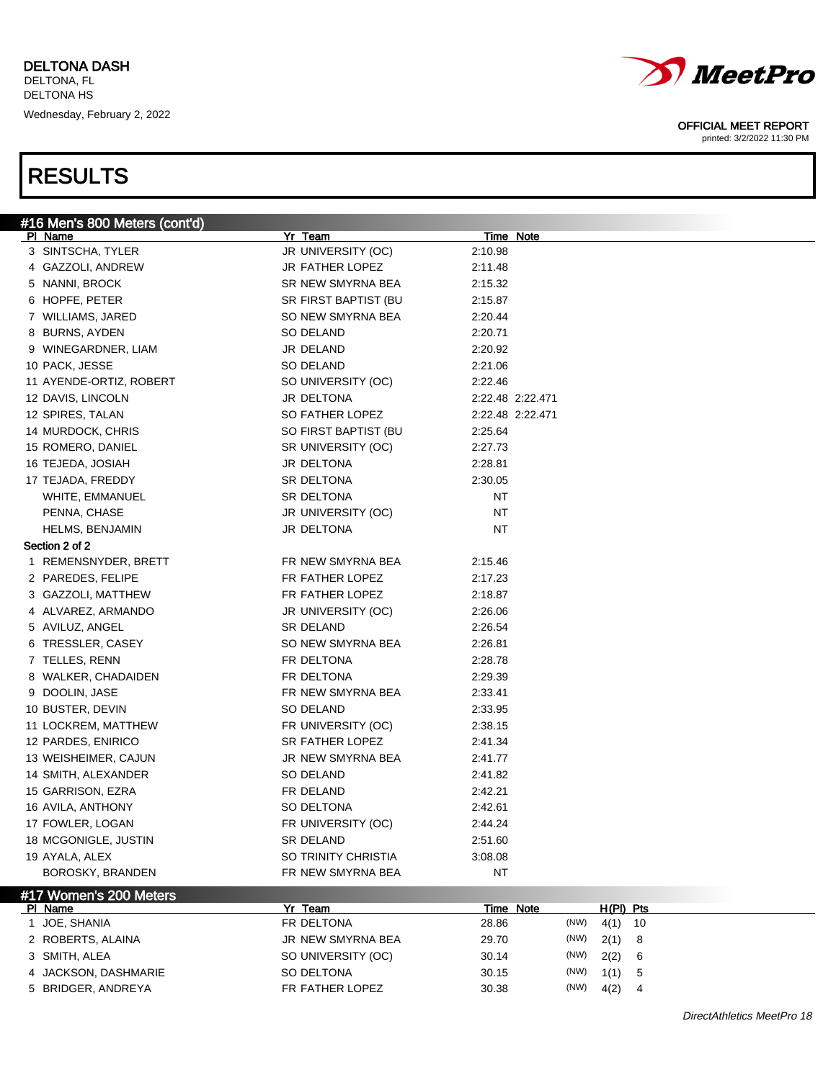

printed: 3/2/2022 11:30 PM

| PI Name<br>3 SINTSCHA, TYLER<br>JR UNIVERSITY (OC)<br>2:10.98<br>JR FATHER LOPEZ<br>4 GAZZOLI, ANDREW<br>2:11.48<br>5 NANNI, BROCK<br>SR NEW SMYRNA BEA<br>2:15.32<br>6 HOPFE, PETER<br>SR FIRST BAPTIST (BU<br>2:15.87<br>7 WILLIAMS, JARED<br>SO NEW SMYRNA BEA<br>2:20.44<br>8 BURNS, AYDEN<br>SO DELAND<br>2:20.71<br>9 WINEGARDNER, LIAM<br>JR DELAND<br>2:20.92<br>10 PACK, JESSE<br>SO DELAND<br>2:21.06<br>11 AYENDE-ORTIZ, ROBERT<br>SO UNIVERSITY (OC)<br>2:22.46<br>JR DELTONA<br>12 DAVIS, LINCOLN<br>2:22.48 2:22.471<br>SO FATHER LOPEZ<br>12 SPIRES, TALAN<br>2:22.48 2:22.471<br>14 MURDOCK, CHRIS<br>SO FIRST BAPTIST (BU<br>2:25.64<br>15 ROMERO, DANIEL<br>SR UNIVERSITY (OC)<br>2:27.73<br>16 TEJEDA, JOSIAH<br>JR DELTONA<br>2:28.81<br>17 TEJADA, FREDDY<br>SR DELTONA<br>2:30.05<br>WHITE, EMMANUEL<br>SR DELTONA<br>NT<br>PENNA, CHASE<br>JR UNIVERSITY (OC)<br>NT<br>JR DELTONA<br>NT<br><b>HELMS, BENJAMIN</b><br>Section 2 of 2<br>1 REMENSNYDER, BRETT<br>FR NEW SMYRNA BEA<br>2:15.46<br>FR FATHER LOPEZ<br>2 PAREDES, FELIPE<br>2:17.23<br>FR FATHER LOPEZ<br>3 GAZZOLI, MATTHEW<br>2:18.87<br>4 ALVAREZ, ARMANDO<br>JR UNIVERSITY (OC)<br>2:26.06<br>5 AVILUZ, ANGEL<br>SR DELAND<br>2:26.54<br>SO NEW SMYRNA BEA<br>6 TRESSLER, CASEY<br>2:26.81<br>7 TELLES, RENN<br>FR DELTONA<br>2:28.78<br>8 WALKER, CHADAIDEN<br>FR DELTONA<br>2:29.39<br>FR NEW SMYRNA BEA<br>9 DOOLIN, JASE<br>2:33.41<br>10 BUSTER, DEVIN<br>SO DELAND<br>2:33.95<br>11 LOCKREM, MATTHEW<br>FR UNIVERSITY (OC)<br>2:38.15<br>SR FATHER LOPEZ<br>12 PARDES, ENIRICO<br>2:41.34<br>13 WEISHEIMER, CAJUN<br>JR NEW SMYRNA BEA<br>2:41.77<br>14 SMITH, ALEXANDER<br>SO DELAND<br>2:41.82<br>15 GARRISON, EZRA<br>FR DELAND<br>2:42.21<br>16 AVILA, ANTHONY<br>SO DELTONA<br>2:42.61<br>17 FOWLER, LOGAN<br>FR UNIVERSITY (OC)<br>2:44.24<br>18 MCGONIGLE, JUSTIN<br><b>SR DELAND</b><br>2:51.60<br>19 AYALA, ALEX<br>SO TRINITY CHRISTIA<br>3:08.08<br>BOROSKY, BRANDEN<br>FR NEW SMYRNA BEA<br><b>NT</b><br>#17 Women's 200 Meters<br>Yr Team<br>Time Note<br>$H(PI)$ Pts<br>PI Name | #16 Men's 800 Meters (cont'd) |            |                            |  |
|-------------------------------------------------------------------------------------------------------------------------------------------------------------------------------------------------------------------------------------------------------------------------------------------------------------------------------------------------------------------------------------------------------------------------------------------------------------------------------------------------------------------------------------------------------------------------------------------------------------------------------------------------------------------------------------------------------------------------------------------------------------------------------------------------------------------------------------------------------------------------------------------------------------------------------------------------------------------------------------------------------------------------------------------------------------------------------------------------------------------------------------------------------------------------------------------------------------------------------------------------------------------------------------------------------------------------------------------------------------------------------------------------------------------------------------------------------------------------------------------------------------------------------------------------------------------------------------------------------------------------------------------------------------------------------------------------------------------------------------------------------------------------------------------------------------------------------------------------------------------------------------------------------------------------------------------------------------------------------------------------------------------------------------------------------------------------------------------|-------------------------------|------------|----------------------------|--|
|                                                                                                                                                                                                                                                                                                                                                                                                                                                                                                                                                                                                                                                                                                                                                                                                                                                                                                                                                                                                                                                                                                                                                                                                                                                                                                                                                                                                                                                                                                                                                                                                                                                                                                                                                                                                                                                                                                                                                                                                                                                                                           |                               | Yr Team    | Time Note                  |  |
|                                                                                                                                                                                                                                                                                                                                                                                                                                                                                                                                                                                                                                                                                                                                                                                                                                                                                                                                                                                                                                                                                                                                                                                                                                                                                                                                                                                                                                                                                                                                                                                                                                                                                                                                                                                                                                                                                                                                                                                                                                                                                           |                               |            |                            |  |
|                                                                                                                                                                                                                                                                                                                                                                                                                                                                                                                                                                                                                                                                                                                                                                                                                                                                                                                                                                                                                                                                                                                                                                                                                                                                                                                                                                                                                                                                                                                                                                                                                                                                                                                                                                                                                                                                                                                                                                                                                                                                                           |                               |            |                            |  |
|                                                                                                                                                                                                                                                                                                                                                                                                                                                                                                                                                                                                                                                                                                                                                                                                                                                                                                                                                                                                                                                                                                                                                                                                                                                                                                                                                                                                                                                                                                                                                                                                                                                                                                                                                                                                                                                                                                                                                                                                                                                                                           |                               |            |                            |  |
|                                                                                                                                                                                                                                                                                                                                                                                                                                                                                                                                                                                                                                                                                                                                                                                                                                                                                                                                                                                                                                                                                                                                                                                                                                                                                                                                                                                                                                                                                                                                                                                                                                                                                                                                                                                                                                                                                                                                                                                                                                                                                           |                               |            |                            |  |
|                                                                                                                                                                                                                                                                                                                                                                                                                                                                                                                                                                                                                                                                                                                                                                                                                                                                                                                                                                                                                                                                                                                                                                                                                                                                                                                                                                                                                                                                                                                                                                                                                                                                                                                                                                                                                                                                                                                                                                                                                                                                                           |                               |            |                            |  |
|                                                                                                                                                                                                                                                                                                                                                                                                                                                                                                                                                                                                                                                                                                                                                                                                                                                                                                                                                                                                                                                                                                                                                                                                                                                                                                                                                                                                                                                                                                                                                                                                                                                                                                                                                                                                                                                                                                                                                                                                                                                                                           |                               |            |                            |  |
|                                                                                                                                                                                                                                                                                                                                                                                                                                                                                                                                                                                                                                                                                                                                                                                                                                                                                                                                                                                                                                                                                                                                                                                                                                                                                                                                                                                                                                                                                                                                                                                                                                                                                                                                                                                                                                                                                                                                                                                                                                                                                           |                               |            |                            |  |
|                                                                                                                                                                                                                                                                                                                                                                                                                                                                                                                                                                                                                                                                                                                                                                                                                                                                                                                                                                                                                                                                                                                                                                                                                                                                                                                                                                                                                                                                                                                                                                                                                                                                                                                                                                                                                                                                                                                                                                                                                                                                                           |                               |            |                            |  |
|                                                                                                                                                                                                                                                                                                                                                                                                                                                                                                                                                                                                                                                                                                                                                                                                                                                                                                                                                                                                                                                                                                                                                                                                                                                                                                                                                                                                                                                                                                                                                                                                                                                                                                                                                                                                                                                                                                                                                                                                                                                                                           |                               |            |                            |  |
|                                                                                                                                                                                                                                                                                                                                                                                                                                                                                                                                                                                                                                                                                                                                                                                                                                                                                                                                                                                                                                                                                                                                                                                                                                                                                                                                                                                                                                                                                                                                                                                                                                                                                                                                                                                                                                                                                                                                                                                                                                                                                           |                               |            |                            |  |
|                                                                                                                                                                                                                                                                                                                                                                                                                                                                                                                                                                                                                                                                                                                                                                                                                                                                                                                                                                                                                                                                                                                                                                                                                                                                                                                                                                                                                                                                                                                                                                                                                                                                                                                                                                                                                                                                                                                                                                                                                                                                                           |                               |            |                            |  |
|                                                                                                                                                                                                                                                                                                                                                                                                                                                                                                                                                                                                                                                                                                                                                                                                                                                                                                                                                                                                                                                                                                                                                                                                                                                                                                                                                                                                                                                                                                                                                                                                                                                                                                                                                                                                                                                                                                                                                                                                                                                                                           |                               |            |                            |  |
|                                                                                                                                                                                                                                                                                                                                                                                                                                                                                                                                                                                                                                                                                                                                                                                                                                                                                                                                                                                                                                                                                                                                                                                                                                                                                                                                                                                                                                                                                                                                                                                                                                                                                                                                                                                                                                                                                                                                                                                                                                                                                           |                               |            |                            |  |
|                                                                                                                                                                                                                                                                                                                                                                                                                                                                                                                                                                                                                                                                                                                                                                                                                                                                                                                                                                                                                                                                                                                                                                                                                                                                                                                                                                                                                                                                                                                                                                                                                                                                                                                                                                                                                                                                                                                                                                                                                                                                                           |                               |            |                            |  |
|                                                                                                                                                                                                                                                                                                                                                                                                                                                                                                                                                                                                                                                                                                                                                                                                                                                                                                                                                                                                                                                                                                                                                                                                                                                                                                                                                                                                                                                                                                                                                                                                                                                                                                                                                                                                                                                                                                                                                                                                                                                                                           |                               |            |                            |  |
|                                                                                                                                                                                                                                                                                                                                                                                                                                                                                                                                                                                                                                                                                                                                                                                                                                                                                                                                                                                                                                                                                                                                                                                                                                                                                                                                                                                                                                                                                                                                                                                                                                                                                                                                                                                                                                                                                                                                                                                                                                                                                           |                               |            |                            |  |
|                                                                                                                                                                                                                                                                                                                                                                                                                                                                                                                                                                                                                                                                                                                                                                                                                                                                                                                                                                                                                                                                                                                                                                                                                                                                                                                                                                                                                                                                                                                                                                                                                                                                                                                                                                                                                                                                                                                                                                                                                                                                                           |                               |            |                            |  |
|                                                                                                                                                                                                                                                                                                                                                                                                                                                                                                                                                                                                                                                                                                                                                                                                                                                                                                                                                                                                                                                                                                                                                                                                                                                                                                                                                                                                                                                                                                                                                                                                                                                                                                                                                                                                                                                                                                                                                                                                                                                                                           |                               |            |                            |  |
|                                                                                                                                                                                                                                                                                                                                                                                                                                                                                                                                                                                                                                                                                                                                                                                                                                                                                                                                                                                                                                                                                                                                                                                                                                                                                                                                                                                                                                                                                                                                                                                                                                                                                                                                                                                                                                                                                                                                                                                                                                                                                           |                               |            |                            |  |
|                                                                                                                                                                                                                                                                                                                                                                                                                                                                                                                                                                                                                                                                                                                                                                                                                                                                                                                                                                                                                                                                                                                                                                                                                                                                                                                                                                                                                                                                                                                                                                                                                                                                                                                                                                                                                                                                                                                                                                                                                                                                                           |                               |            |                            |  |
|                                                                                                                                                                                                                                                                                                                                                                                                                                                                                                                                                                                                                                                                                                                                                                                                                                                                                                                                                                                                                                                                                                                                                                                                                                                                                                                                                                                                                                                                                                                                                                                                                                                                                                                                                                                                                                                                                                                                                                                                                                                                                           |                               |            |                            |  |
|                                                                                                                                                                                                                                                                                                                                                                                                                                                                                                                                                                                                                                                                                                                                                                                                                                                                                                                                                                                                                                                                                                                                                                                                                                                                                                                                                                                                                                                                                                                                                                                                                                                                                                                                                                                                                                                                                                                                                                                                                                                                                           |                               |            |                            |  |
|                                                                                                                                                                                                                                                                                                                                                                                                                                                                                                                                                                                                                                                                                                                                                                                                                                                                                                                                                                                                                                                                                                                                                                                                                                                                                                                                                                                                                                                                                                                                                                                                                                                                                                                                                                                                                                                                                                                                                                                                                                                                                           |                               |            |                            |  |
|                                                                                                                                                                                                                                                                                                                                                                                                                                                                                                                                                                                                                                                                                                                                                                                                                                                                                                                                                                                                                                                                                                                                                                                                                                                                                                                                                                                                                                                                                                                                                                                                                                                                                                                                                                                                                                                                                                                                                                                                                                                                                           |                               |            |                            |  |
|                                                                                                                                                                                                                                                                                                                                                                                                                                                                                                                                                                                                                                                                                                                                                                                                                                                                                                                                                                                                                                                                                                                                                                                                                                                                                                                                                                                                                                                                                                                                                                                                                                                                                                                                                                                                                                                                                                                                                                                                                                                                                           |                               |            |                            |  |
|                                                                                                                                                                                                                                                                                                                                                                                                                                                                                                                                                                                                                                                                                                                                                                                                                                                                                                                                                                                                                                                                                                                                                                                                                                                                                                                                                                                                                                                                                                                                                                                                                                                                                                                                                                                                                                                                                                                                                                                                                                                                                           |                               |            |                            |  |
|                                                                                                                                                                                                                                                                                                                                                                                                                                                                                                                                                                                                                                                                                                                                                                                                                                                                                                                                                                                                                                                                                                                                                                                                                                                                                                                                                                                                                                                                                                                                                                                                                                                                                                                                                                                                                                                                                                                                                                                                                                                                                           |                               |            |                            |  |
|                                                                                                                                                                                                                                                                                                                                                                                                                                                                                                                                                                                                                                                                                                                                                                                                                                                                                                                                                                                                                                                                                                                                                                                                                                                                                                                                                                                                                                                                                                                                                                                                                                                                                                                                                                                                                                                                                                                                                                                                                                                                                           |                               |            |                            |  |
|                                                                                                                                                                                                                                                                                                                                                                                                                                                                                                                                                                                                                                                                                                                                                                                                                                                                                                                                                                                                                                                                                                                                                                                                                                                                                                                                                                                                                                                                                                                                                                                                                                                                                                                                                                                                                                                                                                                                                                                                                                                                                           |                               |            |                            |  |
|                                                                                                                                                                                                                                                                                                                                                                                                                                                                                                                                                                                                                                                                                                                                                                                                                                                                                                                                                                                                                                                                                                                                                                                                                                                                                                                                                                                                                                                                                                                                                                                                                                                                                                                                                                                                                                                                                                                                                                                                                                                                                           |                               |            |                            |  |
|                                                                                                                                                                                                                                                                                                                                                                                                                                                                                                                                                                                                                                                                                                                                                                                                                                                                                                                                                                                                                                                                                                                                                                                                                                                                                                                                                                                                                                                                                                                                                                                                                                                                                                                                                                                                                                                                                                                                                                                                                                                                                           |                               |            |                            |  |
|                                                                                                                                                                                                                                                                                                                                                                                                                                                                                                                                                                                                                                                                                                                                                                                                                                                                                                                                                                                                                                                                                                                                                                                                                                                                                                                                                                                                                                                                                                                                                                                                                                                                                                                                                                                                                                                                                                                                                                                                                                                                                           |                               |            |                            |  |
|                                                                                                                                                                                                                                                                                                                                                                                                                                                                                                                                                                                                                                                                                                                                                                                                                                                                                                                                                                                                                                                                                                                                                                                                                                                                                                                                                                                                                                                                                                                                                                                                                                                                                                                                                                                                                                                                                                                                                                                                                                                                                           |                               |            |                            |  |
|                                                                                                                                                                                                                                                                                                                                                                                                                                                                                                                                                                                                                                                                                                                                                                                                                                                                                                                                                                                                                                                                                                                                                                                                                                                                                                                                                                                                                                                                                                                                                                                                                                                                                                                                                                                                                                                                                                                                                                                                                                                                                           |                               |            |                            |  |
|                                                                                                                                                                                                                                                                                                                                                                                                                                                                                                                                                                                                                                                                                                                                                                                                                                                                                                                                                                                                                                                                                                                                                                                                                                                                                                                                                                                                                                                                                                                                                                                                                                                                                                                                                                                                                                                                                                                                                                                                                                                                                           |                               |            |                            |  |
|                                                                                                                                                                                                                                                                                                                                                                                                                                                                                                                                                                                                                                                                                                                                                                                                                                                                                                                                                                                                                                                                                                                                                                                                                                                                                                                                                                                                                                                                                                                                                                                                                                                                                                                                                                                                                                                                                                                                                                                                                                                                                           |                               |            |                            |  |
|                                                                                                                                                                                                                                                                                                                                                                                                                                                                                                                                                                                                                                                                                                                                                                                                                                                                                                                                                                                                                                                                                                                                                                                                                                                                                                                                                                                                                                                                                                                                                                                                                                                                                                                                                                                                                                                                                                                                                                                                                                                                                           |                               |            |                            |  |
|                                                                                                                                                                                                                                                                                                                                                                                                                                                                                                                                                                                                                                                                                                                                                                                                                                                                                                                                                                                                                                                                                                                                                                                                                                                                                                                                                                                                                                                                                                                                                                                                                                                                                                                                                                                                                                                                                                                                                                                                                                                                                           |                               |            |                            |  |
|                                                                                                                                                                                                                                                                                                                                                                                                                                                                                                                                                                                                                                                                                                                                                                                                                                                                                                                                                                                                                                                                                                                                                                                                                                                                                                                                                                                                                                                                                                                                                                                                                                                                                                                                                                                                                                                                                                                                                                                                                                                                                           |                               |            |                            |  |
|                                                                                                                                                                                                                                                                                                                                                                                                                                                                                                                                                                                                                                                                                                                                                                                                                                                                                                                                                                                                                                                                                                                                                                                                                                                                                                                                                                                                                                                                                                                                                                                                                                                                                                                                                                                                                                                                                                                                                                                                                                                                                           |                               |            |                            |  |
|                                                                                                                                                                                                                                                                                                                                                                                                                                                                                                                                                                                                                                                                                                                                                                                                                                                                                                                                                                                                                                                                                                                                                                                                                                                                                                                                                                                                                                                                                                                                                                                                                                                                                                                                                                                                                                                                                                                                                                                                                                                                                           |                               |            |                            |  |
|                                                                                                                                                                                                                                                                                                                                                                                                                                                                                                                                                                                                                                                                                                                                                                                                                                                                                                                                                                                                                                                                                                                                                                                                                                                                                                                                                                                                                                                                                                                                                                                                                                                                                                                                                                                                                                                                                                                                                                                                                                                                                           | 1 JOE, SHANIA                 | FR DELTONA | (NW)<br>28.86<br>$4(1)$ 10 |  |

|                      |                    | 111101100 |      |          |  |
|----------------------|--------------------|-----------|------|----------|--|
| 1 JOE, SHANIA        | FR DELTONA         | 28.86     | (NW) | 4(1) 10  |  |
| 2 ROBERTS, ALAINA    | JR NEW SMYRNA BEA  | 29.70     | (NW) | $2(1)$ 8 |  |
| 3 SMITH, ALEA        | SO UNIVERSITY (OC) | 30.14     | (NW) | $2(2)$ 6 |  |
| 4 JACKSON, DASHMARIE | SO DELTONA         | 30.15     | (NW) | $1(1)$ 5 |  |
| 5 BRIDGER, ANDREYA   | FR FATHER LOPEZ    | 30.38     | (NW) | $4(2)$ 4 |  |
|                      |                    |           |      |          |  |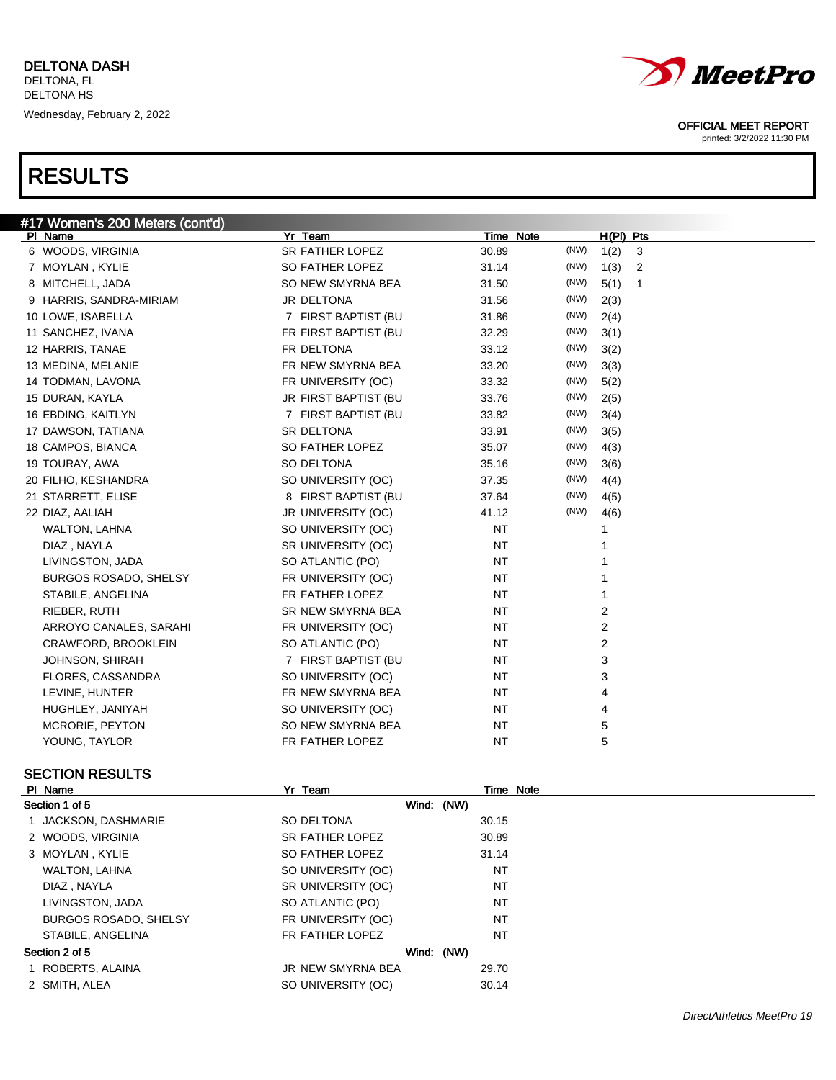| #17 Women's 200 Meters (cont'd) |                      |           |      |                |                |
|---------------------------------|----------------------|-----------|------|----------------|----------------|
| PI Name                         | Yr Team              | Time Note |      | $H(PI)$ Pts    |                |
| 6 WOODS, VIRGINIA               | SR FATHER LOPEZ      | 30.89     | (NW) | 1(2)           | 3              |
| 7 MOYLAN, KYLIE                 | SO FATHER LOPEZ      | 31.14     | (NW) | 1(3)           | $\overline{2}$ |
| 8 MITCHELL, JADA                | SO NEW SMYRNA BEA    | 31.50     | (NW) | 5(1)           | $\overline{1}$ |
| 9 HARRIS, SANDRA-MIRIAM         | JR DELTONA           | 31.56     | (NW) | 2(3)           |                |
| 10 LOWE, ISABELLA               | 7 FIRST BAPTIST (BU  | 31.86     | (NW) | 2(4)           |                |
| 11 SANCHEZ, IVANA               | FR FIRST BAPTIST (BU | 32.29     | (NW) | 3(1)           |                |
| 12 HARRIS, TANAE                | FR DELTONA           | 33.12     | (NW) | 3(2)           |                |
| 13 MEDINA, MELANIE              | FR NEW SMYRNA BEA    | 33.20     | (NW) | 3(3)           |                |
| 14 TODMAN, LAVONA               | FR UNIVERSITY (OC)   | 33.32     | (NW) | 5(2)           |                |
| 15 DURAN, KAYLA                 | JR FIRST BAPTIST (BU | 33.76     | (NW) | 2(5)           |                |
| 16 EBDING, KAITLYN              | 7 FIRST BAPTIST (BU  | 33.82     | (NW) | 3(4)           |                |
| 17 DAWSON, TATIANA              | SR DELTONA           | 33.91     | (NW) | 3(5)           |                |
| 18 CAMPOS, BIANCA               | SO FATHER LOPEZ      | 35.07     | (NW) | 4(3)           |                |
| 19 TOURAY, AWA                  | SO DELTONA           | 35.16     | (NW) | 3(6)           |                |
| 20 FILHO, KESHANDRA             | SO UNIVERSITY (OC)   | 37.35     | (NW) | 4(4)           |                |
| 21 STARRETT, ELISE              | 8 FIRST BAPTIST (BU  | 37.64     | (NW) | 4(5)           |                |
| 22 DIAZ, AALIAH                 | JR UNIVERSITY (OC)   | 41.12     | (NW) | 4(6)           |                |
| WALTON, LAHNA                   | SO UNIVERSITY (OC)   | <b>NT</b> |      | 1              |                |
| DIAZ, NAYLA                     | SR UNIVERSITY (OC)   | <b>NT</b> |      |                |                |
| LIVINGSTON, JADA                | SO ATLANTIC (PO)     | <b>NT</b> |      |                |                |
| <b>BURGOS ROSADO, SHELSY</b>    | FR UNIVERSITY (OC)   | <b>NT</b> |      |                |                |
| STABILE, ANGELINA               | FR FATHER LOPEZ      | <b>NT</b> |      | 1              |                |
| RIEBER, RUTH                    | SR NEW SMYRNA BEA    | <b>NT</b> |      | 2              |                |
| ARROYO CANALES, SARAHI          | FR UNIVERSITY (OC)   | <b>NT</b> |      | 2              |                |
| CRAWFORD, BROOKLEIN             | SO ATLANTIC (PO)     | <b>NT</b> |      | $\overline{2}$ |                |
| <b>JOHNSON, SHIRAH</b>          | 7 FIRST BAPTIST (BU  | <b>NT</b> |      | 3              |                |
| FLORES, CASSANDRA               | SO UNIVERSITY (OC)   | <b>NT</b> |      | 3              |                |
| LEVINE, HUNTER                  | FR NEW SMYRNA BEA    | NT        |      | 4              |                |
| HUGHLEY, JANIYAH                | SO UNIVERSITY (OC)   | <b>NT</b> |      | 4              |                |
| MCRORIE, PEYTON                 | SO NEW SMYRNA BEA    | NT        |      | 5              |                |
| YOUNG, TAYLOR                   | FR FATHER LOPEZ      | <b>NT</b> |      | 5              |                |

### SECTION RESULTS

| Section 1 of 5    |                              |                    | Wind: (NW) |  |  |  |  |
|-------------------|------------------------------|--------------------|------------|--|--|--|--|
|                   | 1 JACKSON, DASHMARIE         | SO DELTONA         | 30.15      |  |  |  |  |
| 2 WOODS, VIRGINIA |                              | SR FATHER LOPEZ    | 30.89      |  |  |  |  |
| 3 MOYLAN, KYLIE   |                              | SO FATHER LOPEZ    | 31.14      |  |  |  |  |
|                   | WALTON, LAHNA                | SO UNIVERSITY (OC) | NT         |  |  |  |  |
| DIAZ, NAYLA       |                              | SR UNIVERSITY (OC) | NT         |  |  |  |  |
|                   | LIVINGSTON, JADA             | SO ATLANTIC (PO)   | NT         |  |  |  |  |
|                   | <b>BURGOS ROSADO, SHELSY</b> | FR UNIVERSITY (OC) | NT         |  |  |  |  |
|                   | STABILE, ANGELINA            | FR FATHER LOPEZ    | NT         |  |  |  |  |
| Section 2 of 5    |                              |                    | Wind: (NW) |  |  |  |  |
| 1 ROBERTS, ALAINA |                              | JR NEW SMYRNA BEA  | 29.70      |  |  |  |  |
| 2 SMITH, ALEA     |                              | SO UNIVERSITY (OC) | 30.14      |  |  |  |  |

Pr Team Time Note



### OFFICIAL MEET REPORT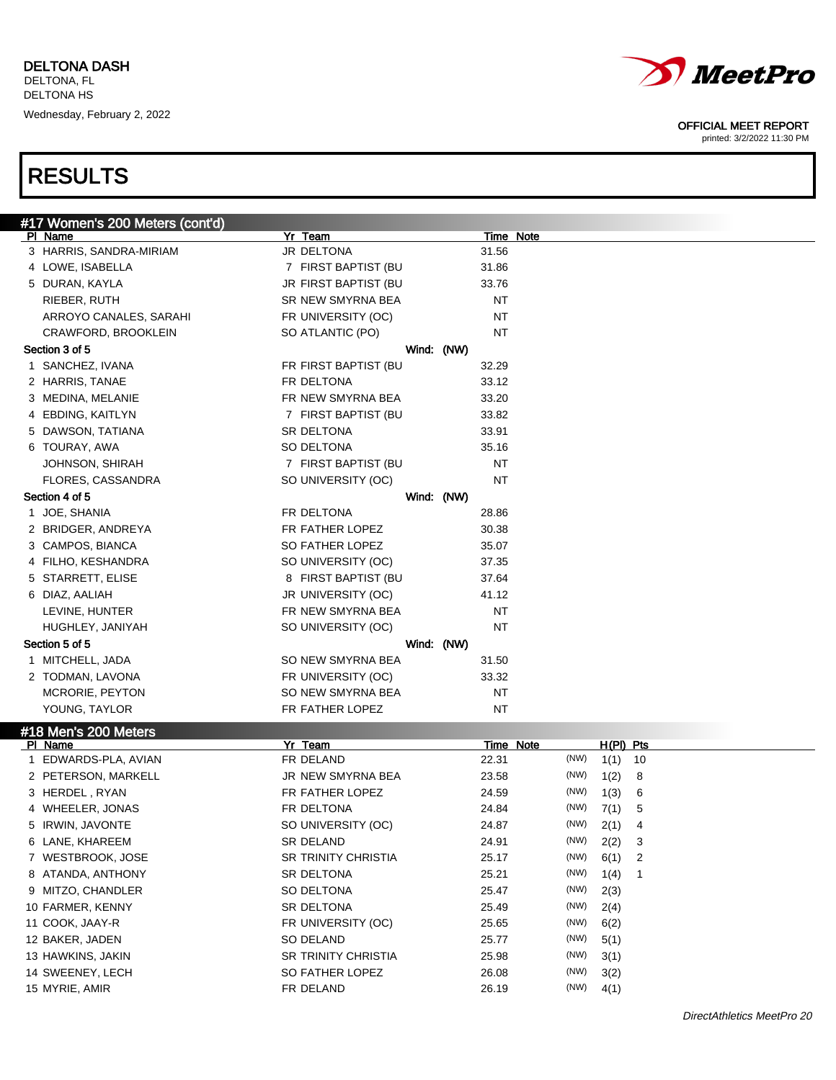

printed: 3/2/2022 11:30 PM

## RESULTS

| #17 Women's 200 Meters (cont'd) |                      |            |           |           |             |    |  |
|---------------------------------|----------------------|------------|-----------|-----------|-------------|----|--|
| PI Name                         | Yr Team              |            |           | Time Note |             |    |  |
| 3 HARRIS, SANDRA-MIRIAM         | JR DELTONA           |            | 31.56     |           |             |    |  |
| 4 LOWE, ISABELLA                | 7 FIRST BAPTIST (BU  |            | 31.86     |           |             |    |  |
| 5 DURAN, KAYLA                  | JR FIRST BAPTIST (BU |            | 33.76     |           |             |    |  |
| RIEBER, RUTH                    | SR NEW SMYRNA BEA    |            | NT        |           |             |    |  |
| ARROYO CANALES, SARAHI          | FR UNIVERSITY (OC)   |            | NT        |           |             |    |  |
| CRAWFORD, BROOKLEIN             | SO ATLANTIC (PO)     |            | NT        |           |             |    |  |
| Section 3 of 5                  |                      | Wind: (NW) |           |           |             |    |  |
| 1 SANCHEZ, IVANA                | FR FIRST BAPTIST (BU |            | 32.29     |           |             |    |  |
| 2 HARRIS, TANAE                 | FR DELTONA           |            | 33.12     |           |             |    |  |
| 3 MEDINA, MELANIE               | FR NEW SMYRNA BEA    |            | 33.20     |           |             |    |  |
| 4 EBDING, KAITLYN               | 7 FIRST BAPTIST (BU  |            | 33.82     |           |             |    |  |
| 5 DAWSON, TATIANA               | SR DELTONA           |            | 33.91     |           |             |    |  |
| 6 TOURAY, AWA                   | SO DELTONA           |            | 35.16     |           |             |    |  |
| JOHNSON, SHIRAH                 | 7 FIRST BAPTIST (BU  |            | <b>NT</b> |           |             |    |  |
| FLORES, CASSANDRA               | SO UNIVERSITY (OC)   |            | ΝT        |           |             |    |  |
| Section 4 of 5                  |                      | Wind: (NW) |           |           |             |    |  |
| 1 JOE, SHANIA                   | FR DELTONA           |            | 28.86     |           |             |    |  |
| 2 BRIDGER, ANDREYA              | FR FATHER LOPEZ      |            | 30.38     |           |             |    |  |
| 3 CAMPOS, BIANCA                | SO FATHER LOPEZ      |            | 35.07     |           |             |    |  |
| 4 FILHO, KESHANDRA              | SO UNIVERSITY (OC)   |            | 37.35     |           |             |    |  |
| 5 STARRETT, ELISE               | 8 FIRST BAPTIST (BU  |            | 37.64     |           |             |    |  |
| 6 DIAZ, AALIAH                  | JR UNIVERSITY (OC)   |            | 41.12     |           |             |    |  |
| LEVINE, HUNTER                  | FR NEW SMYRNA BEA    |            | NT        |           |             |    |  |
| HUGHLEY, JANIYAH                | SO UNIVERSITY (OC)   |            | NT        |           |             |    |  |
| Section 5 of 5                  |                      | Wind: (NW) |           |           |             |    |  |
| 1 MITCHELL, JADA                | SO NEW SMYRNA BEA    |            | 31.50     |           |             |    |  |
| 2 TODMAN, LAVONA                | FR UNIVERSITY (OC)   |            | 33.32     |           |             |    |  |
| MCRORIE, PEYTON                 | SO NEW SMYRNA BEA    |            | NT        |           |             |    |  |
| YOUNG, TAYLOR                   | FR FATHER LOPEZ      |            | ΝT        |           |             |    |  |
| #18 Men's 200 Meters            |                      |            |           |           |             |    |  |
| PI Name                         | Yr Team              |            |           | Time Note | $H(PI)$ Pts |    |  |
| 1 EDWARDS-PLA, AVIAN            | FR DELAND            |            | 22.31     | (NW)      | 1(1)        | 10 |  |
| 2 PETERSON, MARKELL             | JR NEW SMYRNA BEA    |            | 23.58     | (NW)      | 1(2)        | 8  |  |
| 3 HERDEL, RYAN                  | FR FATHER LOPEZ      |            | 24.59     | (NW)      | 1(3)        | 6  |  |
| 4 WHEELER, JONAS                | FR DELTONA           |            | 24.84     | (NW)      | 7(1)        | 5  |  |
| 5 IRWIN, JAVONTE                | SO UNIVERSITY (OC)   |            | 24.87     | (NW)      | 2(1)        | 4  |  |

6 LANE, KHAREEM SR DELAND 24.91 (NW) 2(2) 3

7 WESTBROOK, JOSE **SR TRINITY CHRISTIA** 25.17 (NW) 6(1) 2

8 ATANDA, ANTHONY SR DELTONA 25.21 (NW) 1(4) 1

9 MITZO, CHANDLER SO DELTONA 25.47 (NW) 2(3) 10 FARMER, KENNY SR DELTONA 25.49 (NW) 2(4)

11 COOK, JAAY-R **EXAMPLE SEE ASSESS** (NW) 6(2)

12 BAKER, JADEN SO DELAND 25.77 (NW) 5(1)

13 HAWKINS, JAKIN SR TRINITY CHRISTIA 25.98 (NW) 3(1)

- 14 SWEENEY, LECH SO FATHER LOPEZ 26.08 (NW) 3(2)
- 15 MYRIE, AMIR FR DELAND 26.19 (NW) 4(1)

DirectAthletics MeetPro 20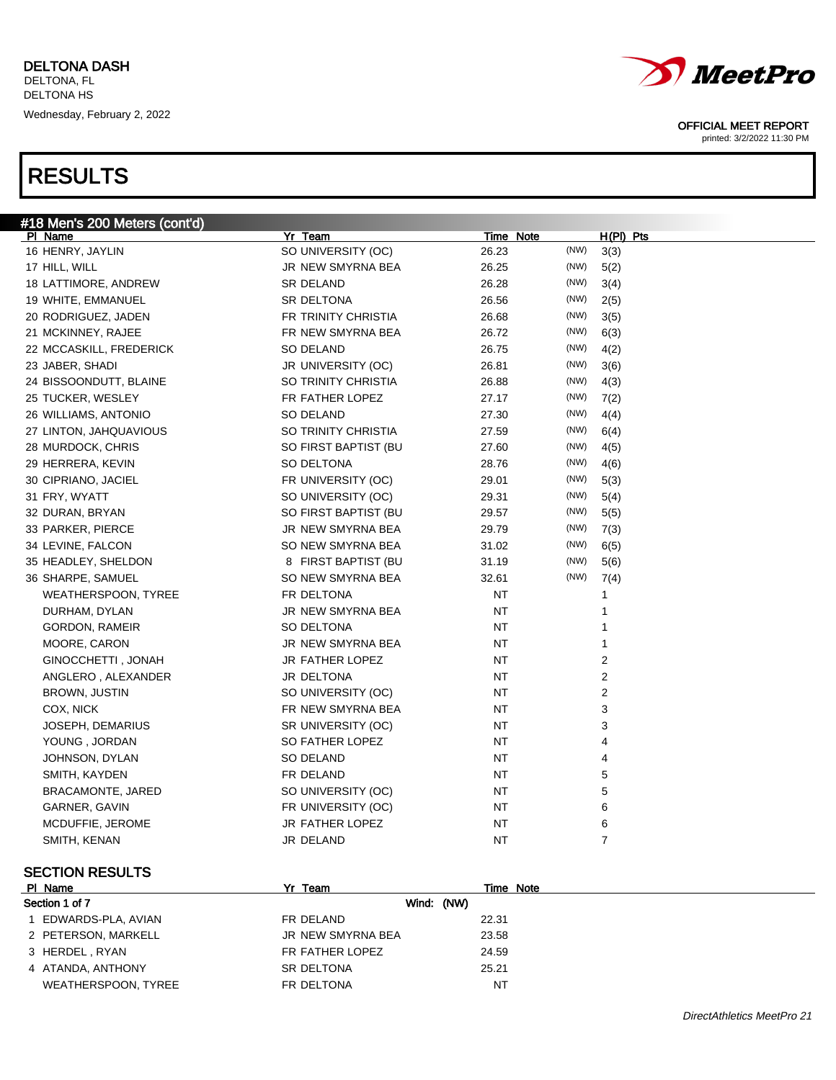| #18 Men's 200 Meters (cont'd) |                      |           |      |             |
|-------------------------------|----------------------|-----------|------|-------------|
| PI Name                       | Yr Team              | Time Note |      | $H(PI)$ Pts |
| 16 HENRY, JAYLIN              | SO UNIVERSITY (OC)   | 26.23     | (NW) | 3(3)        |
| 17 HILL, WILL                 | JR NEW SMYRNA BEA    | 26.25     | (NW) | 5(2)        |
| 18 LATTIMORE, ANDREW          | <b>SR DELAND</b>     | 26.28     | (NW) | 3(4)        |
| 19 WHITE, EMMANUEL            | SR DELTONA           | 26.56     | (NW) | 2(5)        |
| 20 RODRIGUEZ, JADEN           | FR TRINITY CHRISTIA  | 26.68     | (NW) | 3(5)        |
| 21 MCKINNEY, RAJEE            | FR NEW SMYRNA BEA    | 26.72     | (NW) | 6(3)        |
| 22 MCCASKILL, FREDERICK       | SO DELAND            | 26.75     | (NW) | 4(2)        |
| 23 JABER, SHADI               | JR UNIVERSITY (OC)   | 26.81     | (NW) | 3(6)        |
| 24 BISSOONDUTT, BLAINE        | SO TRINITY CHRISTIA  | 26.88     | (NW) | 4(3)        |
| 25 TUCKER, WESLEY             | FR FATHER LOPEZ      | 27.17     | (NW) | 7(2)        |
| 26 WILLIAMS, ANTONIO          | <b>SO DELAND</b>     | 27.30     | (NW) | 4(4)        |
| 27 LINTON, JAHQUAVIOUS        | SO TRINITY CHRISTIA  | 27.59     | (NW) | 6(4)        |
| 28 MURDOCK, CHRIS             | SO FIRST BAPTIST (BU | 27.60     | (NW) | 4(5)        |
| 29 HERRERA, KEVIN             | SO DELTONA           | 28.76     | (NW) | 4(6)        |
| 30 CIPRIANO, JACIEL           | FR UNIVERSITY (OC)   | 29.01     | (NW) | 5(3)        |
| 31 FRY, WYATT                 | SO UNIVERSITY (OC)   | 29.31     | (NW) | 5(4)        |
| 32 DURAN, BRYAN               | SO FIRST BAPTIST (BU | 29.57     | (NW) | 5(5)        |
| 33 PARKER, PIERCE             | JR NEW SMYRNA BEA    | 29.79     | (NW) | 7(3)        |
| 34 LEVINE, FALCON             | SO NEW SMYRNA BEA    | 31.02     | (NW) | 6(5)        |
| 35 HEADLEY, SHELDON           | 8 FIRST BAPTIST (BU  | 31.19     | (NW) | 5(6)        |
| 36 SHARPE, SAMUEL             | SO NEW SMYRNA BEA    | 32.61     | (NW) | 7(4)        |
| <b>WEATHERSPOON, TYREE</b>    | FR DELTONA           | NT        |      | 1           |
| DURHAM, DYLAN                 | JR NEW SMYRNA BEA    | NT        |      | 1           |
| <b>GORDON, RAMEIR</b>         | SO DELTONA           | NT        |      | 1           |
| MOORE, CARON                  | JR NEW SMYRNA BEA    | NT        |      | 1           |
| GINOCCHETTI, JONAH            | JR FATHER LOPEZ      | NT        |      | 2           |
| ANGLERO, ALEXANDER            | JR DELTONA           | NT        |      | 2           |
| <b>BROWN, JUSTIN</b>          | SO UNIVERSITY (OC)   | ΝT        |      | 2           |
| COX, NICK                     | FR NEW SMYRNA BEA    | ΝT        |      | 3           |
| JOSEPH, DEMARIUS              | SR UNIVERSITY (OC)   | NT        |      | 3           |
| YOUNG, JORDAN                 | SO FATHER LOPEZ      | ΝT        |      | 4           |
| JOHNSON, DYLAN                | SO DELAND            | ΝT        |      | 4           |
| SMITH, KAYDEN                 | FR DELAND            | ΝT        |      | 5           |
| BRACAMONTE, JARED             | SO UNIVERSITY (OC)   | NT        |      | 5           |
| GARNER, GAVIN                 | FR UNIVERSITY (OC)   | ΝT        |      | 6           |
| MCDUFFIE, JEROME              | JR FATHER LOPEZ      | ΝT        |      | 6           |
| SMITH, KENAN                  | JR DELAND            | NT        |      | 7           |
|                               |                      |           |      |             |

### SECTION RESULTS

| PI Name             | Yr Team           | Time Note |
|---------------------|-------------------|-----------|
| Section 1 of 7      | Wind: (NW)        |           |
| EDWARDS-PLA, AVIAN  | FR DELAND         | 22.31     |
| 2 PETERSON, MARKELL | JR NEW SMYRNA BEA | 23.58     |
| 3 HERDEL, RYAN      | FR FATHER LOPEZ   | 24.59     |
| 4 ATANDA, ANTHONY   | <b>SR DELTONA</b> | 25.21     |
| WEATHERSPOON, TYREE | FR DELTONA        | NT        |



### OFFICIAL MEET REPORT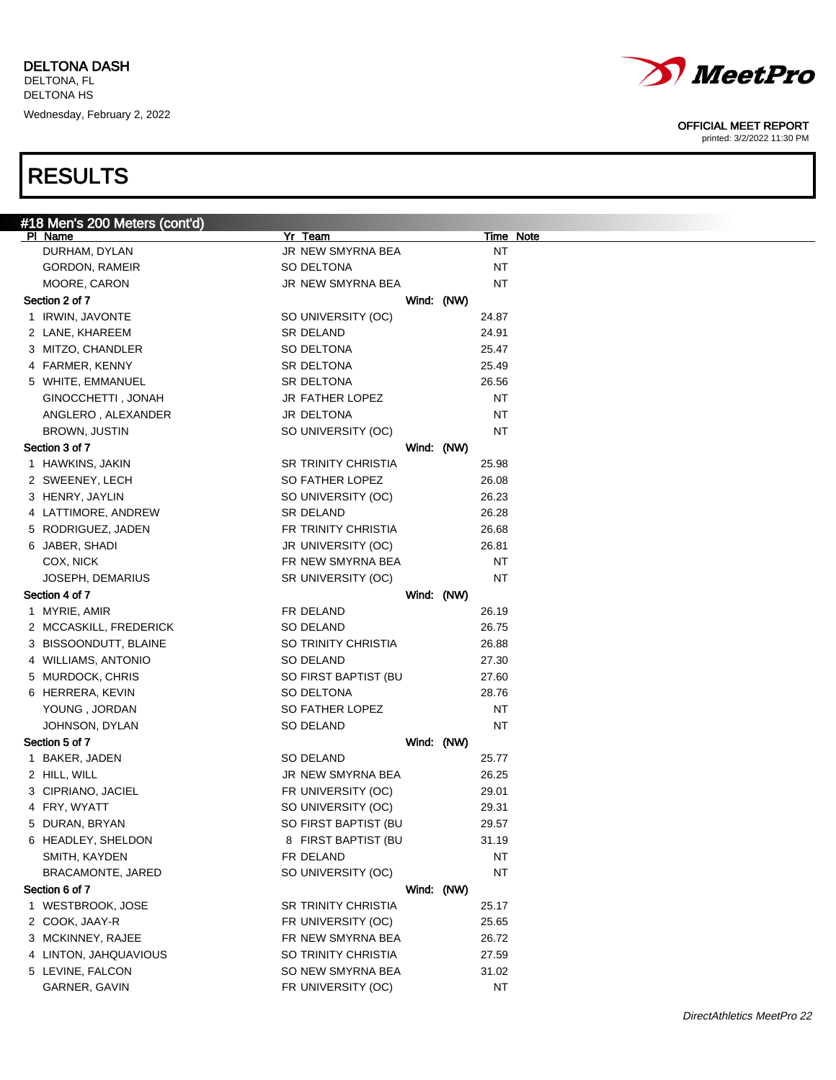| #18 Men's 200 Meters (cont'd) |                            |                  |
|-------------------------------|----------------------------|------------------|
| PI Name                       | Yr Team                    | <b>Time Note</b> |
| DURHAM, DYLAN                 | JR NEW SMYRNA BEA          | NT               |
| GORDON, RAMEIR                | SO DELTONA                 | NT               |
| MOORE, CARON                  | JR NEW SMYRNA BEA          | NT               |
| Section 2 of 7                |                            | Wind: (NW)       |
| 1 IRWIN, JAVONTE              | SO UNIVERSITY (OC)         | 24.87            |
| 2 LANE, KHAREEM               | SR DELAND                  | 24.91            |
| 3 MITZO, CHANDLER             | SO DELTONA                 | 25.47            |
| 4 FARMER, KENNY               | SR DELTONA                 | 25.49            |
| 5 WHITE, EMMANUEL             | SR DELTONA                 | 26.56            |
| GINOCCHETTI, JONAH            | JR FATHER LOPEZ            | NT               |
| ANGLERO, ALEXANDER            | <b>JR DELTONA</b>          | NT               |
| BROWN, JUSTIN                 | SO UNIVERSITY (OC)         | NT               |
| Section 3 of 7                |                            | Wind: (NW)       |
| 1 HAWKINS, JAKIN              | <b>SR TRINITY CHRISTIA</b> | 25.98            |
| 2 SWEENEY, LECH               | SO FATHER LOPEZ            | 26.08            |
| 3 HENRY, JAYLIN               | SO UNIVERSITY (OC)         | 26.23            |
| 4 LATTIMORE, ANDREW           | <b>SR DELAND</b>           | 26.28            |
| 5 RODRIGUEZ, JADEN            | FR TRINITY CHRISTIA        | 26.68            |
| 6 JABER, SHADI                | JR UNIVERSITY (OC)         | 26.81            |
| COX, NICK                     | FR NEW SMYRNA BEA          | NT               |
| JOSEPH, DEMARIUS              | SR UNIVERSITY (OC)         | NT               |
| Section 4 of 7                |                            | Wind: (NW)       |
| 1 MYRIE, AMIR                 | FR DELAND                  | 26.19            |
| 2 MCCASKILL, FREDERICK        | SO DELAND                  | 26.75            |
| 3 BISSOONDUTT, BLAINE         | SO TRINITY CHRISTIA        | 26.88            |
| 4 WILLIAMS, ANTONIO           | SO DELAND                  | 27.30            |
| 5 MURDOCK, CHRIS              | SO FIRST BAPTIST (BU       | 27.60            |
| 6 HERRERA, KEVIN              | SO DELTONA                 | 28.76            |
| YOUNG, JORDAN                 | SO FATHER LOPEZ            | NT               |
| JOHNSON, DYLAN                | SO DELAND                  | NT               |
| Section 5 of 7                |                            | Wind: (NW)       |
| 1 BAKER, JADEN                | SO DELAND                  | 25.77            |
| 2 HILL, WILL                  | <b>JR NEW SMYRNA BEA</b>   | 26.25            |
| 3 CIPRIANO, JACIEL            | FR UNIVERSITY (OC)         | 29.01            |
| 4 FRY, WYATT                  | SO UNIVERSITY (OC)         | 29.31            |
| 5 DURAN, BRYAN                | SO FIRST BAPTIST (BU       | 29.57            |
| 6 HEADLEY, SHELDON            | 8 FIRST BAPTIST (BU        | 31.19            |
| SMITH, KAYDEN                 | FR DELAND                  | NT               |
| BRACAMONTE, JARED             | SO UNIVERSITY (OC)         | ΝT               |
| Section 6 of 7                |                            | Wind: (NW)       |
| 1 WESTBROOK, JOSE             | <b>SR TRINITY CHRISTIA</b> | 25.17            |
| 2 COOK, JAAY-R                | FR UNIVERSITY (OC)         | 25.65            |
| 3 MCKINNEY, RAJEE             | FR NEW SMYRNA BEA          | 26.72            |
| 4 LINTON, JAHQUAVIOUS         | SO TRINITY CHRISTIA        | 27.59            |
| 5 LEVINE, FALCON              | SO NEW SMYRNA BEA          | 31.02            |
| GARNER, GAVIN                 | FR UNIVERSITY (OC)         | NT               |



### OFFICIAL MEET REPORT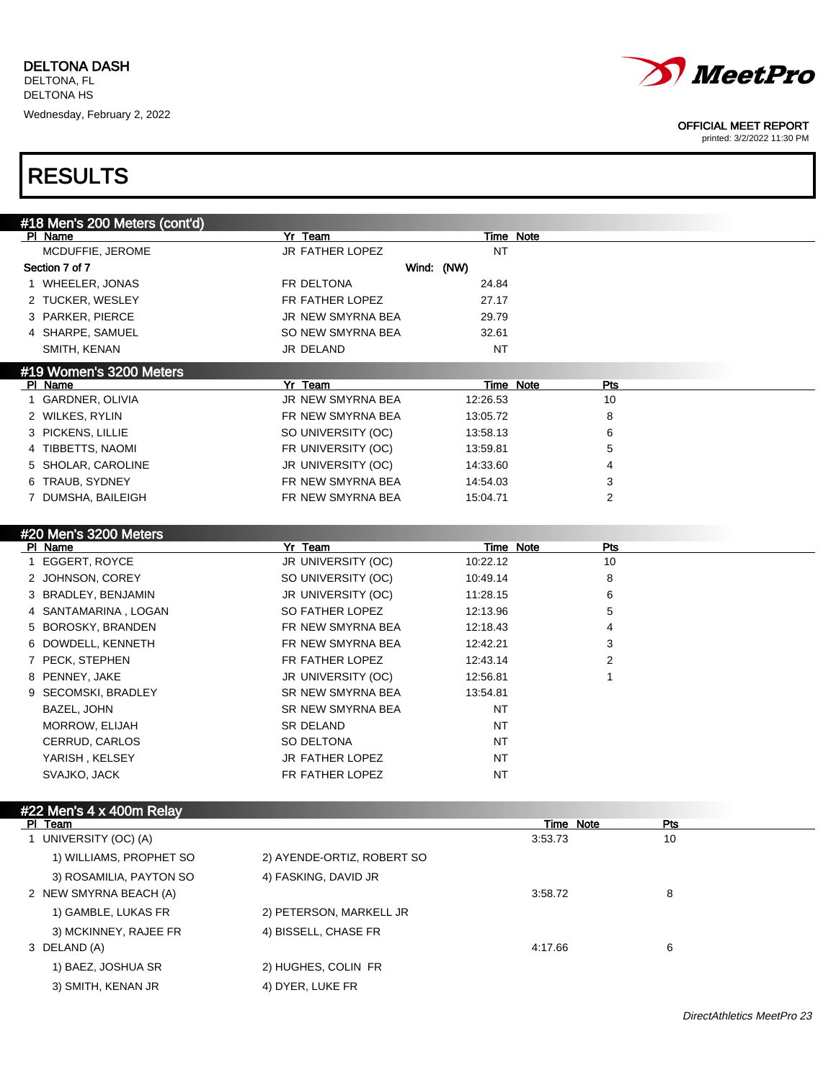

printed: 3/2/2022 11:30 PM

| #18 Men's 200 Meters (cont'd) |                            |                  |           |           |     |  |
|-------------------------------|----------------------------|------------------|-----------|-----------|-----|--|
| PI Name                       | Yr Team                    |                  | Time Note |           |     |  |
| MCDUFFIE, JEROME              | JR FATHER LOPEZ            | <b>NT</b>        |           |           |     |  |
| Section 7 of 7                |                            | Wind: (NW)       |           |           |     |  |
| 1 WHEELER, JONAS              | FR DELTONA                 | 24.84            |           |           |     |  |
| 2 TUCKER, WESLEY              | FR FATHER LOPEZ            | 27.17            |           |           |     |  |
| 3 PARKER, PIERCE              | JR NEW SMYRNA BEA          | 29.79            |           |           |     |  |
| 4 SHARPE, SAMUEL              | SO NEW SMYRNA BEA          | 32.61            |           |           |     |  |
| SMITH, KENAN                  | JR DELAND                  | NT               |           |           |     |  |
| #19 Women's 3200 Meters       |                            |                  |           |           |     |  |
| PI Name                       | Yr Team                    | <b>Time Note</b> |           | Pts       |     |  |
| 1 GARDNER, OLIVIA             | JR NEW SMYRNA BEA          | 12:26.53         |           | 10        |     |  |
| 2 WILKES, RYLIN               | FR NEW SMYRNA BEA          | 13:05.72         |           | 8         |     |  |
| 3 PICKENS, LILLIE             | SO UNIVERSITY (OC)         | 13:58.13         |           | 6         |     |  |
| 4 TIBBETTS, NAOMI             | FR UNIVERSITY (OC)         | 13:59.81         |           | 5         |     |  |
| 5 SHOLAR, CAROLINE            | JR UNIVERSITY (OC)         | 14:33.60         |           | 4         |     |  |
| 6 TRAUB, SYDNEY               | FR NEW SMYRNA BEA          | 14:54.03         |           | 3         |     |  |
| 7 DUMSHA, BAILEIGH            | FR NEW SMYRNA BEA          | 15:04.71         |           | 2         |     |  |
|                               |                            |                  |           |           |     |  |
| #20 Men's 3200 Meters         |                            |                  |           |           |     |  |
| PI Name                       | Yr Team                    | 10:22.12         | Time Note | Pts<br>10 |     |  |
| 1 EGGERT, ROYCE               | JR UNIVERSITY (OC)         |                  |           |           |     |  |
| 2 JOHNSON, COREY              | SO UNIVERSITY (OC)         | 10:49.14         |           | 8         |     |  |
| 3 BRADLEY, BENJAMIN           | JR UNIVERSITY (OC)         | 11:28.15         |           | 6         |     |  |
| 4 SANTAMARINA, LOGAN          | SO FATHER LOPEZ            | 12:13.96         |           | 5         |     |  |
| 5 BOROSKY, BRANDEN            | FR NEW SMYRNA BEA          | 12:18.43         |           | 4         |     |  |
| 6 DOWDELL, KENNETH            | FR NEW SMYRNA BEA          | 12:42.21         |           | 3         |     |  |
| 7 PECK, STEPHEN               | FR FATHER LOPEZ            | 12:43.14         |           | 2         |     |  |
| 8 PENNEY, JAKE                | JR UNIVERSITY (OC)         | 12:56.81         |           | 1         |     |  |
| 9 SECOMSKI, BRADLEY           | SR NEW SMYRNA BEA          | 13:54.81         |           |           |     |  |
| BAZEL, JOHN                   | SR NEW SMYRNA BEA          | <b>NT</b>        |           |           |     |  |
| MORROW, ELIJAH                | SR DELAND                  | <b>NT</b>        |           |           |     |  |
| CERRUD, CARLOS                | SO DELTONA                 | NT               |           |           |     |  |
| YARISH, KELSEY                | JR FATHER LOPEZ            | NT               |           |           |     |  |
| SVAJKO, JACK                  | FR FATHER LOPEZ            | NT               |           |           |     |  |
|                               |                            |                  |           |           |     |  |
| #22 Men's 4 x 400m Relay      |                            |                  |           |           |     |  |
| PI Team                       |                            |                  | Time Note |           | Pts |  |
| 1 UNIVERSITY (OC) (A)         |                            |                  | 3:53.73   |           | 10  |  |
| 1) WILLIAMS, PROPHET SO       | 2) AYENDE-ORTIZ, ROBERT SO |                  |           |           |     |  |
| 3) ROSAMILIA, PAYTON SO       | 4) FASKING, DAVID JR       |                  |           |           |     |  |
| 2 NEW SMYRNA BEACH (A)        |                            |                  | 3:58.72   |           | 8   |  |
| 1) GAMBLE, LUKAS FR           | 2) PETERSON, MARKELL JR    |                  |           |           |     |  |
| 3) MCKINNEY, RAJEE FR         | 4) BISSELL, CHASE FR       |                  |           |           |     |  |
| 3 DELAND (A)                  |                            |                  | 4:17.66   |           | 6   |  |
|                               |                            |                  |           |           |     |  |
| 1) BAEZ, JOSHUA SR            | 2) HUGHES, COLIN FR        |                  |           |           |     |  |
| 3) SMITH, KENAN JR            | 4) DYER, LUKE FR           |                  |           |           |     |  |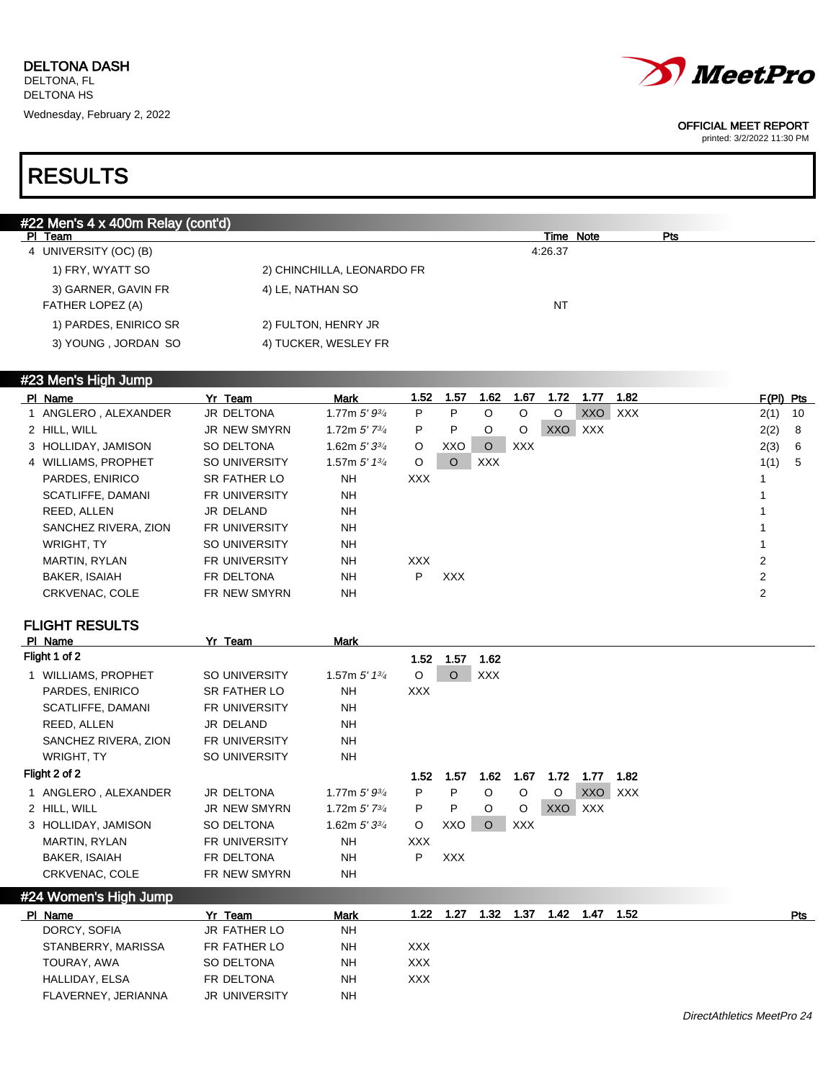

printed: 3/2/2022 11:30 PM

## RESULTS

| #22 Men's 4 x 400m Relay (cont'd) |                            |         |           |     |
|-----------------------------------|----------------------------|---------|-----------|-----|
| PI Team                           |                            |         | Time Note | Pts |
| 4 UNIVERSITY (OC) (B)             |                            | 4:26.37 |           |     |
| 1) FRY, WYATT SO                  | 2) CHINCHILLA, LEONARDO FR |         |           |     |
| 3) GARNER, GAVIN FR               | 4) LE, NATHAN SO           |         |           |     |
| FATHER LOPEZ (A)                  |                            | NT      |           |     |
| 1) PARDES, ENIRICO SR             | 2) FULTON, HENRY JR        |         |           |     |
| 3) YOUNG, JORDAN SO               | 4) TUCKER, WESLEY FR       |         |           |     |
|                                   |                            |         |           |     |

### #23 Men's High Jump

| PI Name              | Yr Team              | Mark                       | 1.52       | 1.57       | 1.62       | 1.67       | 1.72       | 1.77       | 1.82       | $F(PI)$ Pts |      |
|----------------------|----------------------|----------------------------|------------|------------|------------|------------|------------|------------|------------|-------------|------|
| 1 ANGLERO, ALEXANDER | <b>JR DELTONA</b>    | 1.77m $5'$ $9\frac{3}{4}$  | P          | P          | O          | $\circ$    | $\circ$    | <b>XXO</b> | <b>XXX</b> | 2(1)        | - 10 |
| 2 HILL, WILL         | <b>JR NEW SMYRN</b>  | 1.72m $5'$ 7 $\frac{3}{4}$ | P          | P          | O          | $\circ$    | <b>XXO</b> | <b>XXX</b> |            | 2(2)        | 8    |
| 3 HOLLIDAY, JAMISON  | SO DELTONA           | 1.62m $5'3^{3/4}$          | $\circ$    | XXO        | $\circ$    | <b>XXX</b> |            |            |            | 2(3)        | 6    |
| 4 WILLIAMS, PROPHET  | SO UNIVERSITY        | 1.57m $5'$ 1 $3/4$         | $\circ$    | $\Omega$   | <b>XXX</b> |            |            |            |            | 1(1)        | -5   |
| PARDES, ENIRICO      | SR FATHER LO         | <b>NH</b>                  | XXX.       |            |            |            |            |            |            |             |      |
| SCATLIFFE, DAMANI    | <b>FR UNIVERSITY</b> | <b>NH</b>                  |            |            |            |            |            |            |            |             |      |
| REED, ALLEN          | JR DELAND            | <b>NH</b>                  |            |            |            |            |            |            |            |             |      |
| SANCHEZ RIVERA, ZION | <b>FR UNIVERSITY</b> | <b>NH</b>                  |            |            |            |            |            |            |            |             |      |
| <b>WRIGHT, TY</b>    | SO UNIVERSITY        | <b>NH</b>                  |            |            |            |            |            |            |            |             |      |
| <b>MARTIN, RYLAN</b> | <b>FR UNIVERSITY</b> | <b>NH</b>                  | <b>XXX</b> |            |            |            |            |            |            | 2           |      |
| <b>BAKER, ISAIAH</b> | FR DELTONA           | <b>NH</b>                  | P          | <b>XXX</b> |            |            |            |            |            | 2           |      |
| CRKVENAC, COLE       | <b>FR NEW SMYRN</b>  | <b>NH</b>                  |            |            |            |            |            |            |            | 2           |      |

## FLIGHT RESULTS

|                      | Yr Team                                                                                                                         |                            |            |            |            |            |            |            |      |
|----------------------|---------------------------------------------------------------------------------------------------------------------------------|----------------------------|------------|------------|------------|------------|------------|------------|------|
|                      |                                                                                                                                 |                            | 1.52       | 1.57       | 1.62       |            |            |            |      |
|                      | SO UNIVERSITY                                                                                                                   | 1.57m $5'$ 1 $\frac{3}{4}$ | $\circ$    | O          | <b>XXX</b> |            |            |            |      |
| PARDES, ENIRICO      | SR FATHER LO                                                                                                                    | NH                         | <b>XXX</b> |            |            |            |            |            |      |
| SCATLIFFE, DAMANI    | <b>FR UNIVERSITY</b>                                                                                                            | NH                         |            |            |            |            |            |            |      |
| REED, ALLEN          | JR DELAND                                                                                                                       | <b>NH</b>                  |            |            |            |            |            |            |      |
| SANCHEZ RIVERA, ZION | <b>FR UNIVERSITY</b>                                                                                                            | NH                         |            |            |            |            |            |            |      |
| WRIGHT, TY           | SO UNIVERSITY                                                                                                                   | NH                         |            |            |            |            |            |            |      |
|                      |                                                                                                                                 |                            | 1.52       | 1.57       | 1.62       | 1.67       | 1.72       | 1.77       | 1.82 |
|                      | JR DELTONA                                                                                                                      | 1.77m $5'$ $9^{3/4}$       | P.         | P          | $\circ$    | $\circ$    | $\circ$    | XXO        | XXX  |
|                      | <b>JR NEW SMYRN</b>                                                                                                             | 1.72m $5'$ 7 $\frac{3}{4}$ | P          | P          | $\circ$    | $\circ$    | <b>XXO</b> | <b>XXX</b> |      |
|                      | SO DELTONA                                                                                                                      | 1.62m $5'$ 3 $\frac{3}{4}$ | $\circ$    |            | $\circ$    | <b>XXX</b> |            |            |      |
| MARTIN, RYLAN        | <b>FR UNIVERSITY</b>                                                                                                            | NH                         | <b>XXX</b> |            |            |            |            |            |      |
| <b>BAKER, ISAIAH</b> | FR DELTONA                                                                                                                      | NH                         | P          | <b>XXX</b> |            |            |            |            |      |
| CRKVENAC, COLE       | FR NEW SMYRN                                                                                                                    | <b>NH</b>                  |            |            |            |            |            |            |      |
|                      | PI Name<br>Flight 1 of 2<br>1 WILLIAMS, PROPHET<br>Flight 2 of 2<br>1 ANGLERO, ALEXANDER<br>2 HILL, WILL<br>3 HOLLIDAY, JAMISON |                            | Mark       |            |            | XXO        |            |            |      |

| #24 Women's High Jump |                      |             |      |      |      |      |      |      |      |     |
|-----------------------|----------------------|-------------|------|------|------|------|------|------|------|-----|
| PI Name               | Yr Team              | <b>Mark</b> | 1.22 | 1.27 | 1.32 | 1.37 | 1.42 | 1.47 | 1.52 | Pts |
| DORCY, SOFIA          | JR FATHER LO         | <b>NH</b>   |      |      |      |      |      |      |      |     |
| STANBERRY, MARISSA    | FR FATHER LO         | <b>NH</b>   | XXX  |      |      |      |      |      |      |     |
| TOURAY, AWA           | SO DELTONA           | <b>NH</b>   | XXX  |      |      |      |      |      |      |     |
| HALLIDAY, ELSA        | FR DELTONA           | <b>NH</b>   | XXX  |      |      |      |      |      |      |     |
| FLAVERNEY, JERIANNA   | <b>JR UNIVERSITY</b> | <b>NH</b>   |      |      |      |      |      |      |      |     |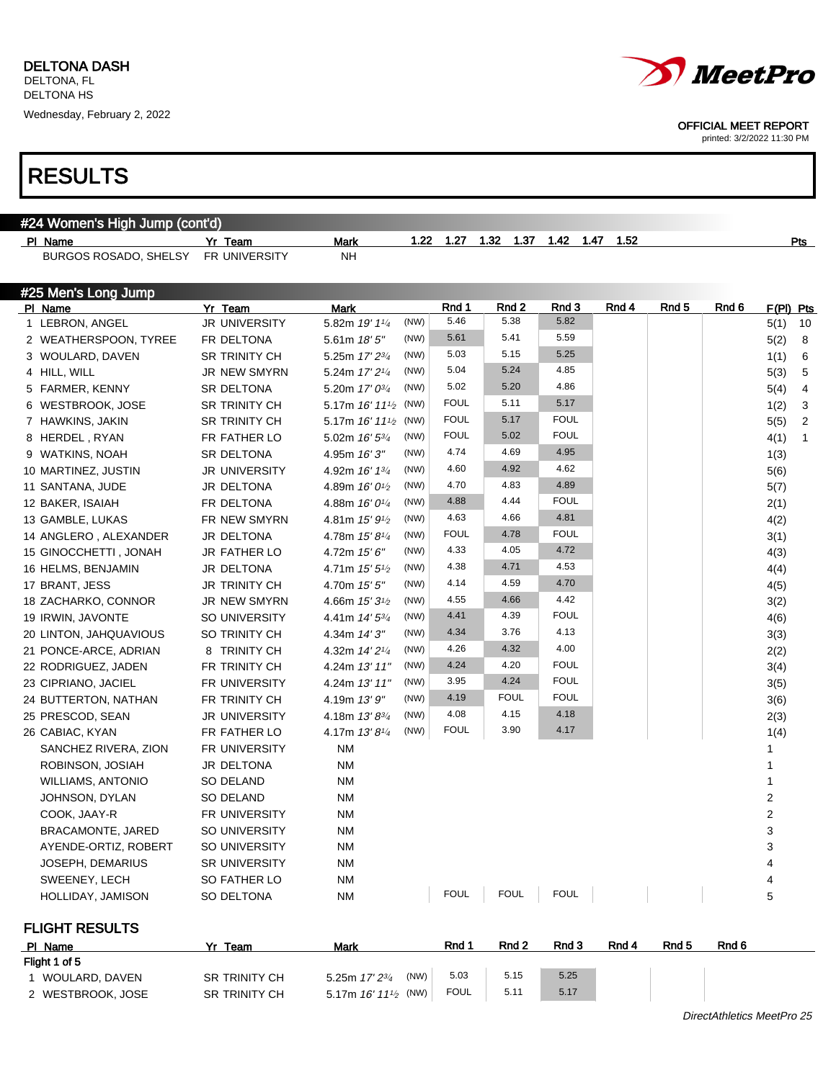

printed: 3/2/2022 11:30 PM

| #24 Women's High Jump (cont'd) |                                 |                                     |      |               |                          |               |       |       |       |                        |
|--------------------------------|---------------------------------|-------------------------------------|------|---------------|--------------------------|---------------|-------|-------|-------|------------------------|
| PI Name                        | Yr_Team                         | Mark                                | 1.22 | 1.27          | 1.32                     | 1.47          | 1.52  |       |       | Pts                    |
| BURGOS ROSADO, SHELSY          | FR UNIVERSITY                   | NΗ                                  |      |               |                          |               |       |       |       |                        |
|                                |                                 |                                     |      |               |                          |               |       |       |       |                        |
| #25 Men's Long Jump            |                                 |                                     |      |               |                          |               |       |       |       |                        |
| PI Name                        | Yr Team<br><b>JR UNIVERSITY</b> | <b>Mark</b>                         | (NW) | Rnd 1<br>5.46 | Rnd <sub>2</sub><br>5.38 | Rnd 3<br>5.82 | Rnd 4 | Rnd 5 | Rnd 6 | F(PI) Pts              |
| 1 LEBRON, ANGEL                |                                 | 5.82m 19' 11/4                      | (NW) | 5.61          | 5.41                     | 5.59          |       |       |       | 5(1)<br>10             |
| 2 WEATHERSPOON, TYREE          | FR DELTONA                      | 5.61m 18'5''                        | (NW) | 5.03          | 5.15                     | 5.25          |       |       |       | 5(2)<br>8              |
| 3 WOULARD, DAVEN               | <b>SR TRINITY CH</b>            | 5.25m 17' 23/4                      | (NW) | 5.04          | 5.24                     | 4.85          |       |       |       | 6<br>1(1)              |
| 4 HILL, WILL                   | JR NEW SMYRN                    | 5.24m 17' 21/4                      | (NW) | 5.02          | 5.20                     | 4.86          |       |       |       | 5<br>5(3)              |
| 5 FARMER, KENNY                | SR DELTONA                      | 5.20m 17' 03/4                      |      | <b>FOUL</b>   | 5.11                     | 5.17          |       |       |       | 4<br>5(4)              |
| 6 WESTBROOK, JOSE              | <b>SR TRINITY CH</b>            | 5.17m $16'$ $11'$ <sup>2</sup> (NW) |      | <b>FOUL</b>   | 5.17                     | <b>FOUL</b>   |       |       |       | 3<br>1(2)              |
| 7 HAWKINS, JAKIN               | <b>SR TRINITY CH</b>            | 5.17m $16'$ $11'$ <sup>2</sup> (NW) | (NW) | <b>FOUL</b>   | 5.02                     | <b>FOUL</b>   |       |       |       | $\overline{2}$<br>5(5) |
| 8 HERDEL, RYAN                 | FR FATHER LO                    | 5.02m 16' 53/4                      | (NW) | 4.74          | 4.69                     | 4.95          |       |       |       | 4(1)<br>1              |
| 9 WATKINS, NOAH                | SR DELTONA                      | 4.95m 16'3"                         | (NW) | 4.60          | 4.92                     | 4.62          |       |       |       | 1(3)                   |
| 10 MARTINEZ, JUSTIN            | <b>JR UNIVERSITY</b>            | 4.92m 16' 13/4                      | (NW) | 4.70          | 4.83                     | 4.89          |       |       |       | 5(6)                   |
| 11 SANTANA, JUDE               | JR DELTONA                      | 4.89m 16' 0 <sup>1/2</sup>          | (NW) | 4.88          | 4.44                     | <b>FOUL</b>   |       |       |       | 5(7)                   |
| 12 BAKER, ISAIAH               | FR DELTONA                      | 4.88m $16'0\frac{1}{4}$             | (NW) | 4.63          | 4.66                     | 4.81          |       |       |       | 2(1)                   |
| 13 GAMBLE, LUKAS               | FR NEW SMYRN                    | 4.81m $15'9'$                       | (NW) | <b>FOUL</b>   | 4.78                     | <b>FOUL</b>   |       |       |       | 4(2)                   |
| 14 ANGLERO, ALEXANDER          | JR DELTONA                      | 4.78m $15'8\frac{1}{4}$             | (NW) | 4.33          | 4.05                     | 4.72          |       |       |       | 3(1)                   |
| 15 GINOCCHETTI, JONAH          | <b>JR FATHER LO</b>             | 4.72m 15'6''                        | (NW) | 4.38          | 4.71                     | 4.53          |       |       |       | 4(3)                   |
| 16 HELMS, BENJAMIN             | JR DELTONA                      | 4.71m $15'5\frac{1}{2}$             | (NW) | 4.14          | 4.59                     | 4.70          |       |       |       | 4(4)                   |
| 17 BRANT, JESS                 | <b>JR TRINITY CH</b>            | 4.70m 15' 5"                        | (NW) | 4.55          | 4.66                     | 4.42          |       |       |       | 4(5)                   |
| 18 ZACHARKO, CONNOR            | JR NEW SMYRN                    | 4.66m $15'3\frac{1}{2}$             | (NW) | 4.41          | 4.39                     | <b>FOUL</b>   |       |       |       | 3(2)                   |
| 19 IRWIN, JAVONTE              | SO UNIVERSITY                   | 4.41m $14'5^{3/4}$                  | (NW) | 4.34          | 3.76                     | 4.13          |       |       |       | 4(6)                   |
| 20 LINTON, JAHQUAVIOUS         | SO TRINITY CH                   | 4.34m 14' 3"                        |      | 4.26          | 4.32                     | 4.00          |       |       |       | 3(3)                   |
| 21 PONCE-ARCE, ADRIAN          | 8 TRINITY CH                    | 4.32m 14' 2 <sup>1/4</sup>          | (NW) | 4.24          | 4.20                     | <b>FOUL</b>   |       |       |       | 2(2)                   |
| 22 RODRIGUEZ, JADEN            | FR TRINITY CH                   | 4.24m 13' 11"                       | (NW) | 3.95          | 4.24                     | <b>FOUL</b>   |       |       |       | 3(4)                   |
| 23 CIPRIANO, JACIEL            | FR UNIVERSITY                   | 4.24m 13' 11"                       | (NW) | 4.19          | <b>FOUL</b>              | <b>FOUL</b>   |       |       |       | 3(5)                   |
| 24 BUTTERTON, NATHAN           | FR TRINITY CH                   | 4.19m 13'9''                        | (NW) | 4.08          | 4.15                     | 4.18          |       |       |       | 3(6)                   |
| 25 PRESCOD, SEAN               | JR UNIVERSITY                   | 4.18m $13'8^{3/4}$                  | (NW) | <b>FOUL</b>   | 3.90                     | 4.17          |       |       |       | 2(3)                   |
| 26 CABIAC, KYAN                | FR FATHER LO                    | 4.17m 13'81/4                       | (NW) |               |                          |               |       |       |       | 1(4)                   |
| SANCHEZ RIVERA, ZION           | FR UNIVERSITY                   | <b>NM</b>                           |      |               |                          |               |       |       |       | 1                      |
| ROBINSON, JOSIAH               | JR DELTONA                      | <b>NM</b>                           |      |               |                          |               |       |       |       | 1                      |
| <b>WILLIAMS, ANTONIO</b>       | SO DELAND                       | <b>NM</b>                           |      |               |                          |               |       |       |       | 1                      |
| JOHNSON, DYLAN                 | SO DELAND                       | <b>NM</b>                           |      |               |                          |               |       |       |       | 2                      |
| COOK, JAAY-R                   | FR UNIVERSITY                   | <b>NM</b>                           |      |               |                          |               |       |       |       | $\overline{2}$         |
| BRACAMONTE, JARED              | SO UNIVERSITY                   | <b>NM</b>                           |      |               |                          |               |       |       |       | 3                      |
| AYENDE-ORTIZ, ROBERT           | SO UNIVERSITY                   | <b>NM</b>                           |      |               |                          |               |       |       |       | 3                      |
| JOSEPH, DEMARIUS               | <b>SR UNIVERSITY</b>            | ΝM                                  |      |               |                          |               |       |       |       | 4                      |
| SWEENEY, LECH                  | SO FATHER LO                    | ΝM                                  |      |               |                          |               |       |       |       | 4                      |
| HOLLIDAY, JAMISON              | SO DELTONA                      | <b>NM</b>                           |      | <b>FOUL</b>   | <b>FOUL</b>              | <b>FOUL</b>   |       |       |       | 5                      |
| <b>FLIGHT RESULTS</b>          |                                 |                                     |      |               |                          |               |       |       |       |                        |

| PI Name           | Team                 | Mark                                | Rnd         | Rnd <sub>2</sub> | Rnd 3 | Rnd 4 | Rnd <sub>5</sub> | Rnd 6 |
|-------------------|----------------------|-------------------------------------|-------------|------------------|-------|-------|------------------|-------|
| Flight 1 of 5     |                      |                                     |             |                  |       |       |                  |       |
| I WOULARD, DAVEN  | <b>SR TRINITY CH</b> | (NW)<br>5.25m 17' 23/4              | 5.03        | 5.15             | 5.25  |       |                  |       |
| 2 WESTBROOK, JOSE | <b>SR TRINITY CH</b> | 5.17m $16'$ $11'$ <sub>2</sub> (NW) | <b>FOUL</b> | 5.11             | 5.17  |       |                  |       |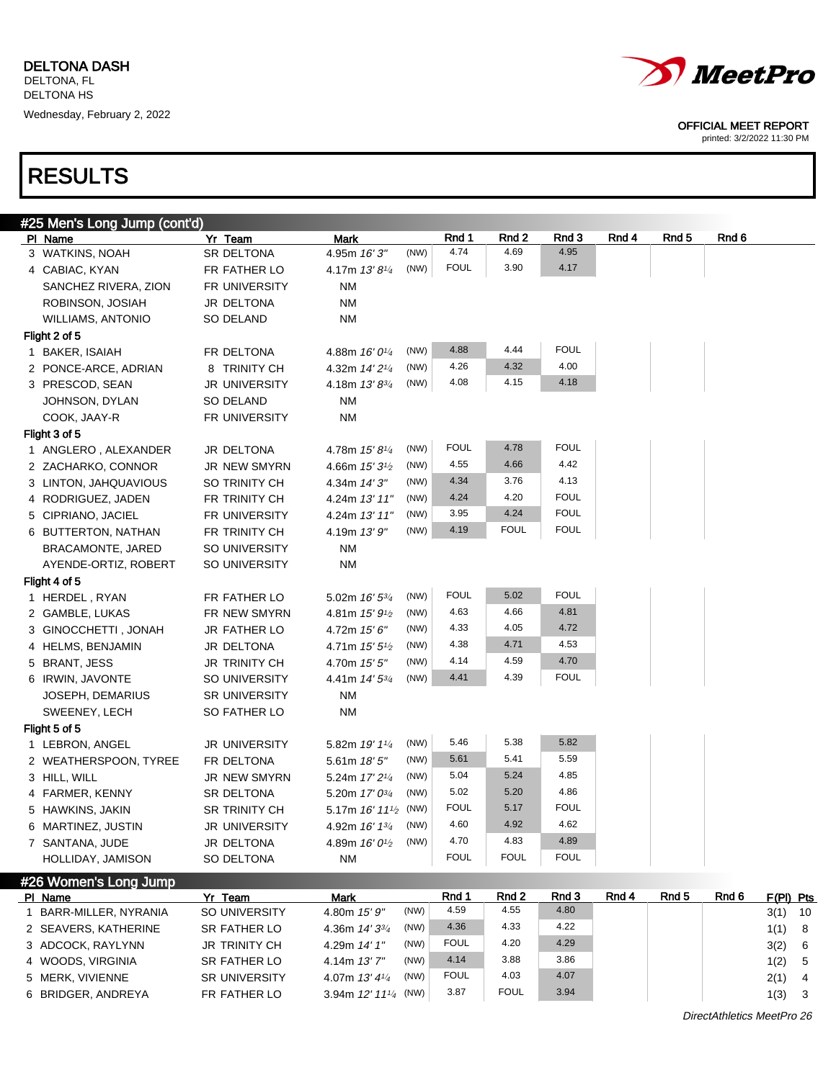

printed: 3/2/2022 11:30 PM

# RESULTS

| #25 Men's Long Jump (cont'd) |                      |                                     |                     |              |              |       |       |       |           |
|------------------------------|----------------------|-------------------------------------|---------------------|--------------|--------------|-------|-------|-------|-----------|
| PI Name                      | Yr Team              | Mark                                | Rnd 1               | Rnd 2        | Rnd 3        | Rnd 4 | Rnd 5 | Rnd 6 |           |
| 3 WATKINS, NOAH              | SR DELTONA           | (NW)<br>4.95m 16'3"                 | 4.74                | 4.69         | 4.95         |       |       |       |           |
| 4 CABIAC, KYAN               | FR FATHER LO         | (NW)<br>4.17m $13'8\frac{1}{4}$     | <b>FOUL</b>         | 3.90         | 4.17         |       |       |       |           |
| SANCHEZ RIVERA, ZION         | FR UNIVERSITY        | NM                                  |                     |              |              |       |       |       |           |
| ROBINSON, JOSIAH             | JR DELTONA           | <b>NM</b>                           |                     |              |              |       |       |       |           |
| WILLIAMS, ANTONIO            | SO DELAND            | <b>NM</b>                           |                     |              |              |       |       |       |           |
| Flight 2 of 5                |                      |                                     |                     |              |              |       |       |       |           |
| 1 BAKER, ISAIAH              | FR DELTONA           | (NW)<br>4.88m 16' 0 <sup>1/4</sup>  | 4.88                | 4.44         | <b>FOUL</b>  |       |       |       |           |
| 2 PONCE-ARCE, ADRIAN         | 8 TRINITY CH         | (NW)<br>4.32m $14'2\frac{1}{4}$     | 4.26                | 4.32         | 4.00         |       |       |       |           |
| 3 PRESCOD, SEAN              | <b>JR UNIVERSITY</b> | (NW)<br>4.18m 13'83/4               | 4.08                | 4.15         | 4.18         |       |       |       |           |
| JOHNSON, DYLAN               | SO DELAND            | <b>NM</b>                           |                     |              |              |       |       |       |           |
| COOK, JAAY-R                 | FR UNIVERSITY        | <b>NM</b>                           |                     |              |              |       |       |       |           |
| Flight 3 of 5                |                      |                                     |                     |              |              |       |       |       |           |
| 1 ANGLERO, ALEXANDER         | JR DELTONA           | (NW)<br>4.78m 15' 81/4              | FOUL                | 4.78         | <b>FOUL</b>  |       |       |       |           |
| 2 ZACHARKO, CONNOR           | JR NEW SMYRN         | (NW)<br>4.66m $15'3\frac{1}{2}$     | 4.55                | 4.66         | 4.42         |       |       |       |           |
| 3 LINTON, JAHQUAVIOUS        | SO TRINITY CH        | (NW)<br>4.34m 14' 3"                | 4.34                | 3.76         | 4.13         |       |       |       |           |
| 4 RODRIGUEZ, JADEN           | FR TRINITY CH        | (NW)<br>4.24m 13' 11"               | 4.24                | 4.20         | <b>FOUL</b>  |       |       |       |           |
| 5 CIPRIANO, JACIEL           | FR UNIVERSITY        | (NW)<br>4.24m 13' 11"               | 3.95                | 4.24         | <b>FOUL</b>  |       |       |       |           |
| 6 BUTTERTON, NATHAN          | FR TRINITY CH        | (NW)<br>4.19m 13'9''                | 4.19                | <b>FOUL</b>  | <b>FOUL</b>  |       |       |       |           |
| <b>BRACAMONTE, JARED</b>     | SO UNIVERSITY        | <b>NM</b>                           |                     |              |              |       |       |       |           |
| AYENDE-ORTIZ, ROBERT         | SO UNIVERSITY        | <b>NM</b>                           |                     |              |              |       |       |       |           |
| Flight 4 of 5                |                      |                                     |                     |              |              |       |       |       |           |
| 1 HERDEL, RYAN               | FR FATHER LO         | (NW)<br>5.02m $16'$ 5 $\frac{3}{4}$ | FOUL                | 5.02         | <b>FOUL</b>  |       |       |       |           |
| 2 GAMBLE, LUKAS              | FR NEW SMYRN         | (NW)<br>4.81m $15'9\frac{1}{2}$     | 4.63                | 4.66         | 4.81         |       |       |       |           |
| 3 GINOCCHETTI, JONAH         | <b>JR FATHER LO</b>  | (NW)<br>4.72m $15'6''$              | 4.33                | 4.05         | 4.72         |       |       |       |           |
| 4 HELMS, BENJAMIN            | JR DELTONA           | (NW)<br>4.71m $15'5''$              | 4.38                | 4.71         | 4.53         |       |       |       |           |
| 5 BRANT, JESS                | <b>JR TRINITY CH</b> | (NW)<br>4.70m 15' 5"                | 4.14                | 4.59         | 4.70         |       |       |       |           |
| 6 IRWIN, JAVONTE             | SO UNIVERSITY        | (NW)<br>4.41m $14'5^{3/4}$          | 4.41                | 4.39         | <b>FOUL</b>  |       |       |       |           |
| JOSEPH, DEMARIUS             | <b>SR UNIVERSITY</b> | <b>NM</b>                           |                     |              |              |       |       |       |           |
| SWEENEY, LECH                | SO FATHER LO         | <b>NM</b>                           |                     |              |              |       |       |       |           |
| Flight 5 of 5                |                      |                                     |                     |              |              |       |       |       |           |
| 1 LEBRON, ANGEL              | <b>JR UNIVERSITY</b> | (NW)<br>5.82m 19' 11/4              | 5.46                | 5.38         | 5.82         |       |       |       |           |
| 2 WEATHERSPOON, TYREE        | FR DELTONA           | (NW)<br>$5.61m$ 18' $5"$            | 5.61                | 5.41         | 5.59         |       |       |       |           |
| 3 HILL, WILL                 | <b>JR NEW SMYRN</b>  | (NW)<br>5.24m 17' 2 <sup>1/4</sup>  | 5.04                | 5.24         | 4.85         |       |       |       |           |
| 4 FARMER, KENNY              | SR DELTONA           | (NW)<br>5.20m 17' 03/4              | 5.02                | 5.20         | 4.86         |       |       |       |           |
| 5 HAWKINS, JAKIN             | SR TRINITY CH        | 5.17m $16'$ $11'$ <sup>2</sup> (NW) | FOUL                | 5.17         | <b>FOUL</b>  |       |       |       |           |
| 6 MARTINEZ, JUSTIN           | <b>JR UNIVERSITY</b> | (NW)<br>4.92m 16' 1 <sup>3/4</sup>  | 4.60                | 4.92         | 4.62         |       |       |       |           |
| 7 SANTANA, JUDE              | JR DELTONA           | (NW)<br>4.89m 16' 0 <sup>1/2</sup>  | 4.70                | 4.83         | 4.89         |       |       |       |           |
| HOLLIDAY, JAMISON            | SO DELTONA           | ΝM                                  | <b>FOUL</b>         | <b>FOUL</b>  | <b>FOUL</b>  |       |       |       |           |
|                              |                      |                                     |                     |              |              |       |       |       |           |
| #26 Women's Long Jump        |                      |                                     |                     |              |              |       |       |       |           |
| PI Name                      | Yr Team              | <b>Mark</b>                         | Rnd 1               | Rnd 2        | Rnd 3        | Rnd 4 | Rnd 5 | Rnd 6 | F(PI) Pts |
| 1 BARR-MILLER, NYRANIA       | SO UNIVERSITY        | (NW)<br>4.80m 15' 9"                | 4.59                | 4.55         | 4.80         |       |       |       | $3(1)$ 10 |
| 2 SEAVERS, KATHERINE         | SR FATHER LO         | (NW)<br>4.36m $14'3^{3/4}$          | 4.36                | 4.33         | 4.22         |       |       |       | 1(1) 8    |
| 3 ADCOCK, RAYLYNN            | JR TRINITY CH        | (NW)<br>4.29m 14' 1"                | <b>FOUL</b>         | 4.20         | 4.29         |       |       |       | 3(2) 6    |
| 4 WOODS, VIRGINIA            | SR FATHER LO         | (NW)<br>4.14m 13'7"                 | 4.14<br><b>FOUL</b> | 3.88<br>4.03 | 3.86<br>4.07 |       |       |       | 1(2) 5    |
| 5 MERK, VIVIENNE             | SR UNIVERSITY        | (NW)<br>4.07m 13' 41/4              |                     |              |              |       |       |       | $2(1)$ 4  |

6 BRIDGER, ANDREYA FR FATHER LO 3.94m 12' 111/4 (NW)

(NW) 3.87 FOUL 3.94 1(3) 3

DirectAthletics MeetPro 26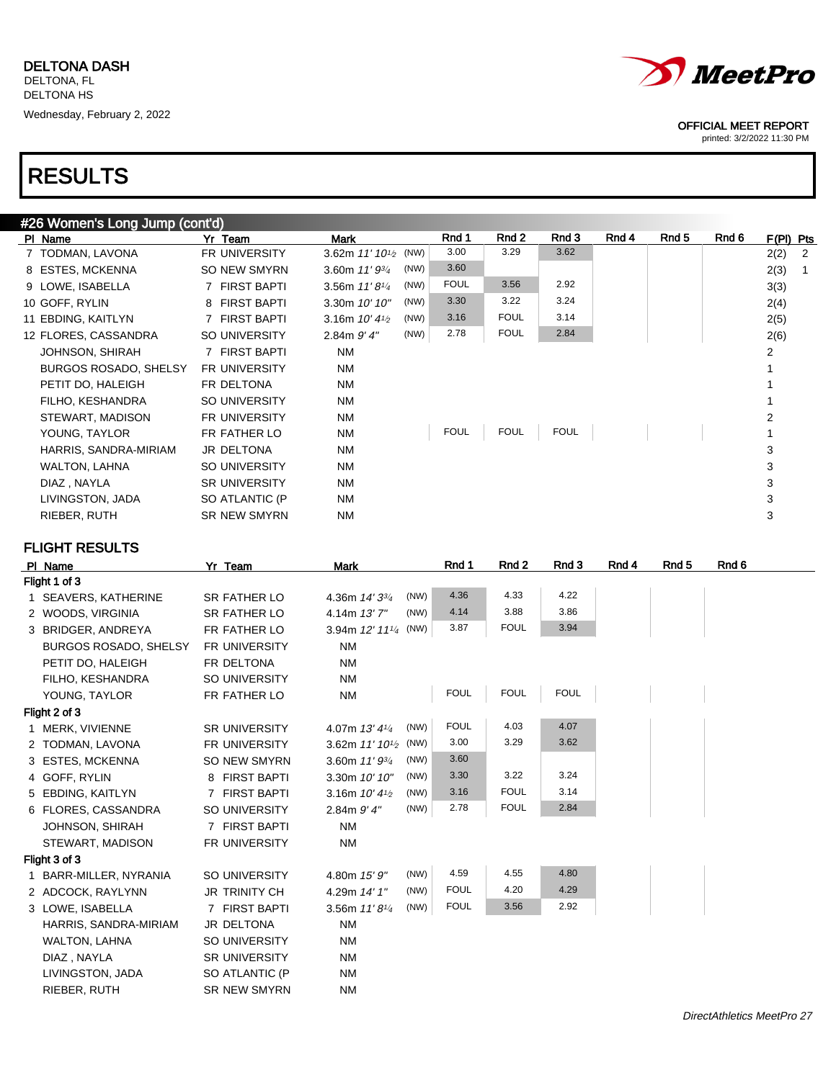| #26 Women's Long Jump (cont'd) |                      |                                     |             |             |             |       |       |       |           |                |
|--------------------------------|----------------------|-------------------------------------|-------------|-------------|-------------|-------|-------|-------|-----------|----------------|
| PI Name                        | Yr Team              | Mark                                | Rnd 1       | Rnd 2       | Rnd 3       | Rnd 4 | Rnd 5 | Rnd 6 | F(PI) Pts |                |
| 7 TODMAN, LAVONA               | <b>FR UNIVERSITY</b> | 3.62m $11'10^{1/2}$ (NW)            | 3.00        | 3.29        | 3.62        |       |       |       | 2(2)      | $\overline{2}$ |
| 8 ESTES, MCKENNA               | SO NEW SMYRN         | (NW)<br>3.60m $11'$ $9\frac{3}{4}$  | 3.60        |             |             |       |       |       | 2(3)      | 1              |
| 9 LOWE, ISABELLA               | 7 FIRST BAPTI        | (NW)<br>3.56m $11'8\frac{1}{4}$     | <b>FOUL</b> | 3.56        | 2.92        |       |       |       | 3(3)      |                |
| 10 GOFF, RYLIN                 | 8 FIRST BAPTI        | (NW)<br>3.30m $10'$ $10''$          | 3.30        | 3.22        | 3.24        |       |       |       | 2(4)      |                |
| 11 EBDING, KAITLYN             | 7 FIRST BAPTI        | 3.16m $10'$ 4 $\frac{1}{2}$<br>(NW) | 3.16        | <b>FOUL</b> | 3.14        |       |       |       | 2(5)      |                |
| 12 FLORES, CASSANDRA           | SO UNIVERSITY        | (NW)<br>2.84m $9'4''$               | 2.78        | <b>FOUL</b> | 2.84        |       |       |       | 2(6)      |                |
| JOHNSON, SHIRAH                | 7 FIRST BAPTI        | <b>NM</b>                           |             |             |             |       |       |       | 2         |                |
| <b>BURGOS ROSADO, SHELSY</b>   | <b>FR UNIVERSITY</b> | <b>NM</b>                           |             |             |             |       |       |       |           |                |
| PETIT DO, HALEIGH              | FR DELTONA           | <b>NM</b>                           |             |             |             |       |       |       |           |                |
| FILHO, KESHANDRA               | SO UNIVERSITY        | <b>NM</b>                           |             |             |             |       |       |       |           |                |
| STEWART, MADISON               | <b>FR UNIVERSITY</b> | <b>NM</b>                           |             |             |             |       |       |       |           |                |
| YOUNG, TAYLOR                  | FR FATHER LO         | <b>NM</b>                           | <b>FOUL</b> | <b>FOUL</b> | <b>FOUL</b> |       |       |       |           |                |
| HARRIS, SANDRA-MIRIAM          | JR DELTONA           | <b>NM</b>                           |             |             |             |       |       |       | 3         |                |
| WALTON, LAHNA                  | <b>SO UNIVERSITY</b> | <b>NM</b>                           |             |             |             |       |       |       | 3         |                |
| DIAZ, NAYLA                    | <b>SR UNIVERSITY</b> | <b>NM</b>                           |             |             |             |       |       |       | 3         |                |
| LIVINGSTON, JADA               | SO ATLANTIC (P       | <b>NM</b>                           |             |             |             |       |       |       | 3         |                |
| RIEBER, RUTH                   | <b>SR NEW SMYRN</b>  | <b>NM</b>                           |             |             |             |       |       |       | 3         |                |

### FLIGHT RESULTS

| <b>SR FATHER LO</b><br>4.36m $14'3^{3/4}$<br><b>SR FATHER LO</b><br>4.14m 13'7"<br>3.94m 12' 111/4 (NW)<br>FR FATHER LO<br>FR UNIVERSITY<br><b>NM</b><br>FR DELTONA<br><b>NM</b><br>SO UNIVERSITY<br><b>NM</b><br><b>NM</b><br>FR FATHER LO<br>4.07m 13' 41/4<br><b>SR UNIVERSITY</b><br><b>FR UNIVERSITY</b> |                                               | (NW)<br>(NW)                                  | 4.36<br>4.14<br>3.87<br><b>FOUL</b> | 4.33<br>3.88<br><b>FOUL</b><br><b>FOUL</b> | 4.22<br>3.86<br>3.94<br><b>FOUL</b> |  |  |
|---------------------------------------------------------------------------------------------------------------------------------------------------------------------------------------------------------------------------------------------------------------------------------------------------------------|-----------------------------------------------|-----------------------------------------------|-------------------------------------|--------------------------------------------|-------------------------------------|--|--|
|                                                                                                                                                                                                                                                                                                               |                                               |                                               |                                     |                                            |                                     |  |  |
|                                                                                                                                                                                                                                                                                                               |                                               |                                               |                                     |                                            |                                     |  |  |
|                                                                                                                                                                                                                                                                                                               |                                               |                                               |                                     |                                            |                                     |  |  |
|                                                                                                                                                                                                                                                                                                               |                                               |                                               |                                     |                                            |                                     |  |  |
|                                                                                                                                                                                                                                                                                                               |                                               |                                               |                                     |                                            |                                     |  |  |
|                                                                                                                                                                                                                                                                                                               |                                               |                                               |                                     |                                            |                                     |  |  |
|                                                                                                                                                                                                                                                                                                               |                                               |                                               |                                     |                                            |                                     |  |  |
|                                                                                                                                                                                                                                                                                                               |                                               |                                               |                                     |                                            |                                     |  |  |
|                                                                                                                                                                                                                                                                                                               |                                               |                                               |                                     |                                            |                                     |  |  |
|                                                                                                                                                                                                                                                                                                               |                                               | (NW)                                          | <b>FOUL</b>                         | 4.03                                       | 4.07                                |  |  |
|                                                                                                                                                                                                                                                                                                               | 3.62m 11' 10 <sup>1</sup> / <sub>2</sub> (NW) |                                               | 3.00                                | 3.29                                       | 3.62                                |  |  |
| SO NEW SMYRN<br>3.60m $11'$ $9\frac{3}{4}$                                                                                                                                                                                                                                                                    |                                               | (NW)                                          | 3.60                                |                                            |                                     |  |  |
| 8 FIRST BAPTI<br>3.30m $10'$ $10''$                                                                                                                                                                                                                                                                           |                                               | (NW)                                          | 3.30                                | 3.22                                       | 3.24                                |  |  |
| 7 FIRST BAPTI<br>3.16m $10'41/2$                                                                                                                                                                                                                                                                              |                                               | (NW)                                          | 3.16                                | <b>FOUL</b>                                | 3.14                                |  |  |
| <b>SO UNIVERSITY</b><br>$2.84m$ $9'$ $4"$                                                                                                                                                                                                                                                                     |                                               | (NW)                                          | 2.78                                | <b>FOUL</b>                                | 2.84                                |  |  |
| 7 FIRST BAPTI<br><b>NM</b>                                                                                                                                                                                                                                                                                    |                                               |                                               |                                     |                                            |                                     |  |  |
| <b>NM</b><br>FR UNIVERSITY                                                                                                                                                                                                                                                                                    |                                               |                                               |                                     |                                            |                                     |  |  |
|                                                                                                                                                                                                                                                                                                               |                                               |                                               |                                     |                                            |                                     |  |  |
| SO UNIVERSITY                                                                                                                                                                                                                                                                                                 |                                               |                                               | 4.59                                | 4.55                                       | 4.80                                |  |  |
| <b>JR TRINITY CH</b>                                                                                                                                                                                                                                                                                          |                                               |                                               | <b>FOUL</b>                         | 4.20                                       | 4.29                                |  |  |
| 7 FIRST BAPTI                                                                                                                                                                                                                                                                                                 |                                               |                                               | <b>FOUL</b>                         | 3.56                                       | 2.92                                |  |  |
| <b>NM</b><br><b>JR DELTONA</b>                                                                                                                                                                                                                                                                                |                                               |                                               |                                     |                                            |                                     |  |  |
| NM<br><b>SO UNIVERSITY</b>                                                                                                                                                                                                                                                                                    |                                               |                                               |                                     |                                            |                                     |  |  |
| <b>NM</b><br><b>SR UNIVERSITY</b>                                                                                                                                                                                                                                                                             |                                               |                                               |                                     |                                            |                                     |  |  |
| SO ATLANTIC (P<br><b>NM</b>                                                                                                                                                                                                                                                                                   |                                               |                                               |                                     |                                            |                                     |  |  |
| <b>NM</b><br><b>SR NEW SMYRN</b>                                                                                                                                                                                                                                                                              |                                               |                                               |                                     |                                            |                                     |  |  |
|                                                                                                                                                                                                                                                                                                               |                                               | 4.80m 15' 9"<br>4.29m 14' 1"<br>3.56m 11'81/4 | (NW)<br>(NW)<br>(NW)                |                                            |                                     |  |  |

DirectAthletics MeetPro 27



### OFFICIAL MEET REPORT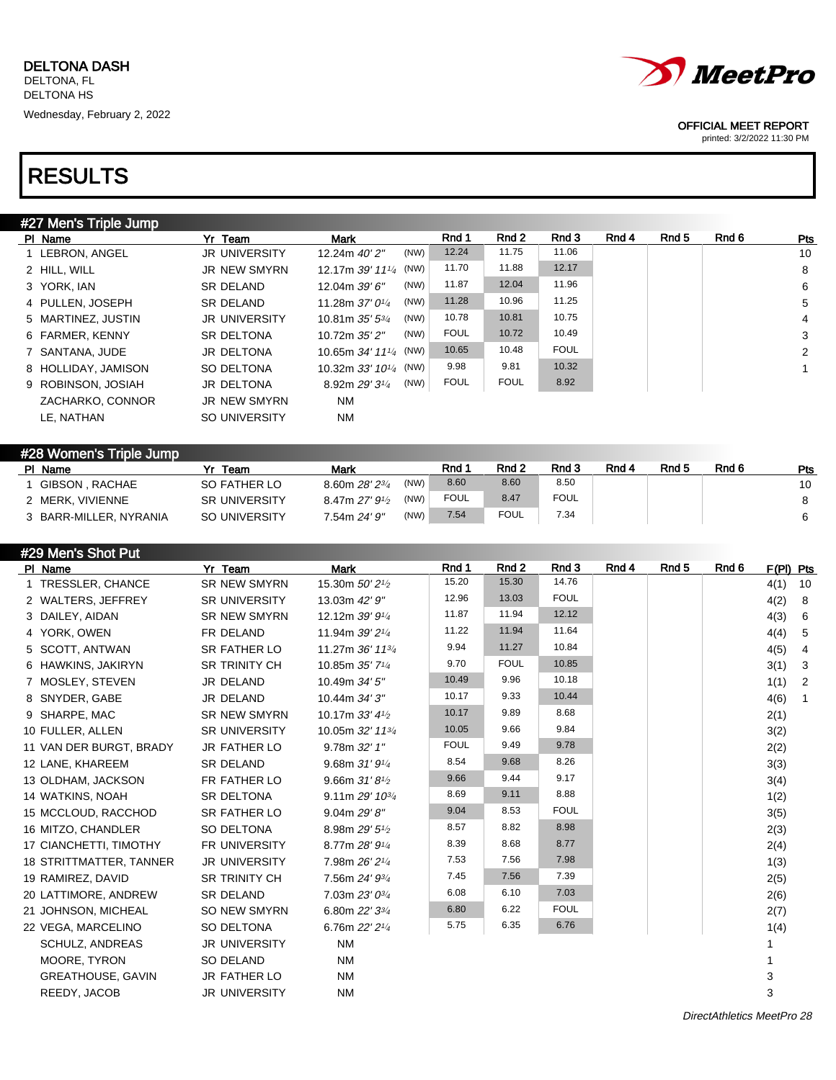| #27 Men's Triple Jump |                      |                              |      |             |             |             |       |       |       |                |
|-----------------------|----------------------|------------------------------|------|-------------|-------------|-------------|-------|-------|-------|----------------|
| PI Name               | Yr Team              | Mark                         |      | Rnd 1       | Rnd 2       | Rnd 3       | Rnd 4 | Rnd 5 | Rnd 6 | Pts            |
| 1 LEBRON, ANGEL       | <b>JR UNIVERSITY</b> | 12.24m 40'2"                 | (NW) | 12.24       | 11.75       | 11.06       |       |       |       | 10             |
| 2 HILL, WILL          | <b>JR NEW SMYRN</b>  | 12.17m 39' 111/4 (NW)        |      | 11.70       | 11.88       | 12.17       |       |       |       | 8              |
| 3 YORK, IAN           | SR DELAND            | 12.04m 39' 6"                | (NW) | 11.87       | 12.04       | 11.96       |       |       |       | 6              |
| 4 PULLEN, JOSEPH      | <b>SR DELAND</b>     | 11.28m $37'0\frac{1}{4}$     | (NW) | 11.28       | 10.96       | 11.25       |       |       |       | 5              |
| 5 MARTINEZ, JUSTIN    | <b>JR UNIVERSITY</b> | 10.81m $35'$ $5\frac{3}{4}$  | (NW) | 10.78       | 10.81       | 10.75       |       |       |       | $\overline{4}$ |
| 6 FARMER, KENNY       | <b>SR DELTONA</b>    | 10.72m 35' 2"                | (NW) | <b>FOUL</b> | 10.72       | 10.49       |       |       |       | 3              |
| 7 SANTANA, JUDE       | JR DELTONA           | 10.65m 34' 111/4 (NW)        |      | 10.65       | 10.48       | <b>FOUL</b> |       |       |       | 2              |
| 8 HOLLIDAY, JAMISON   | SO DELTONA           | 10.32m $33'$ $10^{1/4}$ (NW) |      | 9.98        | 9.81        | 10.32       |       |       |       |                |
| 9 ROBINSON, JOSIAH    | JR DELTONA           | 8.92m 29' 31/4               | (NW) | <b>FOUL</b> | <b>FOUL</b> | 8.92        |       |       |       |                |
| ZACHARKO, CONNOR      | JR NEW SMYRN         | <b>NM</b>                    |      |             |             |             |       |       |       |                |
| LE. NATHAN            | <b>SO UNIVERSITY</b> | <b>NM</b>                    |      |             |             |             |       |       |       |                |
|                       |                      |                              |      |             |             |             |       |       |       |                |

#### #28 Women's Triple Jump Pl Name Yr Team Mark Rnd 1 Rnd 2 Rnd 3 Rnd 4 Rnd 5 Rnd 6 Pts 1 GIBSON, RACHAE SO FATHER LO 8.60m 28' 23/4 (NW) 8.60 8.60 8.50 10 2 MERK, VIVIENNE SR UNIVERSITY 8.47m 27' 9<sup>1</sup>/2  $(NW)$  FOUL 8.47 FOUL  $\vert$  6.47 and  $\vert$  5 and  $\vert$  5 and  $\vert$  5 and  $\vert$  5 and  $\vert$  5 and  $\vert$  5 and  $\vert$  5 and  $\vert$  5 and  $\vert$  5 and  $\vert$  5 and  $\vert$  5 and  $\vert$  5 and  $\vert$  5 and  $\vert$  5 and  $\vert$  5 and  $\vert$  5 and  $\vert$  5 and 3 BARR-MILLER, NYRANIA SO UNIVERSITY 7.54m 24' 9" (NW) 7.54 FOUL 7.34 6

| #29 Men's Shot Put       |                      |                                          |             |             |             |       |                  |       |             |                |
|--------------------------|----------------------|------------------------------------------|-------------|-------------|-------------|-------|------------------|-------|-------------|----------------|
| PI Name                  | Yr Team              | <b>Mark</b>                              | Rnd 1       | Rnd 2       | Rnd 3       | Rnd 4 | Rnd <sub>5</sub> | Rnd 6 | $F(PI)$ Pts |                |
| 1 TRESSLER, CHANCE       | SR NEW SMYRN         | 15.30m 50' 2 <sup>1</sup> / <sub>2</sub> | 15.20       | 15.30       | 14.76       |       |                  |       | 4(1)        | 10             |
| 2 WALTERS, JEFFREY       | <b>SR UNIVERSITY</b> | 13.03m 42' 9"                            | 12.96       | 13.03       | <b>FOUL</b> |       |                  |       | 4(2)        | 8              |
| 3 DAILEY, AIDAN          | <b>SR NEW SMYRN</b>  | 12.12m 39' 91/4                          | 11.87       | 11.94       | 12.12       |       |                  |       | 4(3)        | 6              |
| 4 YORK, OWEN             | FR DELAND            | 11.94m 39' 21/4                          | 11.22       | 11.94       | 11.64       |       |                  |       | 4(4)        | 5              |
| 5 SCOTT, ANTWAN          | SR FATHER LO         | 11.27m 36' 113/4                         | 9.94        | 11.27       | 10.84       |       |                  |       | 4(5)        | 4              |
| 6 HAWKINS, JAKIRYN       | <b>SR TRINITY CH</b> | 10.85m 35' 71/4                          | 9.70        | <b>FOUL</b> | 10.85       |       |                  |       | 3(1)        | $\mathbf{3}$   |
| 7 MOSLEY, STEVEN         | JR DELAND            | 10.49m 34' 5"                            | 10.49       | 9.96        | 10.18       |       |                  |       | 1(1)        | $\overline{2}$ |
| 8 SNYDER, GABE           | JR DELAND            | 10.44m 34' 3"                            | 10.17       | 9.33        | 10.44       |       |                  |       | 4(6)        | $\mathbf{1}$   |
| 9 SHARPE, MAC            | <b>SR NEW SMYRN</b>  | 10.17m 33' 41/2                          | 10.17       | 9.89        | 8.68        |       |                  |       | 2(1)        |                |
| 10 FULLER, ALLEN         | <b>SR UNIVERSITY</b> | 10.05m 32' 113/4                         | 10.05       | 9.66        | 9.84        |       |                  |       | 3(2)        |                |
| 11 VAN DER BURGT, BRADY  | JR FATHER LO         | 9.78m 32' 1"                             | <b>FOUL</b> | 9.49        | 9.78        |       |                  |       | 2(2)        |                |
| 12 LANE, KHAREEM         | <b>SR DELAND</b>     | 9.68m $31'9\frac{1}{4}$                  | 8.54        | 9.68        | 8.26        |       |                  |       | 3(3)        |                |
| 13 OLDHAM, JACKSON       | FR FATHER LO         | 9.66m $31'81/2$                          | 9.66        | 9.44        | 9.17        |       |                  |       | 3(4)        |                |
| 14 WATKINS, NOAH         | <b>SR DELTONA</b>    | 9.11m 29' 10 <sup>3/4</sup>              | 8.69        | 9.11        | 8.88        |       |                  |       | 1(2)        |                |
| 15 MCCLOUD, RACCHOD      | SR FATHER LO         | 9.04m 29'8''                             | 9.04        | 8.53        | <b>FOUL</b> |       |                  |       | 3(5)        |                |
| 16 MITZO, CHANDLER       | SO DELTONA           | 8.98m 29' 5 <sup>1</sup> /2              | 8.57        | 8.82        | 8.98        |       |                  |       | 2(3)        |                |
| 17 CIANCHETTI, TIMOTHY   | <b>FR UNIVERSITY</b> | 8.77m 28' 91/4                           | 8.39        | 8.68        | 8.77        |       |                  |       | 2(4)        |                |
| 18 STRITTMATTER, TANNER  | <b>JR UNIVERSITY</b> | 7.98m 26' 21/4                           | 7.53        | 7.56        | 7.98        |       |                  |       | 1(3)        |                |
| 19 RAMIREZ, DAVID        | <b>SR TRINITY CH</b> | 7.56m 24' 93/4                           | 7.45        | 7.56        | 7.39        |       |                  |       | 2(5)        |                |
| 20 LATTIMORE, ANDREW     | <b>SR DELAND</b>     | 7.03m 23' 03/4                           | 6.08        | 6.10        | 7.03        |       |                  |       | 2(6)        |                |
| 21 JOHNSON, MICHEAL      | <b>SO NEW SMYRN</b>  | 6.80m 22' 33/4                           | 6.80        | 6.22        | <b>FOUL</b> |       |                  |       | 2(7)        |                |
| 22 VEGA, MARCELINO       | SO DELTONA           | 6.76m 22' 21/4                           | 5.75        | 6.35        | 6.76        |       |                  |       | 1(4)        |                |
| SCHULZ, ANDREAS          | <b>JR UNIVERSITY</b> | <b>NM</b>                                |             |             |             |       |                  |       |             |                |
| MOORE, TYRON             | SO DELAND            | <b>NM</b>                                |             |             |             |       |                  |       |             |                |
| <b>GREATHOUSE, GAVIN</b> | <b>JR FATHER LO</b>  | <b>NM</b>                                |             |             |             |       |                  |       | 3           |                |
| REEDY, JACOB             | <b>JR UNIVERSITY</b> | <b>NM</b>                                |             |             |             |       |                  |       | 3           |                |
|                          |                      |                                          |             |             |             |       |                  |       |             |                |



OFFICIAL MEET REPORT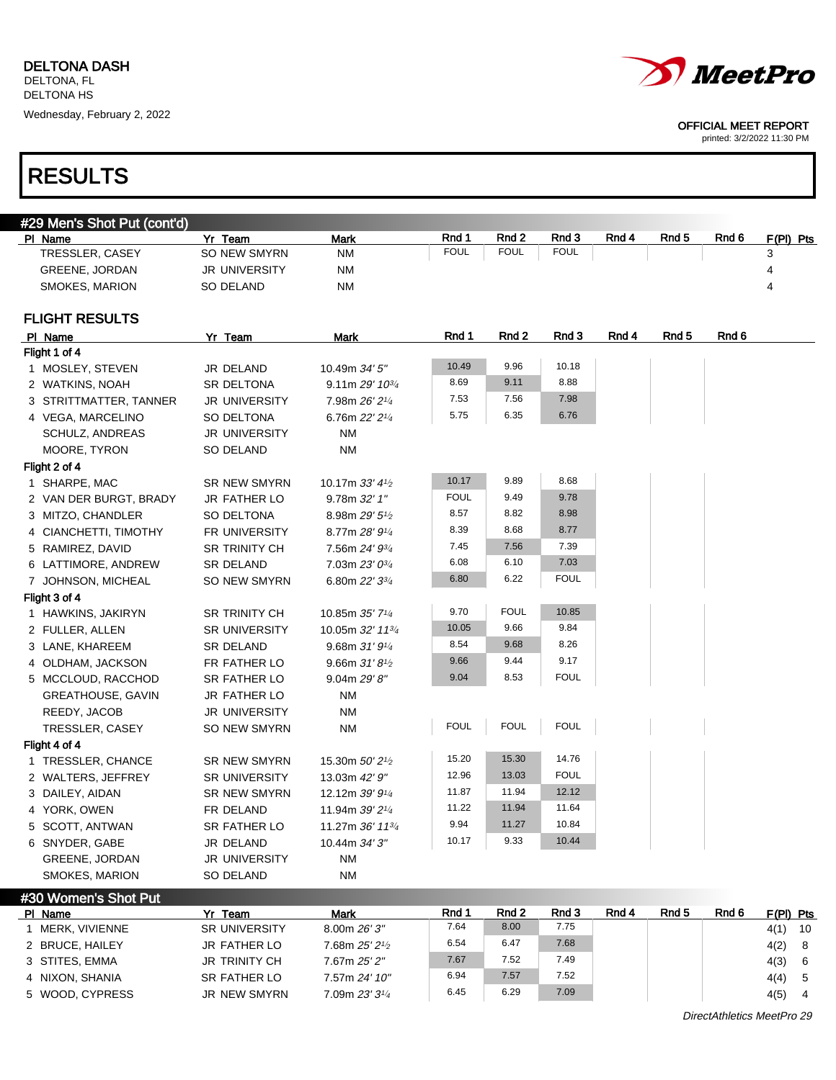

printed: 3/2/2022 11:30 PM

| #29 Men's Shot Put (cont'd) |                      |                                          |             |             |             |       |       |       |           |
|-----------------------------|----------------------|------------------------------------------|-------------|-------------|-------------|-------|-------|-------|-----------|
| PI Name                     | Yr Team              | <b>Mark</b>                              | Rnd 1       | Rnd 2       | Rnd 3       | Rnd 4 | Rnd 5 | Rnd 6 | F(PI) Pts |
| TRESSLER, CASEY             | SO NEW SMYRN         | ΝM                                       | <b>FOUL</b> | <b>FOUL</b> | <b>FOUL</b> |       |       |       | 3         |
| GREENE, JORDAN              | JR UNIVERSITY        | NM                                       |             |             |             |       |       |       | 4         |
| SMOKES, MARION              | <b>SO DELAND</b>     | <b>NM</b>                                |             |             |             |       |       |       | 4         |
| <b>FLIGHT RESULTS</b>       |                      |                                          |             |             |             |       |       |       |           |
| PI Name                     | Yr Team              | Mark                                     | Rnd 1       | Rnd 2       | Rnd 3       | Rnd 4 | Rnd 5 | Rnd 6 |           |
| Flight 1 of 4               |                      |                                          |             |             |             |       |       |       |           |
| 1 MOSLEY, STEVEN            | JR DELAND            | 10.49m 34' 5"                            | 10.49       | 9.96        | 10.18       |       |       |       |           |
| 2 WATKINS, NOAH             | <b>SR DELTONA</b>    | $9.11m 29' 10^{3/4}$                     | 8.69        | 9.11        | 8.88        |       |       |       |           |
| 3 STRITTMATTER, TANNER      | <b>JR UNIVERSITY</b> | 7.98m 26' 21/4                           | 7.53        | 7.56        | 7.98        |       |       |       |           |
| 4 VEGA, MARCELINO           | SO DELTONA           | 6.76m 22' 21/4                           | 5.75        | 6.35        | 6.76        |       |       |       |           |
| <b>SCHULZ, ANDREAS</b>      | <b>JR UNIVERSITY</b> | <b>NM</b>                                |             |             |             |       |       |       |           |
| MOORE, TYRON                | SO DELAND            | <b>NM</b>                                |             |             |             |       |       |       |           |
| Flight 2 of 4               |                      |                                          |             |             |             |       |       |       |           |
| 1 SHARPE, MAC               | SR NEW SMYRN         | 10.17m $33'$ 4 <sup>1/2</sup>            | 10.17       | 9.89        | 8.68        |       |       |       |           |
| 2 VAN DER BURGT, BRADY      | JR FATHER LO         | 9.78m 32' 1"                             | <b>FOUL</b> | 9.49        | 9.78        |       |       |       |           |
| 3 MITZO, CHANDLER           | SO DELTONA           | 8.98m 29' 51/2                           | 8.57        | 8.82        | 8.98        |       |       |       |           |
| 4 CIANCHETTI, TIMOTHY       | FR UNIVERSITY        | 8.77m 28' 91/4                           | 8.39        | 8.68        | 8.77        |       |       |       |           |
| 5 RAMIREZ, DAVID            | SR TRINITY CH        | 7.56m 24' 93/4                           | 7.45        | 7.56        | 7.39        |       |       |       |           |
| 6 LATTIMORE, ANDREW         | <b>SR DELAND</b>     | 7.03m 23' 03/4                           | 6.08        | 6.10        | 7.03        |       |       |       |           |
| 7 JOHNSON, MICHEAL          | SO NEW SMYRN         | 6.80m 22' 33/4                           | 6.80        | 6.22        | <b>FOUL</b> |       |       |       |           |
| Flight 3 of 4               |                      |                                          |             |             |             |       |       |       |           |
| 1 HAWKINS, JAKIRYN          | SR TRINITY CH        | 10.85m 35' 71/4                          | 9.70        | <b>FOUL</b> | 10.85       |       |       |       |           |
| 2 FULLER, ALLEN             | <b>SR UNIVERSITY</b> | 10.05m 32' 113/4                         | 10.05       | 9.66        | 9.84        |       |       |       |           |
| 3 LANE, KHAREEM             | <b>SR DELAND</b>     | 9.68m31'91/4                             | 8.54        | 9.68        | 8.26        |       |       |       |           |
| 4 OLDHAM, JACKSON           | FR FATHER LO         | 9.66m $31'8'$                            | 9.66        | 9.44        | 9.17        |       |       |       |           |
| 5 MCCLOUD, RACCHOD          | SR FATHER LO         | 9.04m 29'8''                             | 9.04        | 8.53        | <b>FOUL</b> |       |       |       |           |
| GREATHOUSE, GAVIN           | JR FATHER LO         | <b>NM</b>                                |             |             |             |       |       |       |           |
| REEDY, JACOB                | <b>JR UNIVERSITY</b> | <b>NM</b>                                |             |             |             |       |       |       |           |
| TRESSLER, CASEY             | SO NEW SMYRN         | <b>NM</b>                                | <b>FOUL</b> | <b>FOUL</b> | <b>FOUL</b> |       |       |       |           |
| Flight 4 of 4               |                      |                                          |             |             |             |       |       |       |           |
| 1 TRESSLER, CHANCE          | SR NEW SMYRN         | 15.30m 50' 2 <sup>1</sup> / <sub>2</sub> | 15.20       | 15.30       | 14.76       |       |       |       |           |
| 2 WALTERS, JEFFREY          | <b>SR UNIVERSITY</b> | 13.03m 42' 9"                            | 12.96       | 13.03       | <b>FOUL</b> |       |       |       |           |
| 3 DAILEY, AIDAN             | <b>SR NEW SMYRN</b>  | 12.12m 39' 91/4                          | 11.87       | 11.94       | 12.12       |       |       |       |           |
| 4 YORK, OWEN                | FR DELAND            | 11.94m 39' 21/4                          | 11.22       | 11.94       | 11.64       |       |       |       |           |
| 5 SCOTT, ANTWAN             | SR FATHER LO         | 11.27m 36' 113/4                         | 9.94        | 11.27       | 10.84       |       |       |       |           |
| 6 SNYDER, GABE              | JR DELAND            | 10.44m 34' 3"                            | 10.17       | 9.33        | 10.44       |       |       |       |           |
| <b>GREENE, JORDAN</b>       | <b>JR UNIVERSITY</b> | <b>NM</b>                                |             |             |             |       |       |       |           |
| SMOKES, MARION              | SO DELAND            | ΝM                                       |             |             |             |       |       |       |           |
| #30 Women's Shot Put        |                      |                                          |             |             |             |       |       |       |           |

| PI Name         | Yr Team              | Mark           | Rnd 1 | Rnd 2 | Rnd 3 | Rnd 4 | Rnd <sub>5</sub> | Rnd 6 | $F(PI)$ Pts |     |
|-----------------|----------------------|----------------|-------|-------|-------|-------|------------------|-------|-------------|-----|
| MERK. VIVIENNE  | <b>SR UNIVERSITY</b> | 8.00m 26' 3"   | 7.64  | 8.00  | 7.75  |       |                  |       | 4(1)        | -10 |
| 2 BRUCE, HAILEY | JR FATHER LO         | 7.68m 25' 21/2 | 6.54  | 6.47  | 7.68  |       |                  |       | 4(2)        | -8  |
| 3 STITES, EMMA  | <b>JR TRINITY CH</b> | 7.67m 25' 2"   | 7.67  | 7.52  | 7.49  |       |                  |       | 4(3)        | 6   |
| 4 NIXON, SHANIA | SR FATHER LO         | 7.57m 24' 10"  | 6.94  | 7.57  | 7.52  |       |                  |       | 4(4)        |     |
| 5 WOOD, CYPRESS | JR NEW SMYRN         | 7.09m 23' 31/4 | 6.45  | 6.29  | 7.09  |       |                  |       | 4(5)        | 4   |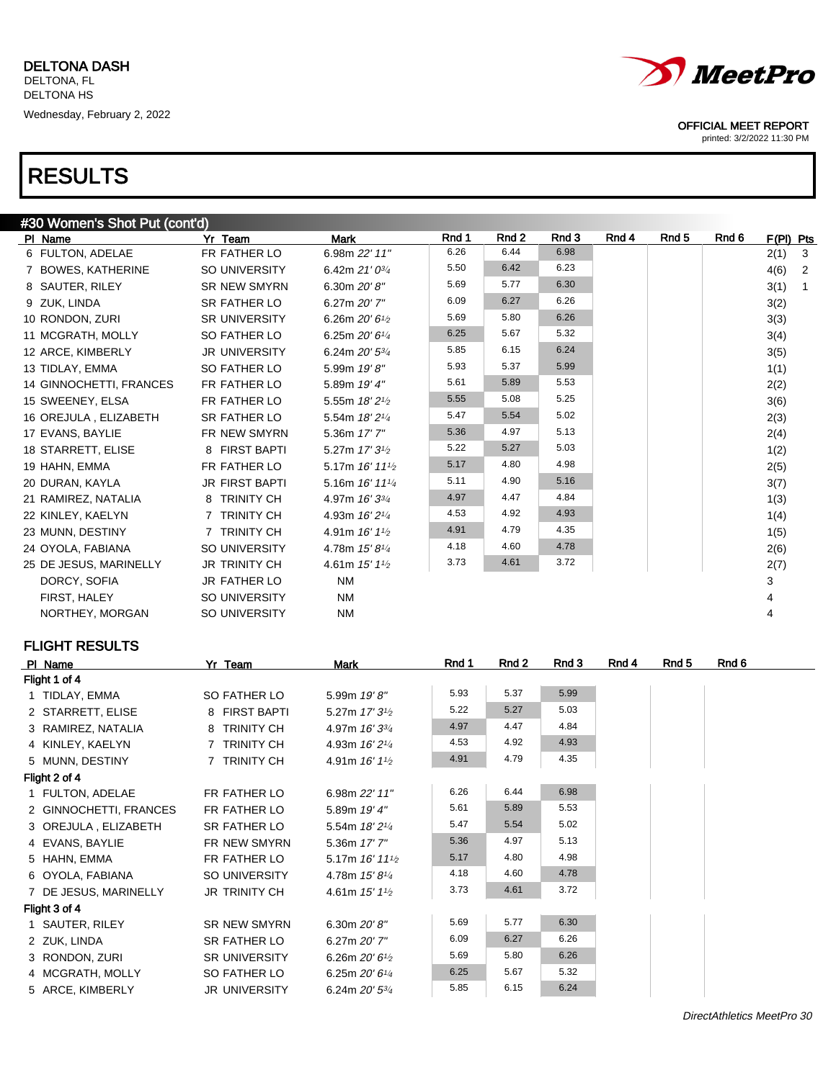| #30 Women's Shot Put (cont'd) |                       |                                         |       |       |       |       |                  |       |           |                |
|-------------------------------|-----------------------|-----------------------------------------|-------|-------|-------|-------|------------------|-------|-----------|----------------|
| PI Name                       | Yr Team               | <b>Mark</b>                             | Rnd 1 | Rnd 2 | Rnd 3 | Rnd 4 | Rnd <sub>5</sub> | Rnd 6 | F(PI) Pts |                |
| 6 FULTON, ADELAE              | FR FATHER LO          | 6.98m 22' 11"                           | 6.26  | 6.44  | 6.98  |       |                  |       | 2(1)      | $\mathbf{3}$   |
| 7 BOWES, KATHERINE            | SO UNIVERSITY         | 6.42m $21'0^{3/4}$                      | 5.50  | 6.42  | 6.23  |       |                  |       | 4(6)      | $\overline{2}$ |
| 8 SAUTER, RILEY               | <b>SR NEW SMYRN</b>   | 6.30m $20'8''$                          | 5.69  | 5.77  | 6.30  |       |                  |       | 3(1)      | $\overline{1}$ |
| 9 ZUK, LINDA                  | <b>SR FATHER LO</b>   | 6.27m 20' 7"                            | 6.09  | 6.27  | 6.26  |       |                  |       | 3(2)      |                |
| 10 RONDON, ZURI               | <b>SR UNIVERSITY</b>  | 6.26m $20'61/2$                         | 5.69  | 5.80  | 6.26  |       |                  |       | 3(3)      |                |
| 11 MCGRATH, MOLLY             | SO FATHER LO          | 6.25m $20'6''$                          | 6.25  | 5.67  | 5.32  |       |                  |       | 3(4)      |                |
| 12 ARCE, KIMBERLY             | <b>JR UNIVERSITY</b>  | 6.24m 20' 53/4                          | 5.85  | 6.15  | 6.24  |       |                  |       | 3(5)      |                |
| 13 TIDLAY, EMMA               | SO FATHER LO          | 5.99m 19'8"                             | 5.93  | 5.37  | 5.99  |       |                  |       | 1(1)      |                |
| 14 GINNOCHETTI, FRANCES       | FR FATHER LO          | 5.89m 19' 4"                            | 5.61  | 5.89  | 5.53  |       |                  |       | 2(2)      |                |
| 15 SWEENEY, ELSA              | FR FATHER LO          | 5.55m 18' 21/2                          | 5.55  | 5.08  | 5.25  |       |                  |       | 3(6)      |                |
| 16 OREJULA, ELIZABETH         | <b>SR FATHER LO</b>   | 5.54m 18' 21/4                          | 5.47  | 5.54  | 5.02  |       |                  |       | 2(3)      |                |
| 17 EVANS, BAYLIE              | FR NEW SMYRN          | 5.36m 17' 7"                            | 5.36  | 4.97  | 5.13  |       |                  |       | 2(4)      |                |
| 18 STARRETT, ELISE            | 8 FIRST BAPTI         | 5.27m 17' 3 <sup>1</sup> / <sub>2</sub> | 5.22  | 5.27  | 5.03  |       |                  |       | 1(2)      |                |
| 19 HAHN, EMMA                 | FR FATHER LO          | 5.17m 16' 111/2                         | 5.17  | 4.80  | 4.98  |       |                  |       | 2(5)      |                |
| 20 DURAN, KAYLA               | <b>JR FIRST BAPTI</b> | 5.16m 16' 111/4                         | 5.11  | 4.90  | 5.16  |       |                  |       | 3(7)      |                |
| 21 RAMIREZ, NATALIA           | 8 TRINITY CH          | 4.97m 16' 33/4                          | 4.97  | 4.47  | 4.84  |       |                  |       | 1(3)      |                |
| 22 KINLEY, KAELYN             | 7 TRINITY CH          | 4.93m 16' 21/4                          | 4.53  | 4.92  | 4.93  |       |                  |       | 1(4)      |                |
| 23 MUNN, DESTINY              | 7 TRINITY CH          | 4.91m 16' 1 <sup>1</sup> / <sub>2</sub> | 4.91  | 4.79  | 4.35  |       |                  |       | 1(5)      |                |
| 24 OYOLA, FABIANA             | SO UNIVERSITY         | 4.78m 15' 81/4                          | 4.18  | 4.60  | 4.78  |       |                  |       | 2(6)      |                |
| 25 DE JESUS, MARINELLY        | <b>JR TRINITY CH</b>  | 4.61m $15'11'_{2}$                      | 3.73  | 4.61  | 3.72  |       |                  |       | 2(7)      |                |
| DORCY, SOFIA                  | JR FATHER LO          | <b>NM</b>                               |       |       |       |       |                  |       | 3         |                |
| FIRST, HALEY                  | SO UNIVERSITY         | <b>NM</b>                               |       |       |       |       |                  |       | 4         |                |
| NORTHEY, MORGAN               | SO UNIVERSITY         | <b>NM</b>                               |       |       |       |       |                  |       | 4         |                |
|                               |                       |                                         |       |       |       |       |                  |       |           |                |

## FLIGHT RESULTS

| PI Name |                        | Yr Team              | Mark                                       | Rnd 1 | Rnd 2 | Rnd 3 | Rnd 4 | Rnd 5 | Rnd 6 |
|---------|------------------------|----------------------|--------------------------------------------|-------|-------|-------|-------|-------|-------|
|         | Flight 1 of 4          |                      |                                            |       |       |       |       |       |       |
|         | 1 TIDLAY, EMMA         | SO FATHER LO         | 5.99m 19'8"                                | 5.93  | 5.37  | 5.99  |       |       |       |
|         | 2 STARRETT, ELISE      | 8 FIRST BAPTI        | 5.27m 17' 3 <sup>1/2</sup>                 | 5.22  | 5.27  | 5.03  |       |       |       |
|         | 3 RAMIREZ, NATALIA     | 8 TRINITY CH         | 4.97m 16' 33/4                             | 4.97  | 4.47  | 4.84  |       |       |       |
|         | 4 KINLEY, KAELYN       | 7 TRINITY CH         | 4.93m 16' 2 <sup>1/4</sup>                 | 4.53  | 4.92  | 4.93  |       |       |       |
|         | 5 MUNN, DESTINY        | 7 TRINITY CH         | 4.91m $16'11'$                             | 4.91  | 4.79  | 4.35  |       |       |       |
|         | Flight 2 of 4          |                      |                                            |       |       |       |       |       |       |
|         | 1 FULTON, ADELAE       | FR FATHER LO         | 6.98m 22' 11"                              | 6.26  | 6.44  | 6.98  |       |       |       |
|         | 2 GINNOCHETTI, FRANCES | FR FATHER LO         | 5.89m 19' 4"                               | 5.61  | 5.89  | 5.53  |       |       |       |
|         | 3 OREJULA, ELIZABETH   | SR FATHER LO         | 5.54m 18' 21/4                             | 5.47  | 5.54  | 5.02  |       |       |       |
|         | 4 EVANS, BAYLIE        | FR NEW SMYRN         | 5.36m 17' 7"                               | 5.36  | 4.97  | 5.13  |       |       |       |
|         | 5 HAHN, EMMA           | FR FATHER LO         | 5.17m $16'$ 11 <sup>1</sup> / <sub>2</sub> | 5.17  | 4.80  | 4.98  |       |       |       |
|         | 6 OYOLA, FABIANA       | SO UNIVERSITY        | 4.78m $15'8''/4$                           | 4.18  | 4.60  | 4.78  |       |       |       |
|         | 7 DE JESUS, MARINELLY  | JR TRINITY CH        | 4.61m $15'11'$                             | 3.73  | 4.61  | 3.72  |       |       |       |
|         | Flight 3 of 4          |                      |                                            |       |       |       |       |       |       |
|         | 1 SAUTER, RILEY        | <b>SR NEW SMYRN</b>  | 6.30m $20'8''$                             | 5.69  | 5.77  | 6.30  |       |       |       |
|         | 2 ZUK, LINDA           | SR FATHER LO         | 6.27m 20' 7"                               | 6.09  | 6.27  | 6.26  |       |       |       |
|         | 3 RONDON, ZURI         | <b>SR UNIVERSITY</b> | 6.26m $20'6\frac{1}{2}$                    | 5.69  | 5.80  | 6.26  |       |       |       |
|         | 4 MCGRATH, MOLLY       | SO FATHER LO         | 6.25m $20'6''$                             | 6.25  | 5.67  | 5.32  |       |       |       |
|         | 5 ARCE, KIMBERLY       | <b>JR UNIVERSITY</b> | 6.24m 20' 53/4                             | 5.85  | 6.15  | 6.24  |       |       |       |



### OFFICIAL MEET REPORT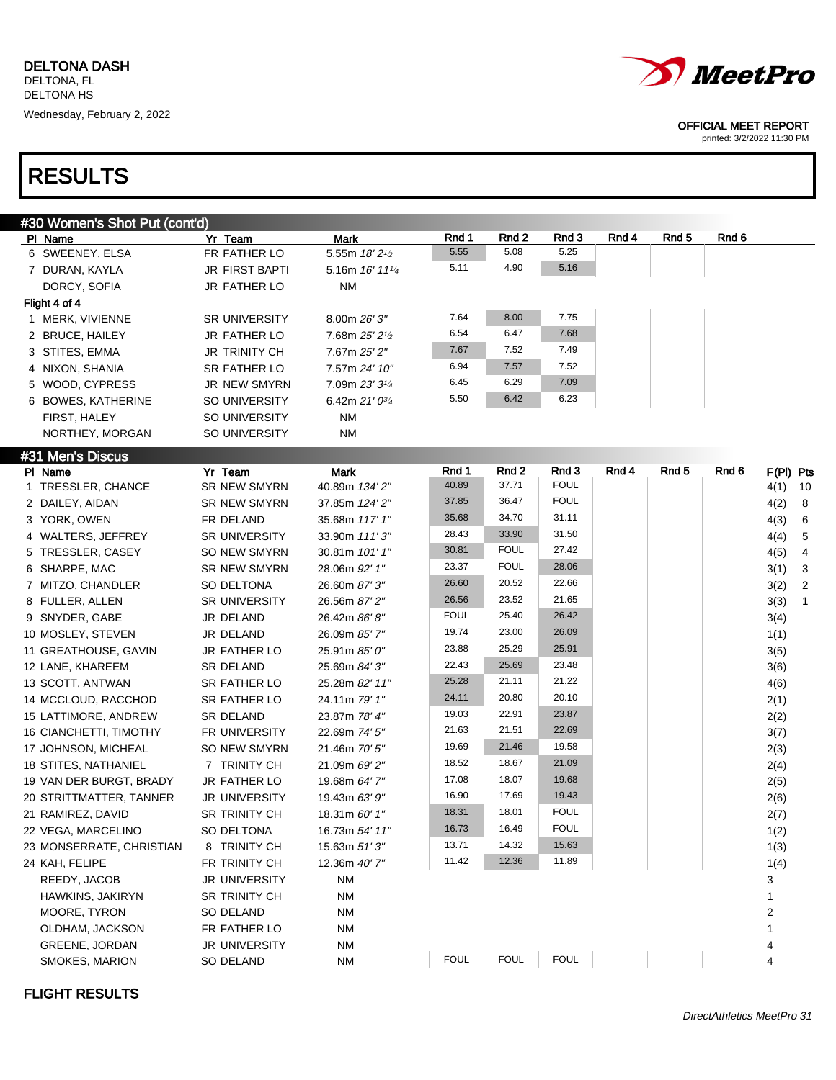

printed: 3/2/2022 11:30 PM

| #30 Women's Shot Put (cont'd) |                         |                              |             |             |             |       |                  |       |           |                         |
|-------------------------------|-------------------------|------------------------------|-------------|-------------|-------------|-------|------------------|-------|-----------|-------------------------|
| PI Name                       | Yr Team                 | <b>Mark</b>                  | Rnd 1       | Rnd 2       | Rnd 3       | Rnd 4 | Rnd <sub>5</sub> | Rnd 6 |           |                         |
| 6 SWEENEY, ELSA               | FR FATHER LO            | 5.55m 18' 21/2               | 5.55        | 5.08        | 5.25        |       |                  |       |           |                         |
| 7 DURAN, KAYLA                | JR FIRST BAPTI          | 5.16m $16'$ 11 $\frac{1}{4}$ | 5.11        | 4.90        | 5.16        |       |                  |       |           |                         |
| DORCY, SOFIA                  | <b>JR FATHER LO</b>     | ΝM                           |             |             |             |       |                  |       |           |                         |
| Flight 4 of 4                 |                         |                              |             |             |             |       |                  |       |           |                         |
| 1 MERK, VIVIENNE              | <b>SR UNIVERSITY</b>    | 8.00m 26' 3"                 | 7.64        | 8.00        | 7.75        |       |                  |       |           |                         |
| 2 BRUCE, HAILEY               | <b>JR FATHER LO</b>     | 7.68m 25' 21/2               | 6.54        | 6.47        | 7.68        |       |                  |       |           |                         |
| 3 STITES, EMMA                | JR TRINITY CH           | 7.67m 25' 2"                 | 7.67        | 7.52        | 7.49        |       |                  |       |           |                         |
| 4 NIXON, SHANIA               | <b>SR FATHER LO</b>     | 7.57m 24' 10"                | 6.94        | 7.57        | 7.52        |       |                  |       |           |                         |
| 5 WOOD, CYPRESS               | JR NEW SMYRN            | 7.09m 23' 31/4               | 6.45        | 6.29        | 7.09        |       |                  |       |           |                         |
| 6 BOWES, KATHERINE            | SO UNIVERSITY           | 6.42m $21'0^{3/4}$           | 5.50        | 6.42        | 6.23        |       |                  |       |           |                         |
| FIRST, HALEY                  | SO UNIVERSITY           | ΝM                           |             |             |             |       |                  |       |           |                         |
| NORTHEY, MORGAN               | SO UNIVERSITY           | ΝM                           |             |             |             |       |                  |       |           |                         |
|                               |                         |                              |             |             |             |       |                  |       |           |                         |
| #31 Men's Discus              |                         | <b>Mark</b>                  | Rnd 1       | Rnd 2       | Rnd 3       | Rnd 4 | Rnd <sub>5</sub> | Rnd 6 | F(PI) Pts |                         |
| PI Name<br>1 TRESSLER, CHANCE | Yr Team<br>SR NEW SMYRN | 40.89m 134' 2"               | 40.89       | 37.71       | <b>FOUL</b> |       |                  |       | $4(1)$ 10 |                         |
| 2 DAILEY, AIDAN               | <b>SR NEW SMYRN</b>     | 37.85m <i>124' 2"</i>        | 37.85       | 36.47       | <b>FOUL</b> |       |                  |       | 4(2)      | 8                       |
| 3 YORK, OWEN                  | FR DELAND               | 35.68m 117' 1"               | 35.68       | 34.70       | 31.11       |       |                  |       | 4(3)      | 6                       |
| 4 WALTERS, JEFFREY            | SR UNIVERSITY           | 33.90m 111'3"                | 28.43       | 33.90       | 31.50       |       |                  |       |           | 5                       |
|                               | <b>SO NEW SMYRN</b>     |                              | 30.81       | <b>FOUL</b> | 27.42       |       |                  |       | 4(4)      |                         |
| 5 TRESSLER, CASEY             |                         | 30.81m 101' 1"               | 23.37       | <b>FOUL</b> | 28.06       |       |                  |       | 4(5)      | $\overline{4}$          |
| 6 SHARPE, MAC                 | <b>SR NEW SMYRN</b>     | 28.06m 92' 1"                | 26.60       | 20.52       | 22.66       |       |                  |       | 3(1)      | $\overline{\mathbf{3}}$ |
| 7 MITZO, CHANDLER             | SO DELTONA              | 26.60m <i>87' 3"</i>         | 26.56       | 23.52       | 21.65       |       |                  |       | 3(2)      | $\overline{\mathbf{2}}$ |
| 8 FULLER, ALLEN               | <b>SR UNIVERSITY</b>    | 26.56m 87' 2"                |             | 25.40       | 26.42       |       |                  |       | 3(3)      | $\overline{1}$          |
| 9 SNYDER, GABE                | JR DELAND               | 26.42m <i>86' 8"</i>         | <b>FOUL</b> |             |             |       |                  |       | 3(4)      |                         |
| 10 MOSLEY, STEVEN             | JR DELAND               | 26.09m <i>85' 7"</i>         | 19.74       | 23.00       | 26.09       |       |                  |       | 1(1)      |                         |
| 11 GREATHOUSE, GAVIN          | JR FATHER LO            | 25.91m 85' 0"                | 23.88       | 25.29       | 25.91       |       |                  |       | 3(5)      |                         |
| 12 LANE, KHAREEM              | <b>SR DELAND</b>        | 25.69m <i>84' 3"</i>         | 22.43       | 25.69       | 23.48       |       |                  |       | 3(6)      |                         |
| 13 SCOTT, ANTWAN              | SR FATHER LO            | 25.28m 82' 11"               | 25.28       | 21.11       | 21.22       |       |                  |       | 4(6)      |                         |
| 14 MCCLOUD, RACCHOD           | SR FATHER LO            | 24.11m 79' 1"                | 24.11       | 20.80       | 20.10       |       |                  |       | 2(1)      |                         |
| 15 LATTIMORE, ANDREW          | <b>SR DELAND</b>        | 23.87m <i>78' 4"</i>         | 19.03       | 22.91       | 23.87       |       |                  |       | 2(2)      |                         |
| 16 CIANCHETTI, TIMOTHY        | FR UNIVERSITY           | 22.69m 74' 5"                | 21.63       | 21.51       | 22.69       |       |                  |       | 3(7)      |                         |
| 17 JOHNSON, MICHEAL           | SO NEW SMYRN            | 21.46m 70' 5"                | 19.69       | 21.46       | 19.58       |       |                  |       | 2(3)      |                         |
| 18 STITES, NATHANIEL          | 7 TRINITY CH            | 21.09m 69' 2"                | 18.52       | 18.67       | 21.09       |       |                  |       | 2(4)      |                         |
| 19 VAN DER BURGT, BRADY       | JR FATHER LO            | 19.68m 64' 7"                | 17.08       | 18.07       | 19.68       |       |                  |       | 2(5)      |                         |
| 20 STRITTMATTER, TANNER       | JR UNIVERSITY           | 19.43m 63' 9"                | 16.90       | 17.69       | 19.43       |       |                  |       | 2(6)      |                         |
| 21 RAMIREZ, DAVID             | <b>SR TRINITY CH</b>    | 18.31m 60' 1"                | 18.31       | 18.01       | <b>FOUL</b> |       |                  |       | 2(7)      |                         |
| 22 VEGA, MARCELINO            | SO DELTONA              | 16.73m 54' 11"               | 16.73       | 16.49       | <b>FOUL</b> |       |                  |       | 1(2)      |                         |
| 23 MONSERRATE, CHRISTIAN      | 8 TRINITY CH            | 15.63m 51'3"                 | 13.71       | 14.32       | 15.63       |       |                  |       | 1(3)      |                         |
| 24 KAH, FELIPE                | FR TRINITY CH           | 12.36m 40' 7"                | 11.42       | 12.36       | 11.89       |       |                  |       | 1(4)      |                         |
| REEDY, JACOB                  | <b>JR UNIVERSITY</b>    | ΝM                           |             |             |             |       |                  |       | 3         |                         |
| HAWKINS, JAKIRYN              | SR TRINITY CH           | <b>NM</b>                    |             |             |             |       |                  |       | 1         |                         |
| MOORE, TYRON                  | SO DELAND               | ΝM                           |             |             |             |       |                  |       | 2         |                         |
| OLDHAM, JACKSON               | FR FATHER LO            | ΝM                           |             |             |             |       |                  |       |           |                         |
| <b>GREENE, JORDAN</b>         | <b>JR UNIVERSITY</b>    | ΝM                           |             |             |             |       |                  |       | 4         |                         |
| SMOKES, MARION                | SO DELAND               | ΝM                           | <b>FOUL</b> | <b>FOUL</b> | <b>FOUL</b> |       |                  |       | 4         |                         |
|                               |                         |                              |             |             |             |       |                  |       |           |                         |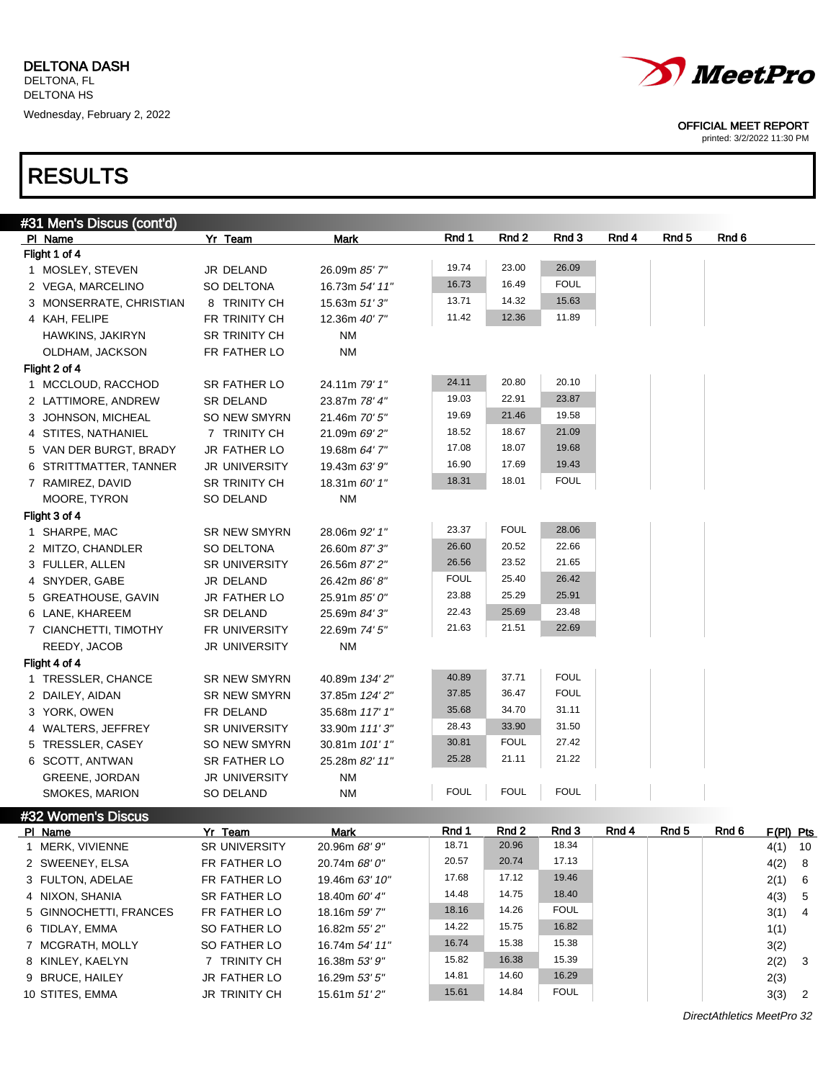

printed: 3/2/2022 11:30 PM

## RESULTS

10 STITES, EMMA JR TRINITY CH 15.61m 51' 2"

| #31 Men's Discus (cont'd) |                      |                 |             |             |             |       |                  |       |           |    |
|---------------------------|----------------------|-----------------|-------------|-------------|-------------|-------|------------------|-------|-----------|----|
| PI Name                   | Yr Team              | Mark            | Rnd 1       | Rnd 2       | Rnd 3       | Rnd 4 | Rnd <sub>5</sub> | Rnd 6 |           |    |
| Flight 1 of 4             |                      |                 |             |             |             |       |                  |       |           |    |
| 1 MOSLEY, STEVEN          | JR DELAND            | 26.09m 85' 7"   | 19.74       | 23.00       | 26.09       |       |                  |       |           |    |
| 2 VEGA, MARCELINO         | SO DELTONA           | 16.73m 54' 11"  | 16.73       | 16.49       | <b>FOUL</b> |       |                  |       |           |    |
| 3 MONSERRATE, CHRISTIAN   | 8 TRINITY CH         | 15.63m $51'3''$ | 13.71       | 14.32       | 15.63       |       |                  |       |           |    |
| 4 KAH, FELIPE             | FR TRINITY CH        | 12.36m 40' 7"   | 11.42       | 12.36       | 11.89       |       |                  |       |           |    |
| HAWKINS, JAKIRYN          | <b>SR TRINITY CH</b> | <b>NM</b>       |             |             |             |       |                  |       |           |    |
| OLDHAM, JACKSON           | FR FATHER LO         | NM              |             |             |             |       |                  |       |           |    |
| Flight 2 of 4             |                      |                 |             |             |             |       |                  |       |           |    |
| 1 MCCLOUD, RACCHOD        | <b>SR FATHER LO</b>  | 24.11m 79' 1"   | 24.11       | 20.80       | 20.10       |       |                  |       |           |    |
| 2 LATTIMORE, ANDREW       | <b>SR DELAND</b>     | 23.87m 78' 4"   | 19.03       | 22.91       | 23.87       |       |                  |       |           |    |
| 3 JOHNSON, MICHEAL        | <b>SO NEW SMYRN</b>  | 21.46m 70' 5"   | 19.69       | 21.46       | 19.58       |       |                  |       |           |    |
| 4 STITES, NATHANIEL       | 7 TRINITY CH         | 21.09m 69' 2"   | 18.52       | 18.67       | 21.09       |       |                  |       |           |    |
| 5 VAN DER BURGT, BRADY    | JR FATHER LO         | 19.68m 64' 7"   | 17.08       | 18.07       | 19.68       |       |                  |       |           |    |
| 6 STRITTMATTER, TANNER    | JR UNIVERSITY        | 19.43m 63' 9"   | 16.90       | 17.69       | 19.43       |       |                  |       |           |    |
| 7 RAMIREZ, DAVID          | <b>SR TRINITY CH</b> | 18.31m 60' 1"   | 18.31       | 18.01       | <b>FOUL</b> |       |                  |       |           |    |
| MOORE, TYRON              | SO DELAND            | NM              |             |             |             |       |                  |       |           |    |
| Flight 3 of 4             |                      |                 |             |             |             |       |                  |       |           |    |
| 1 SHARPE, MAC             | <b>SR NEW SMYRN</b>  | 28.06m 92' 1"   | 23.37       | <b>FOUL</b> | 28.06       |       |                  |       |           |    |
| 2 MITZO, CHANDLER         | SO DELTONA           | 26.60m 87' 3"   | 26.60       | 20.52       | 22.66       |       |                  |       |           |    |
| 3 FULLER, ALLEN           | <b>SR UNIVERSITY</b> | 26.56m 87' 2"   | 26.56       | 23.52       | 21.65       |       |                  |       |           |    |
| 4 SNYDER, GABE            | JR DELAND            | 26.42m 86' 8"   | <b>FOUL</b> | 25.40       | 26.42       |       |                  |       |           |    |
| 5 GREATHOUSE, GAVIN       | <b>JR FATHER LO</b>  | 25.91m 85' 0"   | 23.88       | 25.29       | 25.91       |       |                  |       |           |    |
| 6 LANE, KHAREEM           | <b>SR DELAND</b>     | 25.69m 84' 3"   | 22.43       | 25.69       | 23.48       |       |                  |       |           |    |
| 7 CIANCHETTI, TIMOTHY     | FR UNIVERSITY        | 22.69m 74' 5"   | 21.63       | 21.51       | 22.69       |       |                  |       |           |    |
| REEDY, JACOB              | <b>JR UNIVERSITY</b> | <b>NM</b>       |             |             |             |       |                  |       |           |    |
| Flight 4 of 4             |                      |                 |             |             |             |       |                  |       |           |    |
| 1 TRESSLER, CHANCE        | <b>SR NEW SMYRN</b>  | 40.89m 134' 2"  | 40.89       | 37.71       | <b>FOUL</b> |       |                  |       |           |    |
| 2 DAILEY, AIDAN           | <b>SR NEW SMYRN</b>  | 37.85m 124' 2"  | 37.85       | 36.47       | <b>FOUL</b> |       |                  |       |           |    |
| 3 YORK, OWEN              | FR DELAND            | 35.68m 117' 1"  | 35.68       | 34.70       | 31.11       |       |                  |       |           |    |
| 4 WALTERS, JEFFREY        | <b>SR UNIVERSITY</b> | 33.90m 111'3"   | 28.43       | 33.90       | 31.50       |       |                  |       |           |    |
| 5 TRESSLER, CASEY         | SO NEW SMYRN         | 30.81m 101' 1"  | 30.81       | <b>FOUL</b> | 27.42       |       |                  |       |           |    |
| 6 SCOTT, ANTWAN           | <b>SR FATHER LO</b>  | 25.28m 82' 11"  | 25.28       | 21.11       | 21.22       |       |                  |       |           |    |
| <b>GREENE, JORDAN</b>     | <b>JR UNIVERSITY</b> | NM              |             |             |             |       |                  |       |           |    |
| SMOKES, MARION            | SO DELAND            | NM              | <b>FOUL</b> | <b>FOUL</b> | <b>FOUL</b> |       |                  |       |           |    |
| #32 Women's Discus        |                      |                 |             |             |             |       |                  |       |           |    |
| PI Name                   | Yr Team              | <b>Mark</b>     | Rnd 1       | Rnd 2       | Rnd 3       | Rnd 4 | Rnd 5            | Rnd 6 | F(PI) Pts |    |
| 1 MERK, VIVIENNE          | SR UNIVERSITY        | 20.96m 68' 9"   | 18.71       | 20.96       | 18.34       |       |                  |       | 4(1)      | 10 |
| 2 SWEENEY, ELSA           | FR FATHER LO         | 20.74m 68' 0"   | 20.57       | 20.74       | 17.13       |       |                  |       | 4(2)      | 8  |
| 3 FULTON, ADELAE          | FR FATHER LO         | 19.46m 63' 10"  | 17.68       | 17.12       | 19.46       |       |                  |       | 2(1)      | 6  |
| 4 NIXON, SHANIA           | SR FATHER LO         | 18.40m 60' 4"   | 14.48       | 14.75       | 18.40       |       |                  |       | 4(3)      | 5  |
| 5 GINNOCHETTI, FRANCES    | FR FATHER LO         | 18.16m 59' 7"   | 18.16       | 14.26       | <b>FOUL</b> |       |                  |       | 3(1)      | 4  |
| 6 TIDLAY, EMMA            | SO FATHER LO         | 16.82m 55' 2"   | 14.22       | 15.75       | 16.82       |       |                  |       | 1(1)      |    |
| 7 MCGRATH, MOLLY          | SO FATHER LO         | 16.74m 54' 11"  | 16.74       | 15.38       | 15.38       |       |                  |       | 3(2)      |    |
| 8 KINLEY, KAELYN          | 7 TRINITY CH         | 16.38m 53' 9"   | 15.82       | 16.38       | 15.39       |       |                  |       | 2(2)      | 3  |
| 9 BRUCE, HAILEY           | JR FATHER LO         | 16.29m 53' 5"   | 14.81       | 14.60       | 16.29       |       |                  |       | 2(3)      |    |

DirectAthletics MeetPro 32

15.61 14.84 FOUL 3(3) 2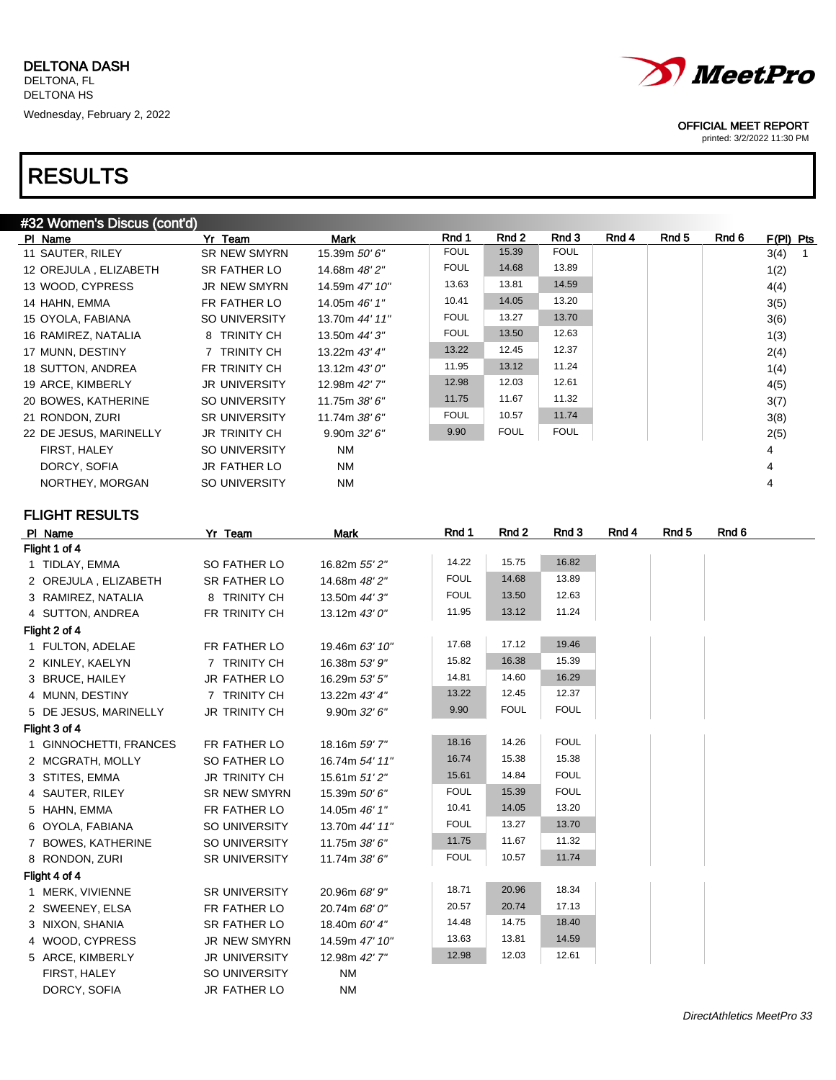| #32 Women's Discus (cont'd) |                      |                  |             |             |             |       |       |       |                        |  |
|-----------------------------|----------------------|------------------|-------------|-------------|-------------|-------|-------|-------|------------------------|--|
| PI Name                     | Yr Team              | Mark             | Rnd 1       | Rnd 2       | Rnd 3       | Rnd 4 | Rnd 5 | Rnd 6 | F(PI) Pts              |  |
| 11 SAUTER, RILEY            | <b>SR NEW SMYRN</b>  | 15.39m 50' 6"    | <b>FOUL</b> | 15.39       | <b>FOUL</b> |       |       |       | 3(4)<br>$\overline{1}$ |  |
| 12 OREJULA, ELIZABETH       | SR FATHER LO         | 14.68m 48' 2"    | <b>FOUL</b> | 14.68       | 13.89       |       |       |       | 1(2)                   |  |
| 13 WOOD, CYPRESS            | <b>JR NEW SMYRN</b>  | 14.59m 47' 10"   | 13.63       | 13.81       | 14.59       |       |       |       | 4(4)                   |  |
| 14 HAHN, EMMA               | FR FATHER LO         | 14.05m 46' 1"    | 10.41       | 14.05       | 13.20       |       |       |       | 3(5)                   |  |
| 15 OYOLA, FABIANA           | <b>SO UNIVERSITY</b> | 13.70m 44' 11"   | <b>FOUL</b> | 13.27       | 13.70       |       |       |       | 3(6)                   |  |
| 16 RAMIREZ, NATALIA         | 8 TRINITY CH         | 13.50m 44' 3"    | <b>FOUL</b> | 13.50       | 12.63       |       |       |       | 1(3)                   |  |
| 17 MUNN, DESTINY            | 7 TRINITY CH         | 13.22m 43' 4"    | 13.22       | 12.45       | 12.37       |       |       |       | 2(4)                   |  |
| 18 SUTTON, ANDREA           | FR TRINITY CH        | 13.12m $43'0''$  | 11.95       | 13.12       | 11.24       |       |       |       | 1(4)                   |  |
| 19 ARCE, KIMBERLY           | <b>JR UNIVERSITY</b> | 12.98m 42'7"     | 12.98       | 12.03       | 12.61       |       |       |       | 4(5)                   |  |
| 20 BOWES, KATHERINE         | SO UNIVERSITY        | 11.75m $38'6''$  | 11.75       | 11.67       | 11.32       |       |       |       | 3(7)                   |  |
| 21 RONDON, ZURI             | <b>SR UNIVERSITY</b> | 11.74m 38' 6"    | <b>FOUL</b> | 10.57       | 11.74       |       |       |       | 3(8)                   |  |
| 22 DE JESUS, MARINELLY      | <b>JR TRINITY CH</b> | $9.90m$ $32'6''$ | 9.90        | <b>FOUL</b> | <b>FOUL</b> |       |       |       | 2(5)                   |  |
| FIRST, HALEY                | SO UNIVERSITY        | <b>NM</b>        |             |             |             |       |       |       | 4                      |  |
| DORCY, SOFIA                | JR FATHER LO         | <b>NM</b>        |             |             |             |       |       |       | 4                      |  |
| NORTHEY, MORGAN             | SO UNIVERSITY        | <b>NM</b>        |             |             |             |       |       |       | 4                      |  |
| <b>FLIGHT RESULTS</b>       |                      |                  |             |             |             |       |       |       |                        |  |
| PI Name                     | Yr Team              | <b>Mark</b>      | Rnd 1       | Rnd 2       | Rnd 3       | Rnd 4 | Rnd 5 | Rnd 6 |                        |  |

| PI Name                | <u>Yr leam</u>       | магк           | KIN 1       | KIN 4       | KIN 3       | KNG 4 | KNU 3 | KNU 0 |  |
|------------------------|----------------------|----------------|-------------|-------------|-------------|-------|-------|-------|--|
| Flight 1 of 4          |                      |                |             |             |             |       |       |       |  |
| 1 TIDLAY, EMMA         | SO FATHER LO         | 16.82m 55' 2"  | 14.22       | 15.75       | 16.82       |       |       |       |  |
| 2 OREJULA, ELIZABETH   | SR FATHER LO         | 14.68m 48' 2"  | <b>FOUL</b> | 14.68       | 13.89       |       |       |       |  |
| 3 RAMIREZ, NATALIA     | 8 TRINITY CH         | 13.50m 44' 3"  | <b>FOUL</b> | 13.50       | 12.63       |       |       |       |  |
| 4 SUTTON, ANDREA       | FR TRINITY CH        | 13.12m 43' 0"  | 11.95       | 13.12       | 11.24       |       |       |       |  |
| Flight 2 of 4          |                      |                |             |             |             |       |       |       |  |
| 1 FULTON, ADELAE       | FR FATHER LO         | 19.46m 63' 10" | 17.68       | 17.12       | 19.46       |       |       |       |  |
| 2 KINLEY, KAELYN       | 7 TRINITY CH         | 16.38m 53' 9"  | 15.82       | 16.38       | 15.39       |       |       |       |  |
| 3 BRUCE, HAILEY        | JR FATHER LO         | 16.29m 53' 5"  | 14.81       | 14.60       | 16.29       |       |       |       |  |
| 4 MUNN, DESTINY        | 7 TRINITY CH         | 13.22m 43' 4"  | 13.22       | 12.45       | 12.37       |       |       |       |  |
| 5 DE JESUS, MARINELLY  | <b>JR TRINITY CH</b> | 9.90m 32' 6''  | 9.90        | <b>FOUL</b> | <b>FOUL</b> |       |       |       |  |
| Flight 3 of 4          |                      |                |             |             |             |       |       |       |  |
| 1 GINNOCHETTI, FRANCES | FR FATHER LO         | 18.16m 59' 7"  | 18.16       | 14.26       | <b>FOUL</b> |       |       |       |  |
| 2 MCGRATH, MOLLY       | SO FATHER LO         | 16.74m 54' 11" | 16.74       | 15.38       | 15.38       |       |       |       |  |
| 3 STITES, EMMA         | <b>JR TRINITY CH</b> | 15.61m 51'2"   | 15.61       | 14.84       | <b>FOUL</b> |       |       |       |  |
| 4 SAUTER, RILEY        | <b>SR NEW SMYRN</b>  | 15.39m 50' 6"  | <b>FOUL</b> | 15.39       | <b>FOUL</b> |       |       |       |  |
| 5 HAHN, EMMA           | FR FATHER LO         | 14.05m 46' 1"  | 10.41       | 14.05       | 13.20       |       |       |       |  |
| 6 OYOLA, FABIANA       | SO UNIVERSITY        | 13.70m 44' 11" | <b>FOUL</b> | 13.27       | 13.70       |       |       |       |  |
| 7 BOWES, KATHERINE     | SO UNIVERSITY        | 11.75m 38' 6"  | 11.75       | 11.67       | 11.32       |       |       |       |  |
| 8 RONDON, ZURI         | <b>SR UNIVERSITY</b> | 11.74m 38' 6"  | <b>FOUL</b> | 10.57       | 11.74       |       |       |       |  |
| Flight 4 of 4          |                      |                |             |             |             |       |       |       |  |
| 1 MERK, VIVIENNE       | <b>SR UNIVERSITY</b> | 20.96m 68' 9"  | 18.71       | 20.96       | 18.34       |       |       |       |  |
| 2 SWEENEY, ELSA        | FR FATHER LO         | 20.74m 68' 0"  | 20.57       | 20.74       | 17.13       |       |       |       |  |
| 3 NIXON, SHANIA        | SR FATHER LO         | 18.40m 60' 4"  | 14.48       | 14.75       | 18.40       |       |       |       |  |
| 4 WOOD, CYPRESS        | <b>JR NEW SMYRN</b>  | 14.59m 47' 10" | 13.63       | 13.81       | 14.59       |       |       |       |  |
| 5 ARCE, KIMBERLY       | <b>JR UNIVERSITY</b> | 12.98m 42' 7"  | 12.98       | 12.03       | 12.61       |       |       |       |  |
| FIRST, HALEY           | SO UNIVERSITY        | <b>NM</b>      |             |             |             |       |       |       |  |
| DORCY, SOFIA           | JR FATHER LO         | <b>NM</b>      |             |             |             |       |       |       |  |



### OFFICIAL MEET REPORT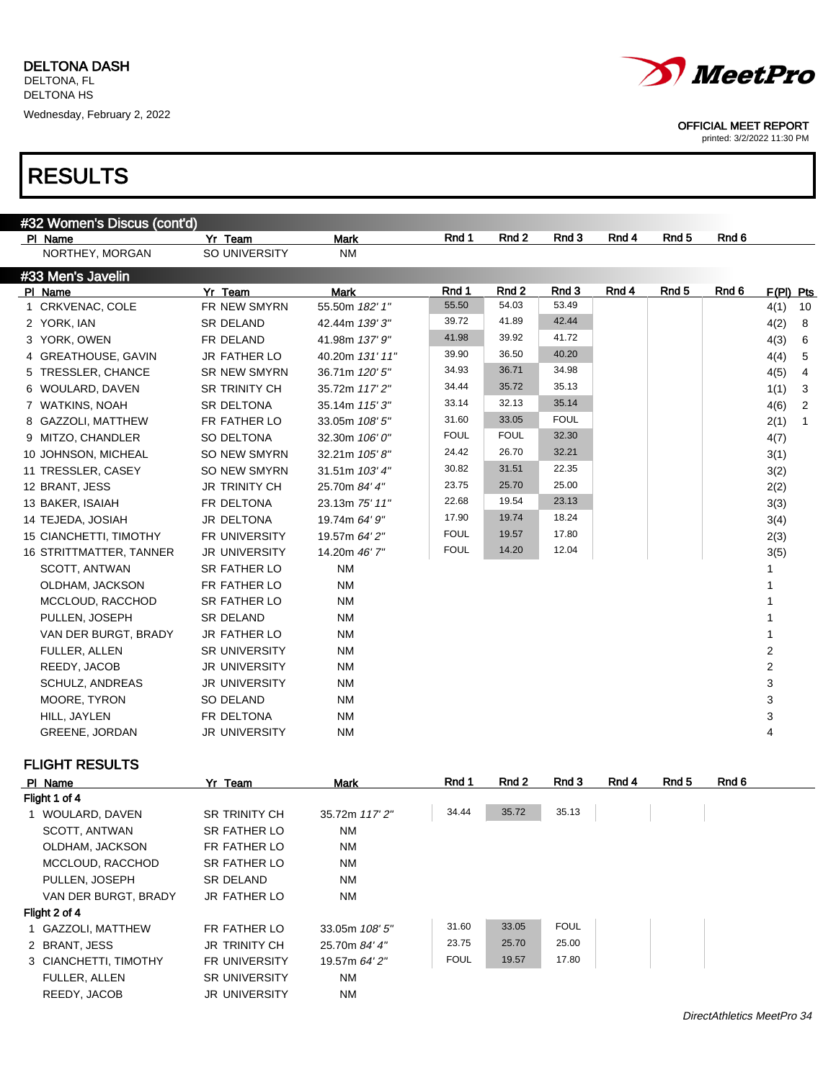

printed: 3/2/2022 11:30 PM

## RESULTS

| #32 Women's Discus (cont'd) |                      |                 |             |             |             |       |                  |       |                |                |
|-----------------------------|----------------------|-----------------|-------------|-------------|-------------|-------|------------------|-------|----------------|----------------|
| PI Name                     | Yr Team              | <b>Mark</b>     | Rnd 1       | Rnd 2       | Rnd 3       | Rnd 4 | Rnd <sub>5</sub> | Rnd 6 |                |                |
| NORTHEY, MORGAN             | SO UNIVERSITY        | <b>NM</b>       |             |             |             |       |                  |       |                |                |
| #33 Men's Javelin           |                      |                 |             |             |             |       |                  |       |                |                |
| PI Name                     | Yr Team              | <b>Mark</b>     | Rnd 1       | Rnd 2       | Rnd 3       | Rnd 4 | Rnd <sub>5</sub> | Rnd 6 | $F(PI)$ Pts    |                |
| 1 CRKVENAC, COLE            | FR NEW SMYRN         | 55.50m 182' 1"  | 55.50       | 54.03       | 53.49       |       |                  |       | 4(1)           | 10             |
| 2 YORK, IAN                 | <b>SR DELAND</b>     | 42.44m 139' 3"  | 39.72       | 41.89       | 42.44       |       |                  |       | 4(2)           | 8              |
| 3 YORK, OWEN                | FR DELAND            | 41.98m 137' 9"  | 41.98       | 39.92       | 41.72       |       |                  |       | 4(3)           | 6              |
| 4 GREATHOUSE, GAVIN         | <b>JR FATHER LO</b>  | 40.20m 131' 11" | 39.90       | 36.50       | 40.20       |       |                  |       | 4(4)           | 5              |
| 5 TRESSLER, CHANCE          | <b>SR NEW SMYRN</b>  | 36.71m 120' 5"  | 34.93       | 36.71       | 34.98       |       |                  |       | 4(5)           | 4              |
| 6 WOULARD, DAVEN            | <b>SR TRINITY CH</b> | 35.72m 117'2"   | 34.44       | 35.72       | 35.13       |       |                  |       | 1(1)           | $\mathbf{3}$   |
| 7 WATKINS, NOAH             | SR DELTONA           | 35.14m 115'3"   | 33.14       | 32.13       | 35.14       |       |                  |       | 4(6)           | 2              |
| 8 GAZZOLI, MATTHEW          | FR FATHER LO         | 33.05m 108' 5"  | 31.60       | 33.05       | <b>FOUL</b> |       |                  |       | 2(1)           | $\overline{1}$ |
| 9 MITZO, CHANDLER           | SO DELTONA           | 32.30m 106' 0"  | <b>FOUL</b> | <b>FOUL</b> | 32.30       |       |                  |       | 4(7)           |                |
| 10 JOHNSON, MICHEAL         | SO NEW SMYRN         | 32.21m 105'8"   | 24.42       | 26.70       | 32.21       |       |                  |       | 3(1)           |                |
| 11 TRESSLER, CASEY          | <b>SO NEW SMYRN</b>  | 31.51m 103' 4"  | 30.82       | 31.51       | 22.35       |       |                  |       | 3(2)           |                |
| 12 BRANT, JESS              | <b>JR TRINITY CH</b> | 25.70m 84' 4"   | 23.75       | 25.70       | 25.00       |       |                  |       | 2(2)           |                |
| 13 BAKER, ISAIAH            | FR DELTONA           | 23.13m 75' 11"  | 22.68       | 19.54       | 23.13       |       |                  |       | 3(3)           |                |
| 14 TEJEDA, JOSIAH           | JR DELTONA           | 19.74m 64' 9"   | 17.90       | 19.74       | 18.24       |       |                  |       | 3(4)           |                |
| 15 CIANCHETTI, TIMOTHY      | FR UNIVERSITY        | 19.57m 64' 2"   | <b>FOUL</b> | 19.57       | 17.80       |       |                  |       | 2(3)           |                |
| 16 STRITTMATTER, TANNER     | <b>JR UNIVERSITY</b> | 14.20m 46' 7"   | <b>FOUL</b> | 14.20       | 12.04       |       |                  |       | 3(5)           |                |
| SCOTT, ANTWAN               | SR FATHER LO         | <b>NM</b>       |             |             |             |       |                  |       |                |                |
| OLDHAM, JACKSON             | FR FATHER LO         | <b>NM</b>       |             |             |             |       |                  |       |                |                |
| MCCLOUD, RACCHOD            | <b>SR FATHER LO</b>  | <b>NM</b>       |             |             |             |       |                  |       |                |                |
| PULLEN, JOSEPH              | <b>SR DELAND</b>     | <b>NM</b>       |             |             |             |       |                  |       |                |                |
| VAN DER BURGT, BRADY        | <b>JR FATHER LO</b>  | <b>NM</b>       |             |             |             |       |                  |       |                |                |
| <b>FULLER, ALLEN</b>        | SR UNIVERSITY        | <b>NM</b>       |             |             |             |       |                  |       | $\overline{2}$ |                |
| REEDY, JACOB                | <b>JR UNIVERSITY</b> | <b>NM</b>       |             |             |             |       |                  |       | $\overline{2}$ |                |
| SCHULZ, ANDREAS             | <b>JR UNIVERSITY</b> | <b>NM</b>       |             |             |             |       |                  |       | 3              |                |
| MOORE, TYRON                | <b>SO DELAND</b>     | <b>NM</b>       |             |             |             |       |                  |       | 3              |                |
| HILL, JAYLEN                | FR DELTONA           | <b>NM</b>       |             |             |             |       |                  |       | 3              |                |
| <b>GREENE, JORDAN</b>       | JR UNIVERSITY        | <b>NM</b>       |             |             |             |       |                  |       | 4              |                |
|                             |                      |                 |             |             |             |       |                  |       |                |                |

### FLIGHT RESULTS

| PI Name               | Yr Team              | <b>Mark</b>    | Rnd 1       | Rnd 2 | Rnd 3       | Rnd 4 | Rnd 5 | Rnd 6 |
|-----------------------|----------------------|----------------|-------------|-------|-------------|-------|-------|-------|
| Flight 1 of 4         |                      |                |             |       |             |       |       |       |
| 1 WOULARD, DAVEN      | <b>SR TRINITY CH</b> | 35.72m 117'2"  | 34.44       | 35.72 | 35.13       |       |       |       |
| SCOTT, ANTWAN         | SR FATHER LO         | <b>NM</b>      |             |       |             |       |       |       |
| OLDHAM, JACKSON       | FR FATHER LO         | <b>NM</b>      |             |       |             |       |       |       |
| MCCLOUD, RACCHOD      | SR FATHER LO         | <b>NM</b>      |             |       |             |       |       |       |
| PULLEN, JOSEPH        | SR DELAND            | <b>NM</b>      |             |       |             |       |       |       |
| VAN DER BURGT, BRADY  | JR FATHER LO         | <b>NM</b>      |             |       |             |       |       |       |
| Flight 2 of 4         |                      |                |             |       |             |       |       |       |
| 1 GAZZOLI, MATTHEW    | FR FATHER LO         | 33.05m 108' 5" | 31.60       | 33.05 | <b>FOUL</b> |       |       |       |
| 2 BRANT, JESS         | <b>JR TRINITY CH</b> | 25.70m 84' 4"  | 23.75       | 25.70 | 25.00       |       |       |       |
| 3 CIANCHETTI, TIMOTHY | <b>FR UNIVERSITY</b> | 19.57m 64' 2"  | <b>FOUL</b> | 19.57 | 17.80       |       |       |       |
| <b>FULLER, ALLEN</b>  | <b>SR UNIVERSITY</b> | <b>NM</b>      |             |       |             |       |       |       |
| REEDY, JACOB          | <b>JR UNIVERSITY</b> | <b>NM</b>      |             |       |             |       |       |       |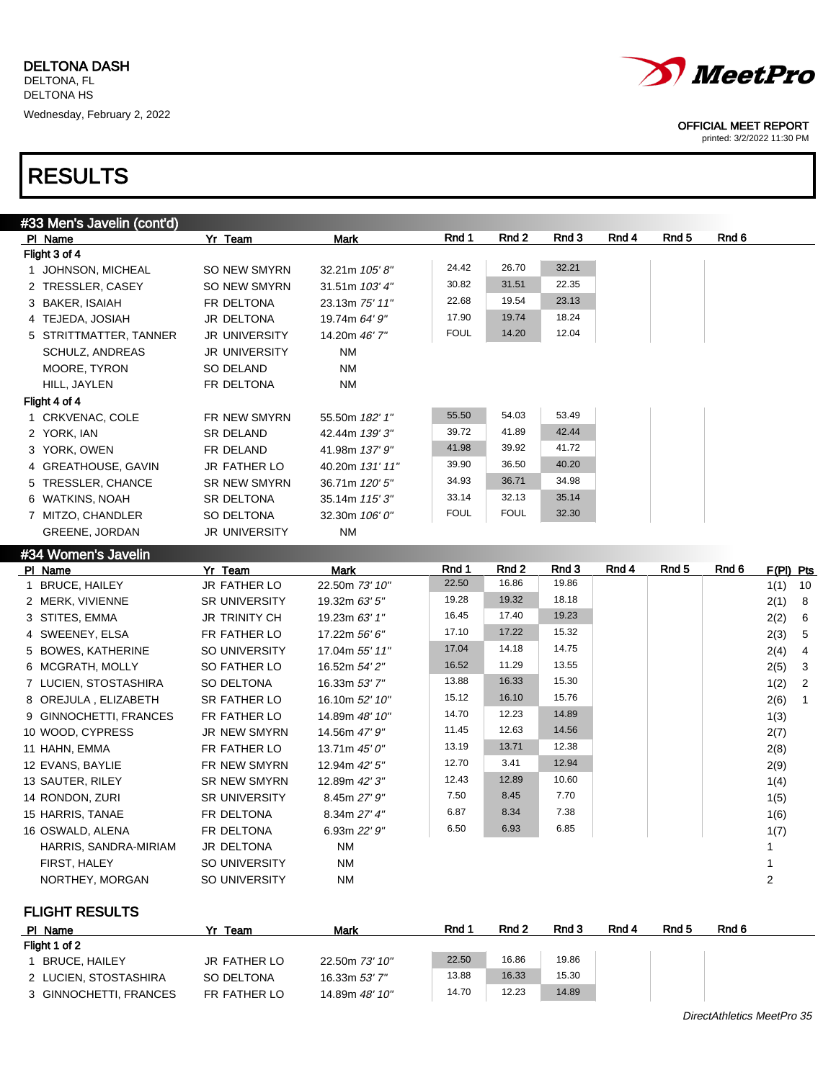

printed: 3/2/2022 11:30 PM

## RESULTS

|                        | Yr Team                                                                                                                                                                                                                                                                                                                                                       | Mark            | Rnd 1       | Rnd 2       | Rnd 3 | Rnd 4 | Rnd 5 | Rnd 6 |           |
|------------------------|---------------------------------------------------------------------------------------------------------------------------------------------------------------------------------------------------------------------------------------------------------------------------------------------------------------------------------------------------------------|-----------------|-------------|-------------|-------|-------|-------|-------|-----------|
|                        |                                                                                                                                                                                                                                                                                                                                                               |                 |             |             |       |       |       |       |           |
|                        | SO NEW SMYRN                                                                                                                                                                                                                                                                                                                                                  | 32.21m 105'8"   | 24.42       | 26.70       | 32.21 |       |       |       |           |
|                        | SO NEW SMYRN                                                                                                                                                                                                                                                                                                                                                  | 31.51m 103' 4"  | 30.82       | 31.51       | 22.35 |       |       |       |           |
|                        | FR DELTONA                                                                                                                                                                                                                                                                                                                                                    | 23.13m 75' 11"  | 22.68       | 19.54       | 23.13 |       |       |       |           |
|                        | JR DELTONA                                                                                                                                                                                                                                                                                                                                                    | 19.74m 64' 9"   | 17.90       | 19.74       | 18.24 |       |       |       |           |
|                        | <b>JR UNIVERSITY</b>                                                                                                                                                                                                                                                                                                                                          | 14.20m 46' 7"   | <b>FOUL</b> | 14.20       | 12.04 |       |       |       |           |
| <b>SCHULZ, ANDREAS</b> | <b>JR UNIVERSITY</b>                                                                                                                                                                                                                                                                                                                                          | <b>NM</b>       |             |             |       |       |       |       |           |
| MOORE, TYRON           | SO DELAND                                                                                                                                                                                                                                                                                                                                                     | <b>NM</b>       |             |             |       |       |       |       |           |
| HILL, JAYLEN           | FR DELTONA                                                                                                                                                                                                                                                                                                                                                    | <b>NM</b>       |             |             |       |       |       |       |           |
|                        |                                                                                                                                                                                                                                                                                                                                                               |                 |             |             |       |       |       |       |           |
|                        | FR NEW SMYRN                                                                                                                                                                                                                                                                                                                                                  | 55.50m 182' 1"  | 55.50       | 54.03       | 53.49 |       |       |       |           |
|                        | <b>SR DELAND</b>                                                                                                                                                                                                                                                                                                                                              | 42.44m 139' 3"  | 39.72       | 41.89       | 42.44 |       |       |       |           |
|                        | FR DELAND                                                                                                                                                                                                                                                                                                                                                     | 41.98m 137' 9"  | 41.98       | 39.92       | 41.72 |       |       |       |           |
|                        | JR FATHER LO                                                                                                                                                                                                                                                                                                                                                  | 40.20m 131' 11" | 39.90       | 36.50       | 40.20 |       |       |       |           |
|                        | <b>SR NEW SMYRN</b>                                                                                                                                                                                                                                                                                                                                           | 36.71m 120' 5"  | 34.93       | 36.71       | 34.98 |       |       |       |           |
|                        | SR DELTONA                                                                                                                                                                                                                                                                                                                                                    | 35.14m 115'3"   | 33.14       | 32.13       | 35.14 |       |       |       |           |
|                        | SO DELTONA                                                                                                                                                                                                                                                                                                                                                    | 32.30m 106' 0"  | <b>FOUL</b> | <b>FOUL</b> | 32.30 |       |       |       |           |
| <b>GREENE, JORDAN</b>  | <b>JR UNIVERSITY</b>                                                                                                                                                                                                                                                                                                                                          | <b>NM</b>       |             |             |       |       |       |       |           |
|                        |                                                                                                                                                                                                                                                                                                                                                               |                 |             |             |       |       |       |       |           |
|                        | Yr Team                                                                                                                                                                                                                                                                                                                                                       | Mark            | Rnd 1       | Rnd 2       | Rnd 3 | Rnd 4 | Rnd 5 | Rnd 6 | F(PI) Pts |
|                        | #33 Men's Javelin (cont'd)<br>PI Name<br>Flight 3 of 4<br>1 JOHNSON, MICHEAL<br>2 TRESSLER, CASEY<br>3 BAKER, ISAIAH<br>4 TEJEDA, JOSIAH<br>5 STRITTMATTER, TANNER<br>Flight 4 of 4<br>1 CRKVENAC, COLE<br>2 YORK, IAN<br>3 YORK, OWEN<br>4 GREATHOUSE, GAVIN<br>5 TRESSLER, CHANCE<br>6 WATKINS, NOAH<br>7 MITZO, CHANDLER<br>#34 Women's Javelin<br>PI Name |                 |             |             |       |       |       |       |           |

| PI Name                | Yr.<br>Team          | Mark                | KNA 1 | Rnd 2 | RNG 3 | KNO 4 | Rna 5 | KNA 6 | $F(PI)$ Pts |                |
|------------------------|----------------------|---------------------|-------|-------|-------|-------|-------|-------|-------------|----------------|
| 1 BRUCE, HAILEY        | JR FATHER LO         | 22.50m 73' 10"      | 22.50 | 16.86 | 19.86 |       |       |       | 1(1)        | 10             |
| 2 MERK, VIVIENNE       | <b>SR UNIVERSITY</b> | 19.32m 63' 5"       | 19.28 | 19.32 | 18.18 |       |       |       | 2(1)        | - 8            |
| 3 STITES, EMMA         | <b>JR TRINITY CH</b> | 19.23m 63' 1"       | 16.45 | 17.40 | 19.23 |       |       |       | 2(2)        | - 6            |
| 4 SWEENEY, ELSA        | FR FATHER LO         | 17.22m 56' 6"       | 17.10 | 17.22 | 15.32 |       |       |       | 2(3)        | - 5            |
| 5 BOWES, KATHERINE     | SO UNIVERSITY        | 17.04m 55' 11"      | 17.04 | 14.18 | 14.75 |       |       |       | 2(4)        | -4             |
| 6 MCGRATH, MOLLY       | SO FATHER LO         | 16.52m 54' 2"       | 16.52 | 11.29 | 13.55 |       |       |       | 2(5)        | - 3            |
| 7 LUCIEN, STOSTASHIRA  | SO DELTONA           | 16.33m 53' 7"       | 13.88 | 16.33 | 15.30 |       |       |       | 1(2)        | $\overline{2}$ |
| 8 OREJULA, ELIZABETH   | SR FATHER LO         | 16.10m 52' 10"      | 15.12 | 16.10 | 15.76 |       |       |       | 2(6)        |                |
| 9 GINNOCHETTI, FRANCES | FR FATHER LO         | 14.89m 48' 10"      | 14.70 | 12.23 | 14.89 |       |       |       | 1(3)        |                |
| 10 WOOD, CYPRESS       | JR NEW SMYRN         | 14.56m 47' 9"       | 11.45 | 12.63 | 14.56 |       |       |       | 2(7)        |                |
| 11 HAHN, EMMA          | FR FATHER LO         | 13.71 $m$ 45' $0$ " | 13.19 | 13.71 | 12.38 |       |       |       | 2(8)        |                |
| 12 EVANS, BAYLIE       | FR NEW SMYRN         | 12.94m 42' 5"       | 12.70 | 3.41  | 12.94 |       |       |       | 2(9)        |                |
| 13 SAUTER, RILEY       | <b>SR NEW SMYRN</b>  | 12.89m 42' 3"       | 12.43 | 12.89 | 10.60 |       |       |       | 1(4)        |                |
| 14 RONDON, ZURI        | <b>SR UNIVERSITY</b> | 8.45m 27' 9"        | 7.50  | 8.45  | 7.70  |       |       |       | 1(5)        |                |
| 15 HARRIS, TANAE       | FR DELTONA           | 8.34m 27' 4"        | 6.87  | 8.34  | 7.38  |       |       |       | 1(6)        |                |
| 16 OSWALD, ALENA       | FR DELTONA           | 6.93m 22' 9"        | 6.50  | 6.93  | 6.85  |       |       |       | 1(7)        |                |
| HARRIS, SANDRA-MIRIAM  | JR DELTONA           | NM                  |       |       |       |       |       |       |             |                |
| FIRST, HALEY           | SO UNIVERSITY        | <b>NM</b>           |       |       |       |       |       |       |             |                |
| NORTHEY, MORGAN        | SO UNIVERSITY        | <b>NM</b>           |       |       |       |       |       |       | 2           |                |
|                        |                      |                     |       |       |       |       |       |       |             |                |

FLIGHT RESULTS

| PI Name                | Team         | Mark           | Rnd 1 | Rnd 2 | Rnd 3 | Rnd 4 | Rnd 5 | Rnd 6 |
|------------------------|--------------|----------------|-------|-------|-------|-------|-------|-------|
| Flight 1 of 2          |              |                |       |       |       |       |       |       |
| <b>BRUCE, HAILEY</b>   | JR FATHER LO | 22.50m 73' 10" | 22.50 | 16.86 | 19.86 |       |       |       |
| 2 LUCIEN, STOSTASHIRA  | SO DELTONA   | 16.33m 53' 7"  | 13.88 | 16.33 | 15.30 |       |       |       |
| 3 GINNOCHETTI, FRANCES | FR FATHER LO | 14.89m 48' 10" | 14.70 | 12.23 | 14.89 |       |       |       |